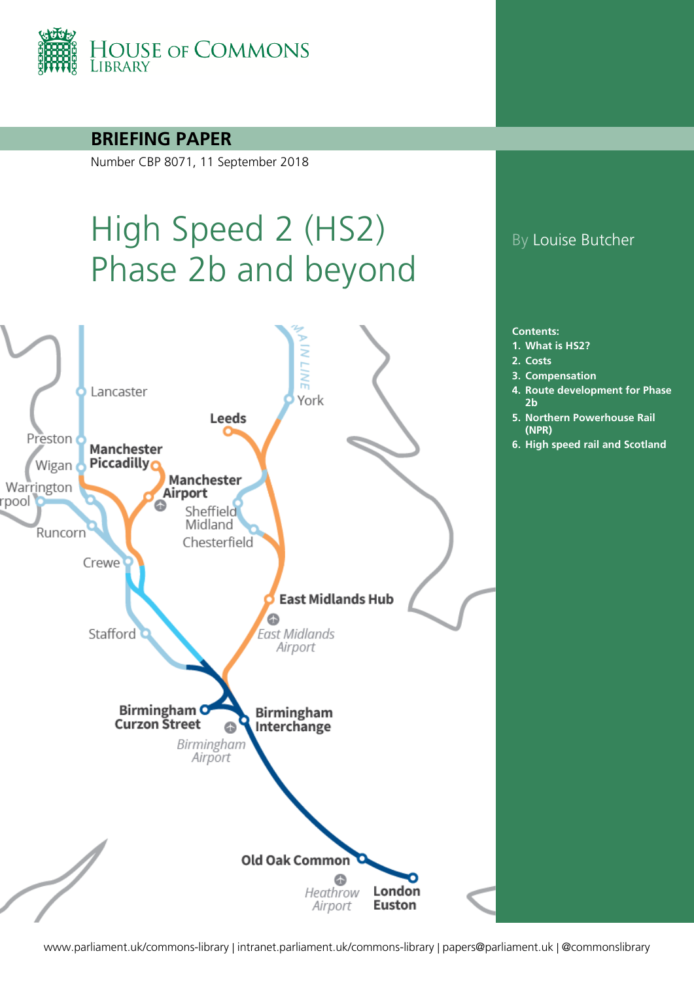

#### **BRIEFING PAPER**

Number CBP 8071, 11 September 2018

# High Speed 2 (HS2) Phase 2b and beyond



### By Louise Butcher

**Contents:**

- **1. [What is HS2?](#page-3-0)**
- **2. [Costs](#page-10-0)**
- **3. [Compensation](#page-19-0)**
- **4. [Route development for Phase](#page-22-0)  [2b](#page-22-0)**
- **5. [Northern Powerhouse Rail](#page-30-0)  [\(NPR\)](#page-30-0)**
- **6. [High speed rail and Scotland](#page-40-0)**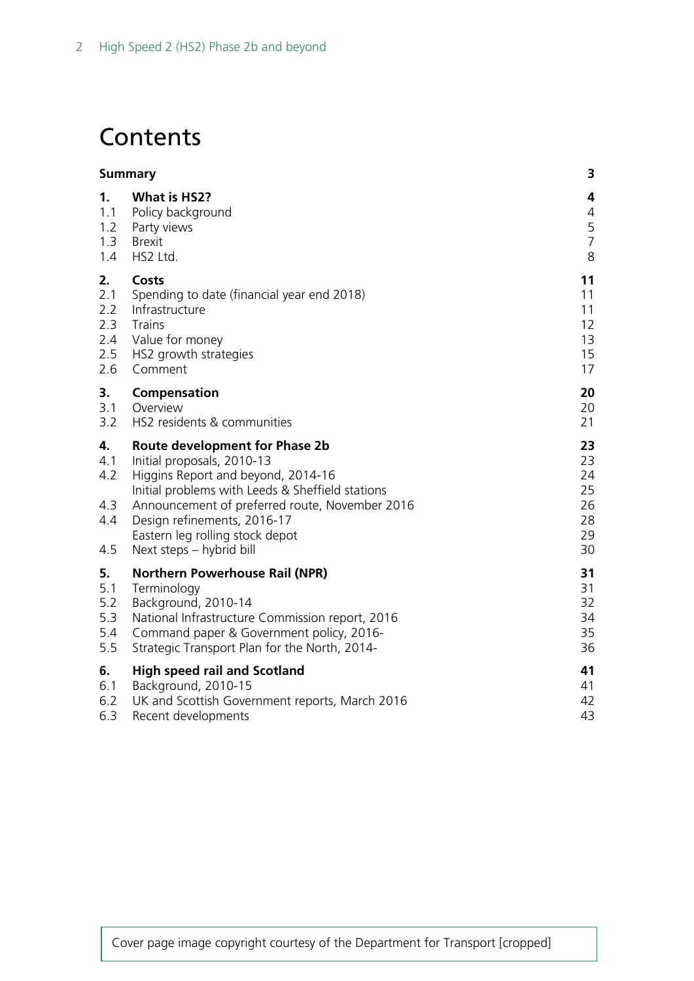## **Contents**

|                                       | <b>Summary</b>                                                                                                                                                                                                                                                                                                | 3                                            |
|---------------------------------------|---------------------------------------------------------------------------------------------------------------------------------------------------------------------------------------------------------------------------------------------------------------------------------------------------------------|----------------------------------------------|
| 1.                                    | What is HS2?                                                                                                                                                                                                                                                                                                  | 4                                            |
| 1.1                                   | Policy background                                                                                                                                                                                                                                                                                             | 4                                            |
| 1.2                                   | Party views                                                                                                                                                                                                                                                                                                   | 5                                            |
| 1.3                                   | <b>Brexit</b>                                                                                                                                                                                                                                                                                                 | $\overline{7}$                               |
| 1.4                                   | HS2 Ltd.                                                                                                                                                                                                                                                                                                      | 8                                            |
| 2.                                    | Costs                                                                                                                                                                                                                                                                                                         | 11                                           |
| 2.1                                   | Spending to date (financial year end 2018)                                                                                                                                                                                                                                                                    | 11                                           |
| 2.2                                   | Infrastructure                                                                                                                                                                                                                                                                                                | 11                                           |
| 2.3                                   | <b>Trains</b>                                                                                                                                                                                                                                                                                                 | 12                                           |
| 2.4                                   | Value for money                                                                                                                                                                                                                                                                                               | 13                                           |
| 2.5                                   | HS2 growth strategies                                                                                                                                                                                                                                                                                         | 15                                           |
| 2.6                                   | Comment                                                                                                                                                                                                                                                                                                       | 17                                           |
| 3.                                    | Compensation                                                                                                                                                                                                                                                                                                  | 20                                           |
| 3.1                                   | Overview                                                                                                                                                                                                                                                                                                      | 20                                           |
| 3.2                                   | HS2 residents & communities                                                                                                                                                                                                                                                                                   | 21                                           |
| 4.<br>4.1<br>4.2<br>4.3<br>4.4<br>4.5 | <b>Route development for Phase 2b</b><br>Initial proposals, 2010-13<br>Higgins Report and beyond, 2014-16<br>Initial problems with Leeds & Sheffield stations<br>Announcement of preferred route, November 2016<br>Design refinements, 2016-17<br>Eastern leg rolling stock depot<br>Next steps - hybrid bill | 23<br>23<br>24<br>25<br>26<br>28<br>29<br>30 |
| 5.                                    | <b>Northern Powerhouse Rail (NPR)</b>                                                                                                                                                                                                                                                                         | 31                                           |
| 5.1                                   | Terminology                                                                                                                                                                                                                                                                                                   | 31                                           |
| 5.2                                   | Background, 2010-14                                                                                                                                                                                                                                                                                           | 32                                           |
| 5.3                                   | National Infrastructure Commission report, 2016                                                                                                                                                                                                                                                               | 34                                           |
| 5.4                                   | Command paper & Government policy, 2016-                                                                                                                                                                                                                                                                      | 35                                           |
| 5.5                                   | Strategic Transport Plan for the North, 2014-                                                                                                                                                                                                                                                                 | 36                                           |
| 6.                                    | <b>High speed rail and Scotland</b>                                                                                                                                                                                                                                                                           | 41                                           |
| 6.1                                   | Background, 2010-15                                                                                                                                                                                                                                                                                           | 41                                           |
| 6.2                                   | UK and Scottish Government reports, March 2016                                                                                                                                                                                                                                                                | 42                                           |
| 6.3                                   | Recent developments                                                                                                                                                                                                                                                                                           | 43                                           |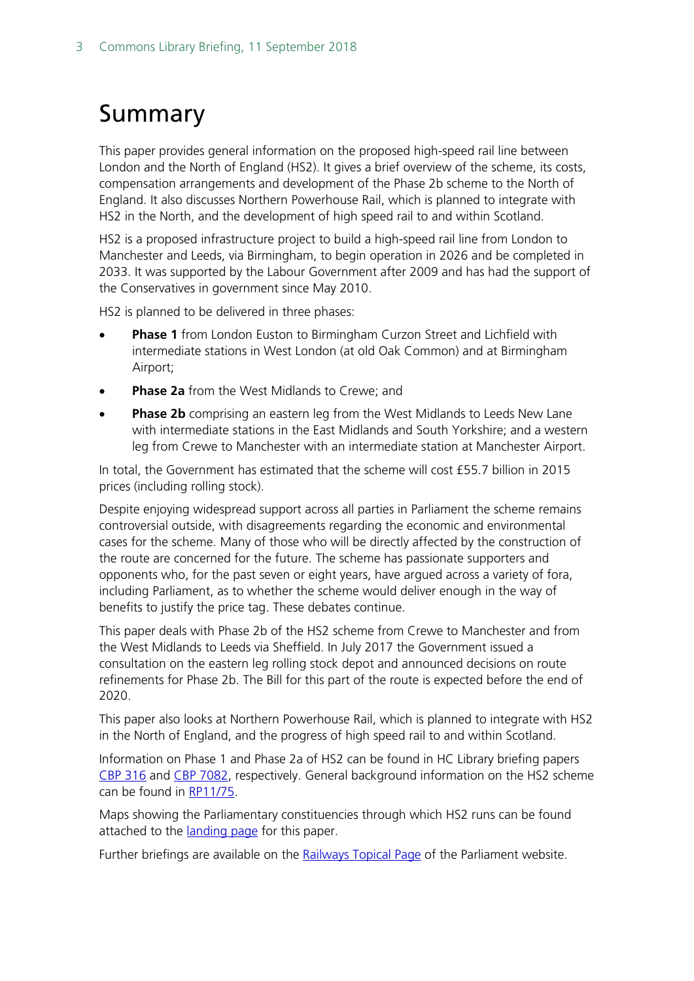## <span id="page-2-0"></span>Summary

This paper provides general information on the proposed high-speed rail line between London and the North of England (HS2). It gives a brief overview of the scheme, its costs, compensation arrangements and development of the Phase 2b scheme to the North of England. It also discusses Northern Powerhouse Rail, which is planned to integrate with HS2 in the North, and the development of high speed rail to and within Scotland.

HS2 is a proposed infrastructure project to build a high-speed rail line from London to Manchester and Leeds, via Birmingham, to begin operation in 2026 and be completed in 2033. It was supported by the Labour Government after 2009 and has had the support of the Conservatives in government since May 2010.

HS2 is planned to be delivered in three phases:

- **Phase 1** from London Euston to Birmingham Curzon Street and Lichfield with intermediate stations in West London (at old Oak Common) and at Birmingham Airport;
- **Phase 2a** from the West Midlands to Crewe; and
- **Phase 2b** comprising an eastern leg from the West Midlands to Leeds New Lane with intermediate stations in the East Midlands and South Yorkshire; and a western leg from Crewe to Manchester with an intermediate station at Manchester Airport.

In total, the Government has estimated that the scheme will cost £55.7 billion in 2015 prices (including rolling stock).

Despite enjoying widespread support across all parties in Parliament the scheme remains controversial outside, with disagreements regarding the economic and environmental cases for the scheme. Many of those who will be directly affected by the construction of the route are concerned for the future. The scheme has passionate supporters and opponents who, for the past seven or eight years, have argued across a variety of fora, including Parliament, as to whether the scheme would deliver enough in the way of benefits to justify the price tag. These debates continue.

This paper deals with Phase 2b of the HS2 scheme from Crewe to Manchester and from the West Midlands to Leeds via Sheffield. In July 2017 the Government issued a consultation on the eastern leg rolling stock depot and announced decisions on route refinements for Phase 2b. The Bill for this part of the route is expected before the end of 2020.

This paper also looks at Northern Powerhouse Rail, which is planned to integrate with HS2 in the North of England, and the progress of high speed rail to and within Scotland.

Information on Phase 1 and Phase 2a of HS2 can be found in HC Library briefing papers [CBP 316](http://researchbriefings.parliament.uk/ResearchBriefing/Summary/SN00316) and [CBP 7082,](http://researchbriefings.parliament.uk/ResearchBriefing/Summary/SN07082) respectively. General background information on the HS2 scheme can be found in [RP11/75.](http://researchbriefings.parliament.uk/ResearchBriefing/Summary/RP11-75)

Maps showing the Parliamentary constituencies through which HS2 runs can be found attached to the *landing page* for this paper.

Further briefings are available on the [Railways Topical Page](http://researchbriefings.parliament.uk/?ContentType=&Topic=Transport&SubTopic=Railways&Year=&SortByAscending=false) of the Parliament website.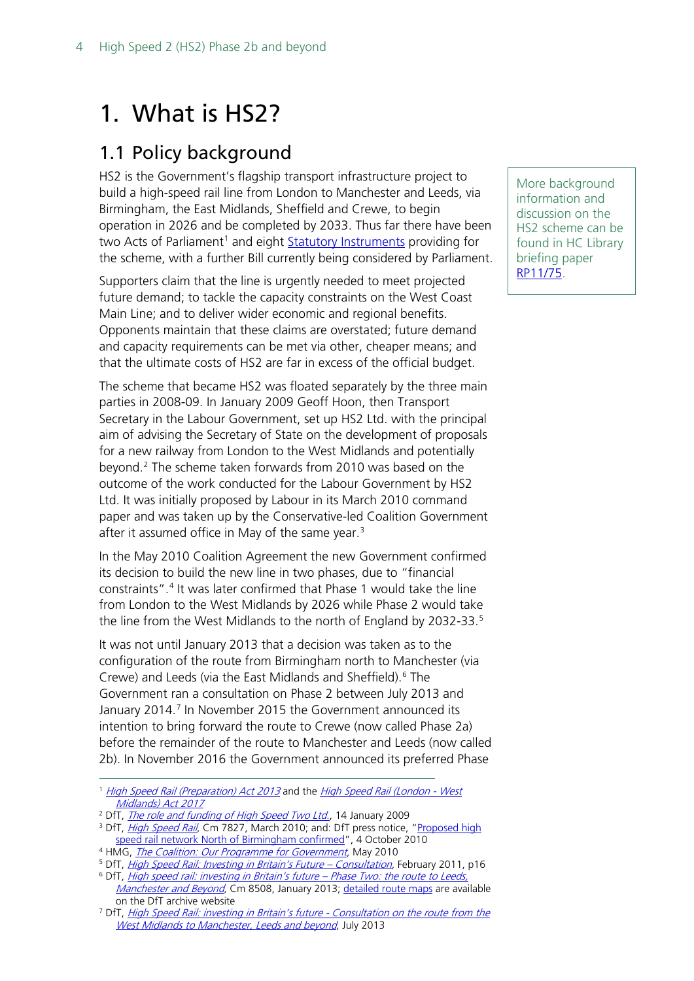## <span id="page-3-0"></span>1. What is HS2?

### <span id="page-3-1"></span>1.1 Policy background

HS2 is the Government's flagship transport infrastructure project to build a high-speed rail line from London to Manchester and Leeds, via Birmingham, the East Midlands, Sheffield and Crewe, to begin operation in 2026 and be completed by 2033. Thus far there have been two Acts of Parliament<sup>[1](#page-3-2)</sup> and eight [Statutory Instruments](http://www.legislation.gov.uk/uksi?title=high%20speed%20rail) providing for the scheme, with a further Bill currently being considered by Parliament.

Supporters claim that the line is urgently needed to meet projected future demand; to tackle the capacity constraints on the West Coast Main Line; and to deliver wider economic and regional benefits. Opponents maintain that these claims are overstated; future demand and capacity requirements can be met via other, cheaper means; and that the ultimate costs of HS2 are far in excess of the official budget.

The scheme that became HS2 was floated separately by the three main parties in 2008-09. In January 2009 Geoff Hoon, then Transport Secretary in the Labour Government, set up HS2 Ltd. with the principal aim of advising the Secretary of State on the development of proposals for a new railway from London to the West Midlands and potentially beyond.[2](#page-3-3) The scheme taken forwards from 2010 was based on the outcome of the work conducted for the Labour Government by HS2 Ltd. It was initially proposed by Labour in its March 2010 command paper and was taken up by the Conservative-led Coalition Government after it assumed office in May of the same year.<sup>[3](#page-3-4)</sup>

In the May 2010 Coalition Agreement the new Government confirmed its decision to build the new line in two phases, due to "financial constraints".[4](#page-3-5) It was later confirmed that Phase 1 would take the line from London to the West Midlands by 2026 while Phase 2 would take the line from the West Midlands to the north of England by 2032-33.<sup>[5](#page-3-6)</sup>

It was not until January 2013 that a decision was taken as to the configuration of the route from Birmingham north to Manchester (via Crewe) and Leeds (via the East Midlands and Sheffield).<sup>[6](#page-3-7)</sup> The Government ran a consultation on Phase 2 between July 2013 and January 2014.<sup>[7](#page-3-8)</sup> In November 2015 the Government announced its intention to bring forward the route to Crewe (now called Phase 2a) before the remainder of the route to Manchester and Leeds (now called 2b). In November 2016 the Government announced its preferred Phase

<span id="page-3-2"></span><sup>1</sup> [High Speed Rail \(Preparation\) Act 2013](http://www.legislation.gov.uk/ukpga/2013/31/contents) and the [High Speed Rail \(London -](http://www.legislation.gov.uk/ukpga/2017/7/contents) West [Midlands\) Act 2017](http://www.legislation.gov.uk/ukpga/2017/7/contents)

More background information and discussion on the HS2 scheme can be found in HC Library briefing paper [RP11/75.](http://researchbriefings.parliament.uk/ResearchBriefing/Summary/RP11-75)

<span id="page-3-4"></span><span id="page-3-3"></span><sup>&</sup>lt;sup>2</sup> DfT[,](http://webarchive.nationalarchives.gov.uk/20100104171434/http:/www.dft.gov.uk/pgr/rail/pi/highspeedtwo/hs2remit/funding.pdf) *The role and funding of High Speed Two Ltd.*, 14 January 2009<br><sup>3</sup> DfT, *[High Speed Rail](http://webarchive.nationalarchives.gov.uk/20100407011027/http:/www.dft.gov.uk/pgr/rail/pi/highspeedrail/commandpaper/pdf/cmdpaper.pdf)*, Cm 7827, March 2010; and: DfT press notice, "Proposed high [speed rail network North of Birmingham confirmed"](http://www.wired-gov.net/wg/wg-news-1.nsf/0/ABD5AD206EFE3EC9802577B2003A13D5?OpenDocument), 4 October 2010

<span id="page-3-6"></span><span id="page-3-5"></span><sup>&</sup>lt;sup>4</sup> HMG, *[The Coalition: Our Programme for Government](http://webarchive.nationalarchives.gov.uk/20100919110641/http:/programmeforgovernment.hmg.gov.uk/transport/index.html)*, May 2010

<sup>&</sup>lt;sup>5</sup> DfT, *[High Speed Rail: Investing in Britain's Future –](http://webarchive.nationalarchives.gov.uk/20110405154200/http:/highspeedrail.dft.gov.uk/sites/highspeedrail.dft.gov.uk/files/hsr-consultation.pdf) Consultation*, February 2011, p16

<span id="page-3-7"></span><sup>6</sup> DfT, [High speed rail: investing in Britain's future –](http://webarchive.nationalarchives.gov.uk/20140324045638/https:/www.gov.uk/government/uploads/system/uploads/attachment_data/file/69738/hs2-phase-two-command-paper.pdf) Phase Two: the route to Leeds, [Manchester and Beyond](http://webarchive.nationalarchives.gov.uk/20140324045638/https:/www.gov.uk/government/uploads/system/uploads/attachment_data/file/69738/hs2-phase-two-command-paper.pdf), Cm 8508, January 2013; [detailed route maps](http://webarchive.nationalarchives.gov.uk/20140317201113/https:/www.gov.uk/hs2-phase-two-initial-preferred-route-plan-and-profile-maps) are available on the DfT archive website

<span id="page-3-8"></span><sup>7</sup> DfT, [High Speed Rail: investing in Britain's future -](http://web.archive.org/web/20150303122256/http:/assets.hs2.org.uk/sites/default/files/consulation_library/pdf/130716%20Consultation%20Document.pdf) Consultation on the route from the [West Midlands to Manchester, Leeds and beyond](http://web.archive.org/web/20150303122256/http:/assets.hs2.org.uk/sites/default/files/consulation_library/pdf/130716%20Consultation%20Document.pdf), July 2013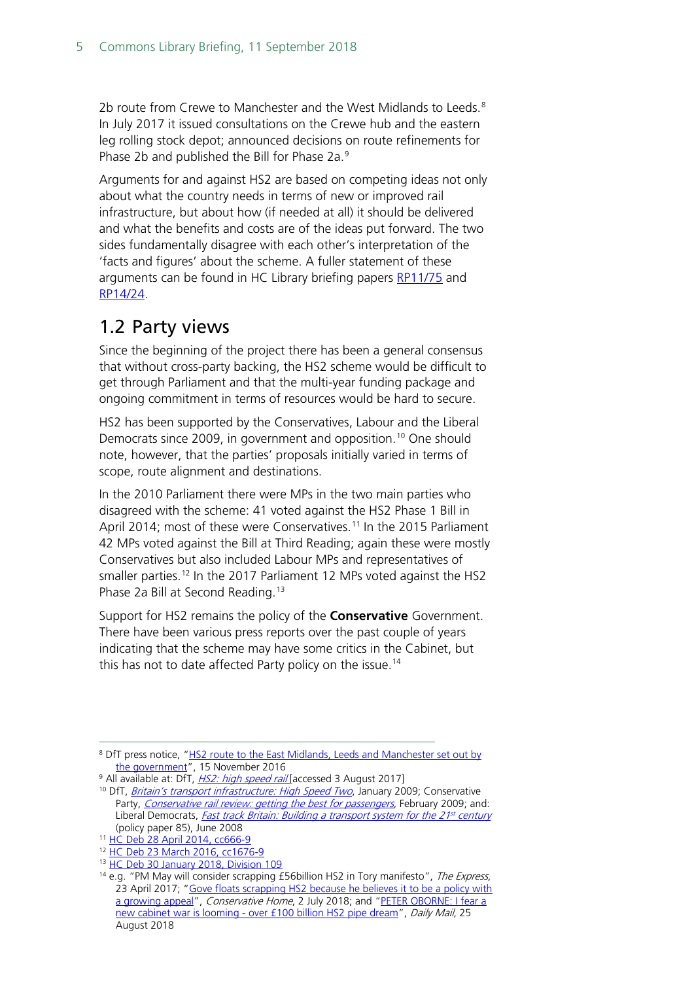2b route from Crewe to Manchester and the West Midlands to Leeds.<sup>[8](#page-4-1)</sup> In July 2017 it issued consultations on the Crewe hub and the eastern leg rolling stock depot; announced decisions on route refinements for Phase 2b and published the Bill for Phase 2a.<sup>[9](#page-4-2)</sup>

Arguments for and against HS2 are based on competing ideas not only about what the country needs in terms of new or improved rail infrastructure, but about how (if needed at all) it should be delivered and what the benefits and costs are of the ideas put forward. The two sides fundamentally disagree with each other's interpretation of the 'facts and figures' about the scheme. A fuller statement of these arguments can be found in HC Library briefing papers [RP11/75](http://researchbriefings.parliament.uk/ResearchBriefing/Summary/RP11-75) and [RP14/24.](http://researchbriefings.parliament.uk/ResearchBriefing/Summary/RP14-24)

### <span id="page-4-0"></span>1.2 Party views

Since the beginning of the project there has been a general consensus that without cross-party backing, the HS2 scheme would be difficult to get through Parliament and that the multi-year funding package and ongoing commitment in terms of resources would be hard to secure.

HS2 has been supported by the Conservatives, Labour and the Liberal Democrats since 2009, in government and opposition.<sup>[10](#page-4-3)</sup> One should note, however, that the parties' proposals initially varied in terms of scope, route alignment and destinations.

In the 2010 Parliament there were MPs in the two main parties who disagreed with the scheme: 41 voted against the HS2 Phase 1 Bill in April 2014; most of these were Conservatives.<sup>[11](#page-4-4)</sup> In the 2015 Parliament 42 MPs voted against the Bill at Third Reading; again these were mostly Conservatives but also included Labour MPs and representatives of smaller parties.<sup>[12](#page-4-5)</sup> In the 2017 Parliament 12 MPs voted against the HS2 Phase 2a Bill at Second Reading.[13](#page-4-6)

Support for HS2 remains the policy of the **Conservative** Government. There have been various press reports over the past couple of years indicating that the scheme may have some critics in the Cabinet, but this has not to date affected Party policy on the issue.<sup>[14](#page-4-7)</sup>

<span id="page-4-1"></span><sup>&</sup>lt;sup>8</sup> DfT press notice, "HS2 route to the East Midlands, Leeds and Manchester set out by [the government"](http://webarchive.nationalarchives.gov.uk/20170608105719tf_/https:/www.gov.uk/government/news/hs2-route-to-the-east-midlands-leeds-and-manchester-set-out-by-the-government), 15 November 2016

<span id="page-4-3"></span><span id="page-4-2"></span><sup>&</sup>lt;sup>9</sup> All available at: DfT, *HS2: high speed rail* [accessed 3 August 2017]

<sup>&</sup>lt;sup>10</sup> DfT, *[Britain's transport infrastructure: High Speed Two](http://webarchive.nationalarchives.gov.uk/20090327165817/http:/www.dft.gov.uk/pgr/rail/pi/highspeedtwo/highspeedtwo.pdf)*, January 2009; Conservative Party, [Conservative rail review: getting the best for passengers](http://web.archive.org/web/20100311205140/http:/www.conservatives.com/Policy/Where_we_stand/Transport.aspx), February 2009; and: Liberal Democrats, *Fast track Britain: Building a transport system for the 21<sup>st</sup> century* (policy paper 85), June 2008

<span id="page-4-4"></span><sup>11</sup> [HC Deb 28 April 2014, cc666-9](http://www.publications.parliament.uk/pa/cm201314/cmhansrd/cm140428/debtext/140428-0004.htm#1404298000004)

<span id="page-4-5"></span><sup>12</sup> [HC Deb 23 March 2016, cc1676-9](https://www.publications.parliament.uk/pa/cm201516/cmhansrd/cm160323/debtext/160323-0004.htm)

<span id="page-4-6"></span><sup>&</sup>lt;sup>13</sup> [HC Deb 30 January 2018, Division 109](https://hansard.parliament.uk/Commons/2018-01-30/division/CCD6FB9F-463B-4799-B556-55620BA96DCA/HighSpeedRail(WestMidlands-Crewe)Bill?outputType=Names)

<span id="page-4-7"></span><sup>&</sup>lt;sup>14</sup> e.g. "PM May will consider scrapping £56billion HS2 in Tory manifesto", The Express, 23 April 2017; ["Gove floats scrapping HS2 because he believes it to be a policy with](https://www.conservativehome.com/thetorydiary/2018/07/gove-floats-scrapping-hs2-because-he-believes-it-to-be-a-policy-with-a-growing-appeal.html)  [a growing appeal"](https://www.conservativehome.com/thetorydiary/2018/07/gove-floats-scrapping-hs2-because-he-believes-it-to-be-a-policy-with-a-growing-appeal.html), Conservative Home, 2 July 2018; and ["PETER OBORNE: I fear a](http://www.dailymail.co.uk/debate/article-6096669/PETER-OBORNE-fear-new-cabinet-war-looming-100-billion-HS2-pipe-dream.html)  new cabinet war is looming - [over £100 billion HS2 pipe dream"](http://www.dailymail.co.uk/debate/article-6096669/PETER-OBORNE-fear-new-cabinet-war-looming-100-billion-HS2-pipe-dream.html), Daily Mail, 25 August 2018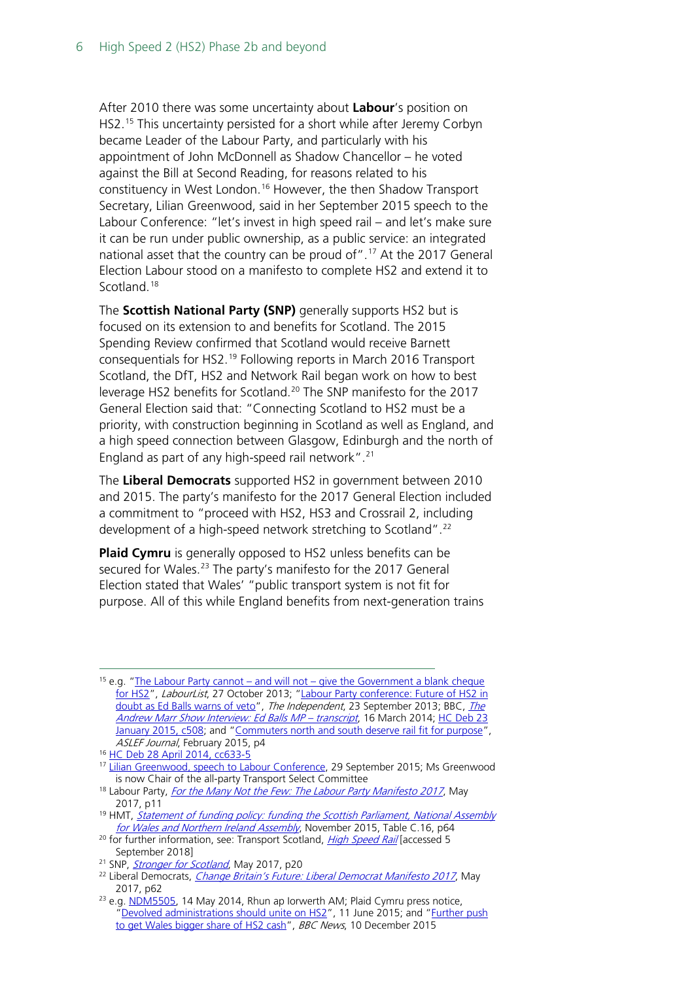After 2010 there was some uncertainty about **Labour**'s position on HS2.[15](#page-5-0) This uncertainty persisted for a short while after Jeremy Corbyn became Leader of the Labour Party, and particularly with his appointment of John McDonnell as Shadow Chancellor – he voted against the Bill at Second Reading, for reasons related to his constituency in West London.<sup>[16](#page-5-1)</sup> However, the then Shadow Transport Secretary, Lilian Greenwood, said in her September 2015 speech to the Labour Conference: "let's invest in high speed rail – and let's make sure it can be run under public ownership, as a public service: an integrated national asset that the country can be proud of".<sup>[17](#page-5-2)</sup> At the 2017 General Election Labour stood on a manifesto to complete HS2 and extend it to Scotland.<sup>[18](#page-5-3)</sup>

The **Scottish National Party (SNP)** generally supports HS2 but is focused on its extension to and benefits for Scotland. The 2015 Spending Review confirmed that Scotland would receive Barnett consequentials for HS2.[19](#page-5-4) Following reports in March 2016 Transport Scotland, the DfT, HS2 and Network Rail began work on how to best leverage HS2 benefits for Scotland.<sup>[20](#page-5-5)</sup> The SNP manifesto for the 2017 General Election said that: "Connecting Scotland to HS2 must be a priority, with construction beginning in Scotland as well as England, and a high speed connection between Glasgow, Edinburgh and the north of England as part of any high-speed rail network".<sup>[21](#page-5-6)</sup>

The **Liberal Democrats** supported HS2 in government between 2010 and 2015. The party's manifesto for the 2017 General Election included a commitment to "proceed with HS2, HS3 and Crossrail 2, including development of a high-speed network stretching to Scotland".[22](#page-5-7)

**Plaid Cymru** is generally opposed to HS2 unless benefits can be secured for Wales.<sup>[23](#page-5-8)</sup> The party's manifesto for the 2017 General Election stated that Wales' "public transport system is not fit for purpose. All of this while England benefits from next-generation trains

<span id="page-5-0"></span><sup>15</sup> e.g. "The Labour Party cannot – and will not – give the Government a blank cheque [for HS2"](http://labourlist.org/2013/10/the-labour-party-cannot-and-will-not-give-the-government-a-blank-cheque-for-hs2/), LabourList, 27 October 2013; ["Labour Party conference: Future of HS2 in](http://www.independent.co.uk/news/uk/politics/labour-party-conference-future-of-hs2-in-doubt-as-ed-balls-warns-of-veto-8834985.html)  [doubt as Ed Balls warns of veto"](http://www.independent.co.uk/news/uk/politics/labour-party-conference-future-of-hs2-in-doubt-as-ed-balls-warns-of-veto-8834985.html), [The](http://news.bbc.co.uk/1/shared/bsp/hi/pdfs/1603141.pdf#page=8) Independent, 23 September 2013; BBC, The [Andrew Marr Show Interview: Ed Balls MP –](http://news.bbc.co.uk/1/shared/bsp/hi/pdfs/1603141.pdf#page=8) transcript, 16 March 2014; HC Deb 23 [January 2015, c508;](http://www.publications.parliament.uk/pa/cm201415/cmhansrd/cm150123/debtext/150123-0002.htm) and ["Commuters north and south deserve rail fit for purpose"](http://www.aslef.org.uk/files/142045/FileName/1502aslefjournal.pdf), ASLEF Journal, February 2015, p4

- <span id="page-5-3"></span><sup>18</sup> Labour Party, *[For the Many Not the Few: The Labour Party Manifesto 2017](https://labour.org.uk/wp-content/uploads/2017/10/labour-manifesto-2017.pdf)*, May 2017, p11
- <span id="page-5-4"></span><sup>19</sup> HMT, *Statement of funding policy: funding the Scottish Parliament, National Assembly* [for Wales and Northern Ireland Assembly](http://webarchive.nationalarchives.gov.uk/20160814122329/https:/www.gov.uk/government/uploads/system/uploads/attachment_data/file/479717/statement_of_funding_2015_print.pdf), November 2015, Table C.16, p64
- <span id="page-5-5"></span> $20$  for further information, see: Transport Scotland, *[High Speed Rail](https://www.transport.gov.scot/projects/high-speed-rail/high-speed-rail/)* [accessed 5 September 2018]
- <span id="page-5-6"></span><sup>21</sup> SNP, *[Stronger for Scotland](https://d3n8a8pro7vhmx.cloudfront.net/thesnp/pages/9544/attachments/original/1496320559/Manifesto_06_01_17.pdf?1496320559)*, May 2017, p20
- <span id="page-5-7"></span><sup>22</sup> Liberal Democrats, *[Change Britain's Future: Liberal Democrat Manifesto 2017](https://d3n8a8pro7vhmx.cloudfront.net/themes/5b8980134764e8e59f56ec6c/attachments/original/1495020157/Manifesto-Final.pdf?1495020157)*, May 2017, p62

<span id="page-5-1"></span><sup>16</sup> [HC Deb 28 April 2014, cc633-5](http://www.publications.parliament.uk/pa/cm201314/cmhansrd/cm140428/debtext/140428-0003.htm)

<span id="page-5-2"></span><sup>&</sup>lt;sup>17</sup> [Lilian Greenwood, speech to Labour Conference,](http://press.labour.org.uk/post/130124189799/speech-by-lilian-greenwood-to-labour-party-annual) 29 September 2015; Ms Greenwood is now Chair of the all-party Transport Select Committee

<span id="page-5-8"></span><sup>&</sup>lt;sup>23</sup> e.g[. NDM5505,](http://www.assembly.wales/en/bus-home/pages/rop.aspx?meetingid=220&language=en&assembly=4&c=Record%20of%20Proceedings&startDt=14/05/2014&endDt=14/05/2014#147816) 14 May 2014, Rhun ap Iorwerth AM; Plaid Cymru press notice, ["Devolved administrations should unite on HS2"](https://www.partyof.wales/news/2015/06/11/plaid-cymru-parliamentary-leader-usges-devolved-administrations-to-unite-on-hs2/), 11 June 2015; and ["Further push](http://www.bbc.co.uk/news/uk-wales-politics-35065694?dm_t=0,0,0,0,0)  [to get Wales bigger share of HS2 cash"](http://www.bbc.co.uk/news/uk-wales-politics-35065694?dm_t=0,0,0,0,0), BBC News, 10 December 2015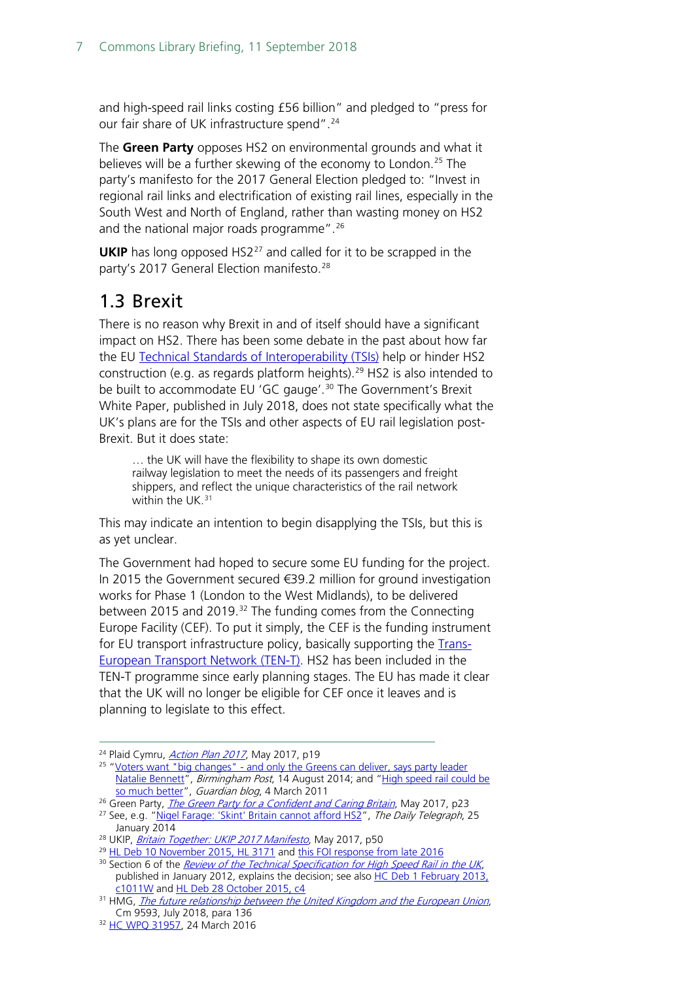and high-speed rail links costing £56 billion" and pledged to "press for our fair share of UK infrastructure spend".<sup>[24](#page-6-1)</sup>

The **Green Party** opposes HS2 on environmental grounds and what it believes will be a further skewing of the economy to London.<sup>[25](#page-6-2)</sup> The party's manifesto for the 2017 General Election pledged to: "Invest in regional rail links and electrification of existing rail lines, especially in the South West and North of England, rather than wasting money on HS2 and the national major roads programme".<sup>[26](#page-6-3)</sup>

**UKIP** has long opposed HS2<sup>[27](#page-6-4)</sup> and called for it to be scrapped in the party's 2017 General Election manifesto.<sup>[28](#page-6-5)</sup>

### <span id="page-6-0"></span>1.3 Brexit

There is no reason why Brexit in and of itself should have a significant impact on HS2. There has been some debate in the past about how far the EU [Technical Standards of Interoperability \(TSIs\)](https://www.rssb.co.uk/standards-and-the-rail-industry/standards-explained/technical-specifications-for-interoperability) help or hinder HS2 construction (e.g. as regards platform heights).<sup>[29](#page-6-6)</sup> HS2 is also intended to be built to accommodate EU 'GC gauge'.<sup>[30](#page-6-7)</sup> The Government's Brexit White Paper, published in July 2018, does not state specifically what the UK's plans are for the TSIs and other aspects of EU rail legislation post-Brexit. But it does state:

… the UK will have the flexibility to shape its own domestic railway legislation to meet the needs of its passengers and freight shippers, and reflect the unique characteristics of the rail network within the UK.<sup>[31](#page-6-8)</sup>

This may indicate an intention to begin disapplying the TSIs, but this is as yet unclear.

The Government had hoped to secure some EU funding for the project. In 2015 the Government secured €39.2 million for ground investigation works for Phase 1 (London to the West Midlands), to be delivered between 2015 and 2019.<sup>[32](#page-6-9)</sup> The funding comes from the Connecting Europe Facility (CEF). To put it simply, the CEF is the funding instrument for EU transport infrastructure policy, basically supporting the [Trans-](http://ec.europa.eu/transport/themes/infrastructure/index_en.htm)[European Transport Network \(TEN-T\).](http://ec.europa.eu/transport/themes/infrastructure/index_en.htm) HS2 has been included in the TEN-T programme since early planning stages. The EU has made it clear that the UK will no longer be eligible for CEF once it leaves and is planning to legislate to this effect.

<span id="page-6-1"></span><sup>&</sup>lt;sup>24</sup> Plaid Cymru, *[Action Plan 2017](https://www.scribd.com/document/348387609/Plaid-Cymru-Defending-Wales-2017-Action-Plan#from_embed)*, May 2017, p19

<span id="page-6-2"></span><sup>&</sup>lt;sup>25</sup> "Voters want "big changes" - and only the Greens can deliver, says party leader [Natalie Bennett"](http://www.birminghampost.co.uk/news/regional-affairs/green-party-leader-natalie-bennett-7615094), Birmingham Post, 14 August 2014; and ["High speed rail could be](http://www.theguardian.com/environment/2011/mar/04/hs2-high-speed-rail)  [so much better"](http://www.theguardian.com/environment/2011/mar/04/hs2-high-speed-rail), Guardian blog, 4 March 2011

<span id="page-6-3"></span><sup>&</sup>lt;sup>26</sup> Green Party, *[The Green Party for a Confident and Caring Britain](https://www.greenparty.org.uk/assets/files/gp2017/greenguaranteepdf.pdf)*, May 2017, p23

<span id="page-6-4"></span><sup>&</sup>lt;sup>27</sup> See, e.g. ["Nigel Farage: 'Skint' Britain cannot afford HS2"](http://www.telegraph.co.uk/news/politics/ukip/10597408/Nigel-Farage-Skint-Britain-cannot-afford-HS2.html), The Daily Telegraph, 25 January 2014

<span id="page-6-5"></span><sup>&</sup>lt;sup>28</sup> UKIP, [Britain Together: UKIP 2017 Manifesto](https://d3n8a8pro7vhmx.cloudfront.net/ukipdev/pages/3944/attachments/original/1495695469/UKIP_Manifesto_June2017opt.pdf?1495695469), May 2017, p50

<span id="page-6-6"></span><sup>&</sup>lt;sup>29</sup> [HL Deb 10 November 2015, HL 3171](http://www.parliament.uk/written-questions-answers-statements/written-question/lords/2015-11-02/HL3171) an[d this FOI response from late 2016](https://www.whatdotheyknow.com/request/hs2_proposed_platform_height)

<span id="page-6-7"></span><sup>&</sup>lt;sup>30</sup> Section 6 of the *[Review of the Technical Specification for High Speed Rail in the UK](https://www.gov.uk/government/uploads/system/uploads/attachment_data/file/8083/hs2-review-of_technical-specification.pdf)*, published in January 2012, explains the decision; see also [HC Deb 1 February 2013,](https://www.publications.parliament.uk/pa/cm201213/cmhansrd/cm130201/text/130201w0002.htm#13020137000787)  [c1011W](https://www.publications.parliament.uk/pa/cm201213/cmhansrd/cm130201/text/130201w0002.htm#13020137000787) and [HL Deb 28 October 2015, c4](http://qnadailyreport.blob.core.windows.net/qnadailyreportxml/Written-Questions-Answers-Statements-Daily-Report-Lords-2015-10-28.pdf)

<span id="page-6-8"></span> $31$  HMG, [The future relationship between the United Kingdom and the European Union](https://assets.publishing.service.gov.uk/government/uploads/system/uploads/attachment_data/file/725288/The_future_relationship_between_the_United_Kingdom_and_the_European_Union.pdf#page=47), Cm 9593, July 2018, para 136

<span id="page-6-9"></span><sup>32</sup> HC WPO 31957, 24 March 2016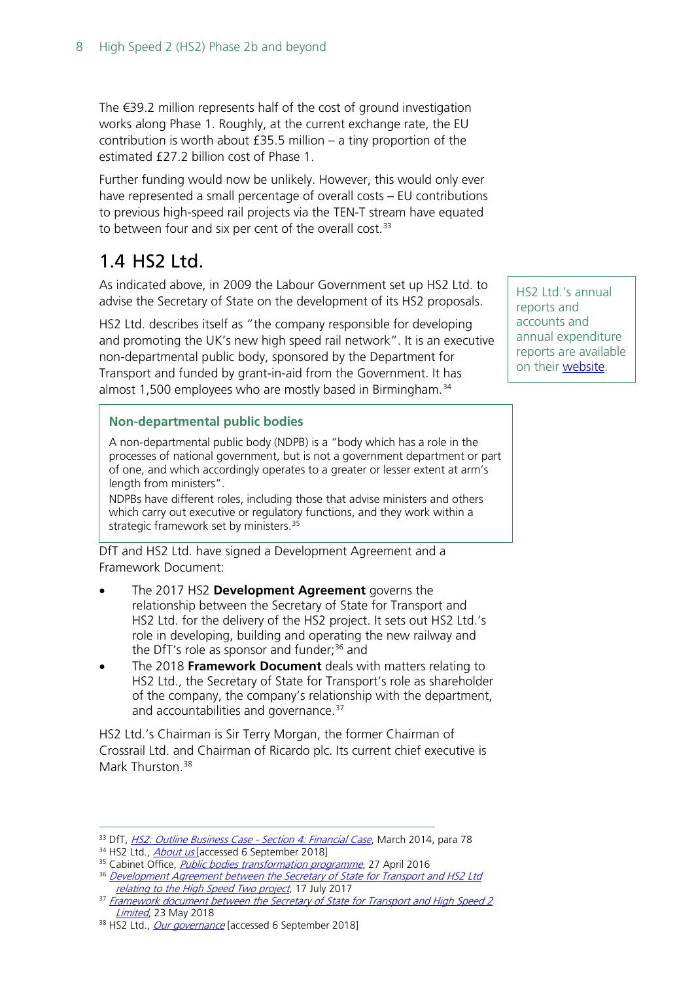The €39.2 million represents half of the cost of ground investigation works along Phase 1. Roughly, at the current exchange rate, the EU contribution is worth about £35.5 million – a tiny proportion of the estimated £27.2 billion cost of Phase 1.

Further funding would now be unlikely. However, this would only ever have represented a small percentage of overall costs – EU contributions to previous high-speed rail projects via the TEN-T stream have equated to between four and six per cent of the overall cost.<sup>[33](#page-7-1)</sup>

### <span id="page-7-0"></span>1.4 HS2 Ltd.

As indicated above, in 2009 the Labour Government set up HS2 Ltd. to advise the Secretary of State on the development of its HS2 proposals.

HS2 Ltd. describes itself as "the company responsible for developing and promoting the UK's new high speed rail network". It is an executive non-departmental public body, sponsored by the Department for Transport and funded by grant-in-aid from the Government. It has almost 1,500 employees who are mostly based in Birmingham.<sup>[34](#page-7-2)</sup>

#### **Non-departmental public bodies**

A non-departmental public body (NDPB) is a "body which has a role in the processes of national government, but is not a government department or part of one, and which accordingly operates to a greater or lesser extent at arm's length from ministers".

NDPBs have different roles, including those that advise ministers and others which carry out executive or regulatory functions, and they work within a strategic framework set by ministers.<sup>[35](#page-7-3)</sup>

DfT and HS2 Ltd. have signed a Development Agreement and a Framework Document:

- The 2017 HS2 **Development Agreement** governs the relationship between the Secretary of State for Transport and HS2 Ltd. for the delivery of the HS2 project. It sets out HS2 Ltd.'s role in developing, building and operating the new railway and the DfT's role as sponsor and funder: $36$  and
- The 2018 **Framework Document** deals with matters relating to HS2 Ltd., the Secretary of State for Transport's role as shareholder of the company, the company's relationship with the department, and accountabilities and governance.<sup>[37](#page-7-5)</sup>

HS2 Ltd.'s Chairman is Sir Terry Morgan, the former Chairman of Crossrail Ltd. and Chairman of Ricardo plc. Its current chief executive is Mark Thurston<sup>[38](#page-7-6)</sup>

HS2 Ltd.'s annual reports and accounts and annual expenditure reports are available on their [website.](https://www.gov.uk/government/organisations/high-speed-two-limited/about)

<span id="page-7-2"></span><span id="page-7-1"></span><sup>&</sup>lt;sup>33</sup> DfT[,](http://webarchive.nationalarchives.gov.uk/20160220044240/https:/www.gov.uk/government/uploads/system/uploads/attachment_data/file/286797/financial-case-hs2.pdf) *HS2: Outline Business Case - Section 4: Financial Case*, March 2014, para 78<br><sup>34</sup> HS2 Ltd., <u>About us</u> [accessed 6 September 2018]

<span id="page-7-3"></span><sup>&</sup>lt;sup>35</sup> Cabinet Office, *[Public bodies transformation programme](http://webarchive.nationalarchives.gov.uk/20161124004122/https:/www.gov.uk/guidance/public-bodies-reform)*, 27 April 2016

<span id="page-7-4"></span><sup>&</sup>lt;sup>36</sup> Development Agreement between the Secretary of State for Transport and HS2 Ltd relating to the [High Speed Two project](https://www.gov.uk/government/publications/hs2-development-agreement-july-2017), 17 July 2017

<span id="page-7-5"></span><sup>&</sup>lt;sup>37</sup> Framework document between the Secretary of State for Transport and High Speed 2 [Limited](https://www.gov.uk/government/publications/hs2-ltd-framework-document-may-2018), 23 May 2018

<span id="page-7-6"></span><sup>38</sup> HS2 Ltd., [Our governance](https://www.gov.uk/government/organisations/high-speed-two-limited/about/our-governance) [accessed 6 September 2018]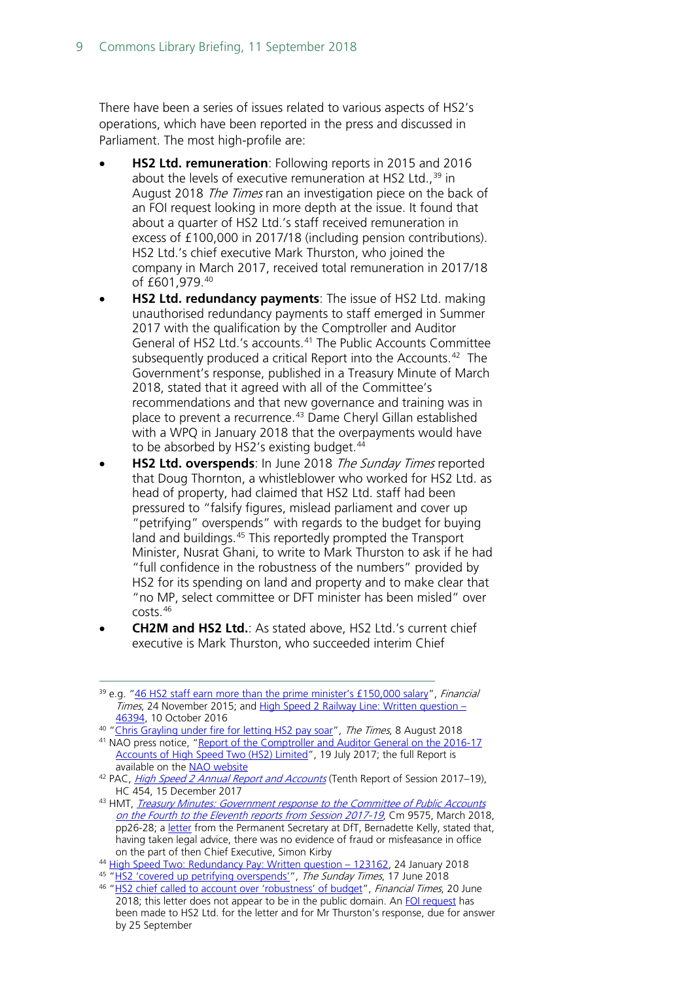There have been a series of issues related to various aspects of HS2's operations, which have been reported in the press and discussed in Parliament. The most high-profile are:

- **HS2 Ltd. remuneration**: Following reports in 2015 and 2016 about the levels of executive remuneration at HS2 Ltd.,  $39$  in August 2018 *The Times* ran an investigation piece on the back of an FOI request looking in more depth at the issue. It found that about a quarter of HS2 Ltd.'s staff received remuneration in excess of £100,000 in 2017/18 (including pension contributions). HS2 Ltd.'s chief executive Mark Thurston, who joined the company in March 2017, received total remuneration in 2017/18 of  $f601.979.^{40}$  $f601.979.^{40}$  $f601.979.^{40}$
- **HS2 Ltd. redundancy payments**: The issue of HS2 Ltd. making unauthorised redundancy payments to staff emerged in Summer 2017 with the qualification by the Comptroller and Auditor General of HS2 Ltd.'s accounts. [41](#page-8-2) The Public Accounts Committee subsequently produced a critical Report into the Accounts.<sup>[42](#page-8-3)</sup> The Government's response, published in a Treasury Minute of March 2018, stated that it agreed with all of the Committee's recommendations and that new governance and training was in place to prevent a recurrence.[43](#page-8-4) Dame Cheryl Gillan established with a WPQ in January 2018 that the overpayments would have to be absorbed by HS2's existing budget.<sup>[44](#page-8-5)</sup>
- **HS2 Ltd. overspends:** In June 2018 The Sunday Times reported that Doug Thornton, a whistleblower who worked for HS2 Ltd. as head of property, had claimed that HS2 Ltd. staff had been pressured to "falsify figures, mislead parliament and cover up "petrifying" overspends" with regards to the budget for buying land and buildings.<sup>[45](#page-8-6)</sup> This reportedly prompted the Transport Minister, Nusrat Ghani, to write to Mark Thurston to ask if he had "full confidence in the robustness of the numbers" provided by HS2 for its spending on land and property and to make clear that "no MP, select committee or DFT minister has been misled" over costs.[46](#page-8-7)
- **CH2M and HS2 Ltd.**: As stated above, HS2 Ltd.'s current chief executive is Mark Thurston, who succeeded interim Chief

<span id="page-8-4"></span>43 HMT, Treasury Minutes: Government response to the Committee of Public Accounts [on the Fourth to the Eleventh reports from Session 2017-19](https://www.parliament.uk/documents/commons-committees/public-accounts/Cm-9575-Treasury-Minutes-march-2018.pdf#page=30), Cm 9575, March 2018, pp26-28; a [letter](https://www.parliament.uk/documents/commons-committees/public-accounts/Correspondence/2017-19/Correspondence-dft-%20HS2-161117.pdf) from the Permanent Secretary at DfT, Bernadette Kelly, stated that, having taken legal advice, there was no evidence of fraud or misfeasance in office on the part of then Chief Executive, Simon Kirby

<span id="page-8-0"></span><sup>&</sup>lt;sup>39</sup> e.g. ["46 HS2 staff earn more than the prime minister's £150,000 salary"](https://www.ft.com/content/61f1430c-92ca-11e5-bd82-c1fb87bef7af), Financial Times, 24 November 2015; and [High Speed 2 Railway Line: Written question –](https://www.parliament.uk/written-questions-answers-statements/written-question/commons/2016-09-14/46394) [46394,](https://www.parliament.uk/written-questions-answers-statements/written-question/commons/2016-09-14/46394) 10 October 2016

<span id="page-8-1"></span><sup>&</sup>lt;sup>40</sup> ["Chris Grayling under fire for letting HS2 pay soar"](https://www.thetimes.co.uk/article/quarter-of-hs2-workers-on-pay-deals-over-100k-h7cfxm09x), The Times, 8 August 2018

<span id="page-8-2"></span><sup>41</sup> NAO press notice, ["Report of the Comptroller and Auditor General on the 2016-17](https://www.nao.org.uk/press-release/report-of-the-comptroller-and-auditor-general-on-the-2016-17-accounts-of-high-speed-two-hs2-limited/)  [Accounts of High Speed Two \(HS2\) Limited"](https://www.nao.org.uk/press-release/report-of-the-comptroller-and-auditor-general-on-the-2016-17-accounts-of-high-speed-two-hs2-limited/), 19 July 2017; the full Report is available on the [NAO website](https://www.nao.org.uk/wp-content/uploads/2017/07/Report-of-the-Comptroller-and-Auditor-General-on-the-2016-17-Accounts-of-High-Speed-Two-Limited.pdf)

<span id="page-8-3"></span><sup>&</sup>lt;sup>42</sup> PAC, *[High Speed 2 Annual Report and Accounts](https://publications.parliament.uk/pa/cm201719/cmselect/cmpubacc/454/454.pdf)* (Tenth Report of Session 2017–19), HC 454, 15 December 2017

<sup>44</sup> [High Speed Two: Redundancy Pay: Written question –](https://www.parliament.uk/written-questions-answers-statements/written-question/commons/2018-01-16/123162) 123162, 24 January 2018

<span id="page-8-7"></span><span id="page-8-6"></span><span id="page-8-5"></span><sup>45</sup> ["HS2 'covered up petrifying overspends'"](https://www.thetimes.co.uk/article/hs2-covered-up-petrifying-overspends-mzxhr0nq3), The Sunday Times, 17 June 2018

<sup>&</sup>lt;sup>46</sup> ["HS2 chief called to account over 'robustness' of budget"](https://www.ft.com/content/6fb315ba-73b4-11e8-aa31-31da4279a601), Financial Times, 20 June 2018; this letter does not appear to be in the public domain. An [FOI request](https://www.whatdotheyknow.com/request/nus_ghani_letter_to_mark_thursto) has been made to HS2 Ltd. for the letter and for Mr Thurston's response, due for answer by 25 September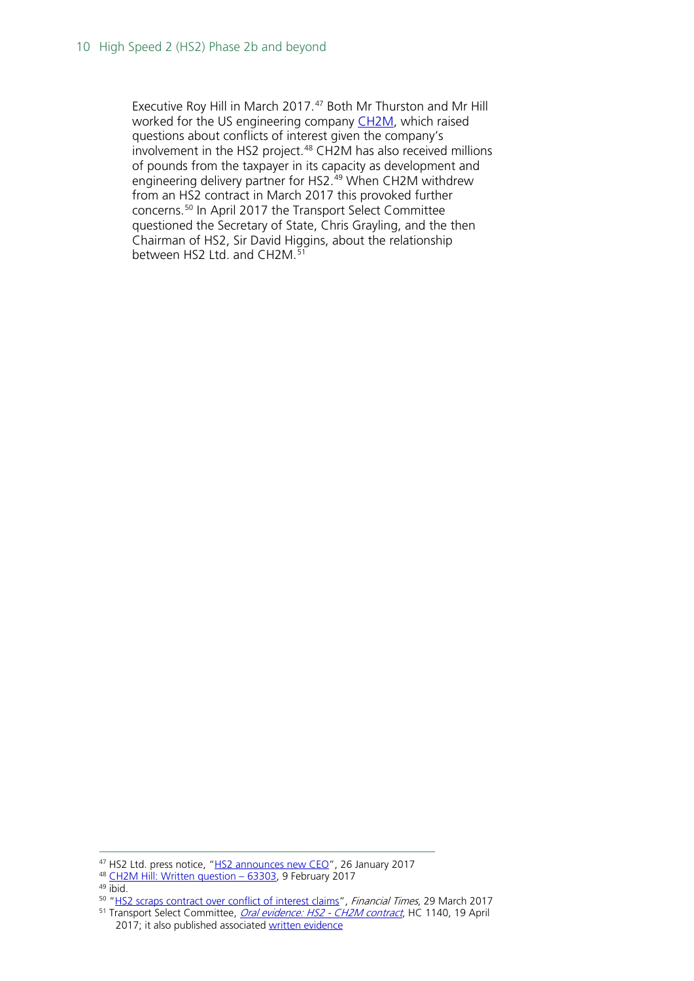Executive Roy Hill in March 2017.<sup>[47](#page-9-0)</sup> Both Mr Thurston and Mr Hill worked for the US engineering company [CH2M,](https://www.ch2m.com/what-we-do) which raised questions about conflicts of interest given the company's involvement in the HS2 project.<sup>[48](#page-9-1)</sup> CH2M has also received millions of pounds from the taxpayer in its capacity as development and engineering delivery partner for HS2.<sup>[49](#page-9-2)</sup> When CH2M withdrew from an HS2 contract in March 2017 this provoked further concerns.[50](#page-9-3) In April 2017 the Transport Select Committee questioned the Secretary of State, Chris Grayling, and the then Chairman of HS2, Sir David Higgins, about the relationship between HS2 Ltd. and CH2M.<sup>[51](#page-9-4)</sup>

<span id="page-9-0"></span><sup>47</sup> HS2 Ltd. press notice, ["HS2 announces new CEO"](https://www.gov.uk/government/news/hs2-announces-new-ceo), 26 January 2017

<span id="page-9-1"></span><sup>48</sup> [CH2M Hill: Written question –](http://www.parliament.uk/written-questions-answers-statements/written-question/commons/2017-02-06/63303) 63303, 9 February 2017

<span id="page-9-2"></span><sup>49</sup> ibid.

<span id="page-9-4"></span><span id="page-9-3"></span><sup>&</sup>lt;sup>50</sup> ["HS2 scraps contract over conflict of interest claims"](https://www.ft.com/content/de63f8aa-1481-11e7-80f4-13e067d5072c), Financial Times, 29 March 2017 <sup>51</sup> Transport Select Committee, *[Oral evidence: HS2 -](http://data.parliament.uk/writtenevidence/committeeevidence.svc/evidencedocument/transport-committee/hs2-ch2m-contract/oral/69149.html) CH2M contract*, HC 1140, 19 April

<sup>2017;</sup> it also published associated [written evidence](https://www.parliament.uk/business/committees/committees-a-z/commons-select/transport-committee/inquiries/parliament-2015/hs2-ch2m-contract-16-17/publications/)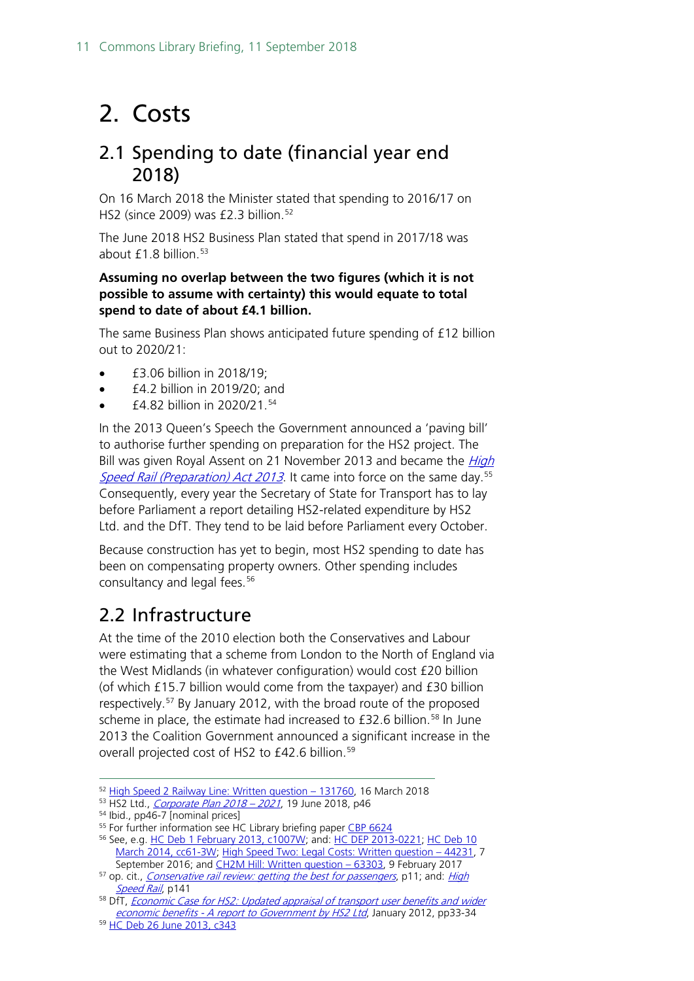## <span id="page-10-0"></span>2. Costs

### <span id="page-10-1"></span>2.1 Spending to date (financial year end 2018)

On 16 March 2018 the Minister stated that spending to 2016/17 on HS2 (since 2009) was  $£2.3$  billion.<sup>[52](#page-10-3)</sup>

The June 2018 HS2 Business Plan stated that spend in 2017/18 was about  $f1.8$  billion.<sup>[53](#page-10-4)</sup>

#### **Assuming no overlap between the two figures (which it is not possible to assume with certainty) this would equate to total spend to date of about £4.1 billion.**

The same Business Plan shows anticipated future spending of £12 billion out to 2020/21:

- £3.06 billion in 2018/19;
- £4.2 billion in 2019/20; and
- £4.82 billion in 2020/21.[54](#page-10-5)

In the 2013 Queen's Speech the Government announced a 'paving bill' to authorise further spending on preparation for the HS2 project. The Bill was given Royal Assent on 21 November 2013 and became the *High* [Speed Rail \(Preparation\) Act 2013](http://www.legislation.gov.uk/ukpga/2013/31/contents/enacted). It came into force on the same day.<sup>[55](#page-10-6)</sup> Consequently, every year the Secretary of State for Transport has to lay before Parliament a report detailing HS2-related expenditure by HS2 Ltd. and the DfT. They tend to be laid before Parliament every October.

Because construction has yet to begin, most HS2 spending to date has been on compensating property owners. Other spending includes consultancy and legal fees.<sup>[56](#page-10-7)</sup>

### <span id="page-10-2"></span>2.2 Infrastructure

At the time of the 2010 election both the Conservatives and Labour were estimating that a scheme from London to the North of England via the West Midlands (in whatever configuration) would cost £20 billion (of which £15.7 billion would come from the taxpayer) and £30 billion respectively.[57](#page-10-8) By January 2012, with the broad route of the proposed scheme in place, the estimate had increased to £32.6 billion. [58](#page-10-9) In June 2013 the Coalition Government announced a significant increase in the overall projected cost of HS2 to £42.6 billion.<sup>[59](#page-10-10)</sup>

<span id="page-10-3"></span> <sup>52</sup> [High Speed 2 Railway Line: Written question –](https://www.parliament.uk/written-questions-answers-statements/written-question/commons/2018-03-08/131760) 131760, 16 March 2018

<span id="page-10-4"></span><sup>53</sup> HS2 Ltd., [Corporate Plan 2018 –](https://s3-eu-west-2.amazonaws.com/1042421-static-assets-production/wp-content/uploads/2018/06/15160731/HS2_Corporate-Plan_2018-to-2021.pdf#page=48) 2021, 19 June 2018, p46

<sup>54</sup> Ibid., pp46-7 [nominal prices]

<span id="page-10-6"></span><span id="page-10-5"></span><sup>&</sup>lt;sup>55</sup> For further information see HC Library briefing pape[r CBP 6624](http://researchbriefings.parliament.uk/ResearchBriefing/Summary/SN06624)

<span id="page-10-7"></span><sup>56</sup> See, e.g. [HC Deb 1 February 2013, c1007W;](http://www.publications.parliament.uk/pa/cm201213/cmhansrd/cm130201/text/130201w0002.htm#13020137000747) and[: HC DEP 2013-0221;](http://data.parliament.uk/DepositedPapers/Files/DEP2013-0221/140746-HS2ConsultantContractsStatus.xls) [HC Deb 10](http://www.publications.parliament.uk/pa/cm201314/cmhansrd/cm140310/text/140310w0002.htm#14031035000107)  [March 2014, cc61-3W;](http://www.publications.parliament.uk/pa/cm201314/cmhansrd/cm140310/text/140310w0002.htm#14031035000107) [High Speed Two: Legal Costs: Written question –](http://www.parliament.uk/written-questions-answers-statements/written-question/commons/2016-09-02/44231) 44231, 7 September 2016; and CH2M Hill: Written question - 63303, 9 February 2017

<span id="page-10-8"></span><sup>&</sup>lt;sup>57</sup> op. cit., *[Conservative rail review: getting the best for passengers](http://web.archive.org/web/20100311205140/http:/www.conservatives.com/Policy/Where_we_stand/Transport.aspx)*, p11; and: *High* [Speed Rail](http://webarchive.nationalarchives.gov.uk/20100407011027/http:/www.dft.gov.uk/pgr/rail/pi/highspeedrail/commandpaper/pdf/cmdpaper.pdf), p141

<span id="page-10-9"></span><sup>&</sup>lt;sup>58</sup> DfT, *Economic Case for HS2: Updated appraisal of transport user benefits and wider* economic benefits - [A report to Government by HS2 Ltd](http://webarchive.nationalarchives.gov.uk/20150210021848/https:/www.gov.uk/government/uploads/system/uploads/attachment_data/file/3650/hs2-economic-case-appraisal-update.pdf), January 2012, pp33-34

<span id="page-10-10"></span><sup>59</sup> [HC Deb 26 June 2013, c343](http://www.publications.parliament.uk/pa/cm201314/cmhansrd/cm130626/debtext/130626-0002.htm#13062665000001)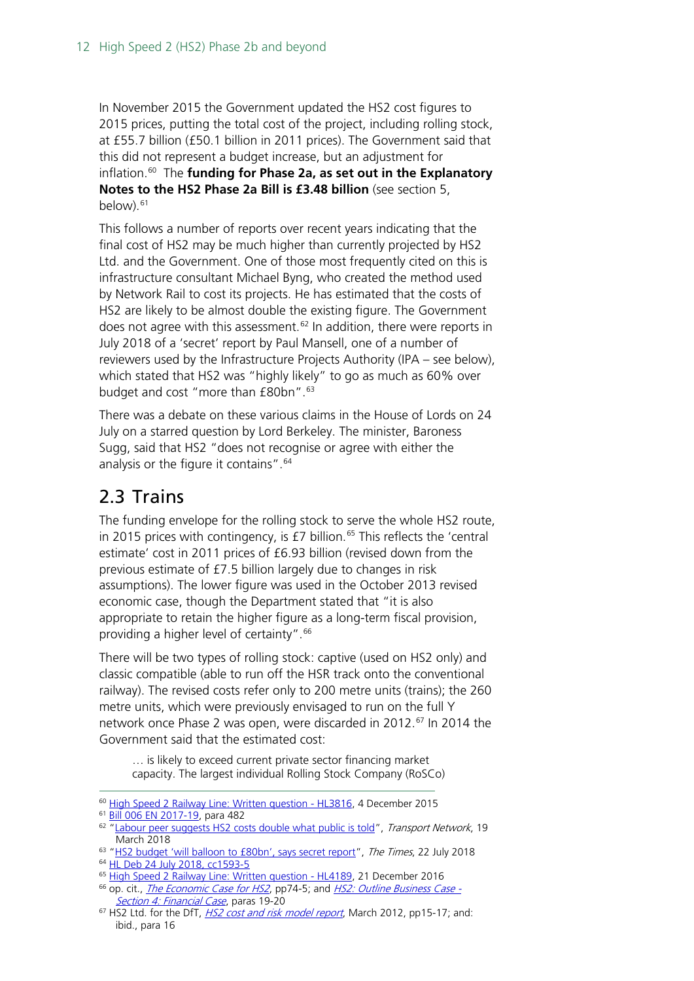In November 2015 the Government updated the HS2 cost figures to 2015 prices, putting the total cost of the project, including rolling stock, at £55.7 billion (£50.1 billion in 2011 prices). The Government said that this did not represent a budget increase, but an adjustment for inflation.[60](#page-11-1) The **funding for Phase 2a, as set out in the Explanatory Notes to the HS2 Phase 2a Bill is £3.48 billion** (see section 5, below). $61$ 

This follows a number of reports over recent years indicating that the final cost of HS2 may be much higher than currently projected by HS2 Ltd. and the Government. One of those most frequently cited on this is infrastructure consultant Michael Byng, who created the method used by Network Rail to cost its projects. He has estimated that the costs of HS2 are likely to be almost double the existing figure. The Government does not agree with this assessment.<sup>[62](#page-11-3)</sup> In addition, there were reports in July 2018 of a 'secret' report by Paul Mansell, one of a number of reviewers used by the Infrastructure Projects Authority (IPA – see below), which stated that HS2 was "highly likely" to go as much as 60% over budget and cost "more than £80bn".<sup>[63](#page-11-4)</sup>

There was a debate on these various claims in the House of Lords on 24 July on a starred question by Lord Berkeley. The minister, Baroness Sugg, said that HS2 "does not recognise or agree with either the analysis or the figure it contains".<sup>[64](#page-11-5)</sup>

### <span id="page-11-0"></span>2.3 Trains

The funding envelope for the rolling stock to serve the whole HS2 route, in 2015 prices with contingency, is  $E7$  billion.<sup>[65](#page-11-6)</sup> This reflects the 'central estimate' cost in 2011 prices of £6.93 billion (revised down from the previous estimate of £7.5 billion largely due to changes in risk assumptions). The lower figure was used in the October 2013 revised economic case, though the Department stated that "it is also appropriate to retain the higher figure as a long-term fiscal provision, providing a higher level of certainty".<sup>[66](#page-11-7)</sup>

There will be two types of rolling stock: captive (used on HS2 only) and classic compatible (able to run off the HSR track onto the conventional railway). The revised costs refer only to 200 metre units (trains); the 260 metre units, which were previously envisaged to run on the full Y network once Phase 2 was open, were discarded in 2012.<sup>[67](#page-11-8)</sup> In 2014 the Government said that the estimated cost:

… is likely to exceed current private sector financing market capacity. The largest individual Rolling Stock Company (RoSCo)

<span id="page-11-1"></span><sup>&</sup>lt;sup>60</sup> [High Speed 2 Railway Line: Written question -](http://www.parliament.uk/written-questions-answers-statements/written-question/lords/2015-11-23/HL3816) HL3816, 4 December 2015

<span id="page-11-2"></span><sup>61</sup> [Bill 006 EN 2017-19,](http://publications.parliament.uk/pa/bills/cbill/2017-2019/0006/en/18006en.pdf) para 482

<span id="page-11-3"></span><sup>&</sup>lt;sup>62</sup> ["Labour peer suggests HS2 costs double what public is told"](https://www.transport-network.co.uk/Labour-peer-suggests-HS2-costs-double-what-public-is-told/14910), Transport Network, 19 March 2018

<span id="page-11-5"></span><span id="page-11-4"></span><sup>&</sup>lt;sup>63</sup> ["HS2 budget 'will balloon to £80bn', says secret report"](https://www.thetimes.co.uk/article/hs2-budget-will-balloon-to-80bn-says-secret-report-r9qtwpbpl), The Times, 22 July 2018

<sup>64</sup> [HL Deb 24 July 2018, cc1593-5](https://hansard.parliament.uk/lords/2018-07-24/debates/E3E39C89-52F7-4C21-B8B4-CEBBF518F007/HS2BudgetAndCosts)

<span id="page-11-6"></span><sup>&</sup>lt;sup>65</sup> [High Speed 2 Railway Line: Written question -](http://www.parliament.uk/written-questions-answers-statements/written-question/lords/2016-12-15/HL4189) HL4189, 21 December 2016

<span id="page-11-7"></span><sup>&</sup>lt;sup>66</sup> op. cit., *[The Economic Case for HS2](http://webarchive.nationalarchives.gov.uk/20140605111005/http:/assets.hs2.org.uk/sites/default/files/inserts/S%26A%201_Economic%20case_0.pdf)*, pp74-5; and *[HS2: Outline Business Case -](http://webarchive.nationalarchives.gov.uk/20150207135346/https:/www.gov.uk/government/uploads/system/uploads/attachment_data/file/286797/financial-case-hs2.pdf)* [Section 4: Financial Case](http://webarchive.nationalarchives.gov.uk/20150207135346/https:/www.gov.uk/government/uploads/system/uploads/attachment_data/file/286797/financial-case-hs2.pdf), paras 19-20

<span id="page-11-8"></span> $67$  HS2 Ltd. for the DfT, *[HS2 cost and risk model report](http://webarchive.nationalarchives.gov.uk/20150208230440/https:/www.gov.uk/government/uploads/system/uploads/attachment_data/file/69741/hs2-cost-and-risk-model-report.pdf)*, March 2012, pp15-17; and: ibid., para 16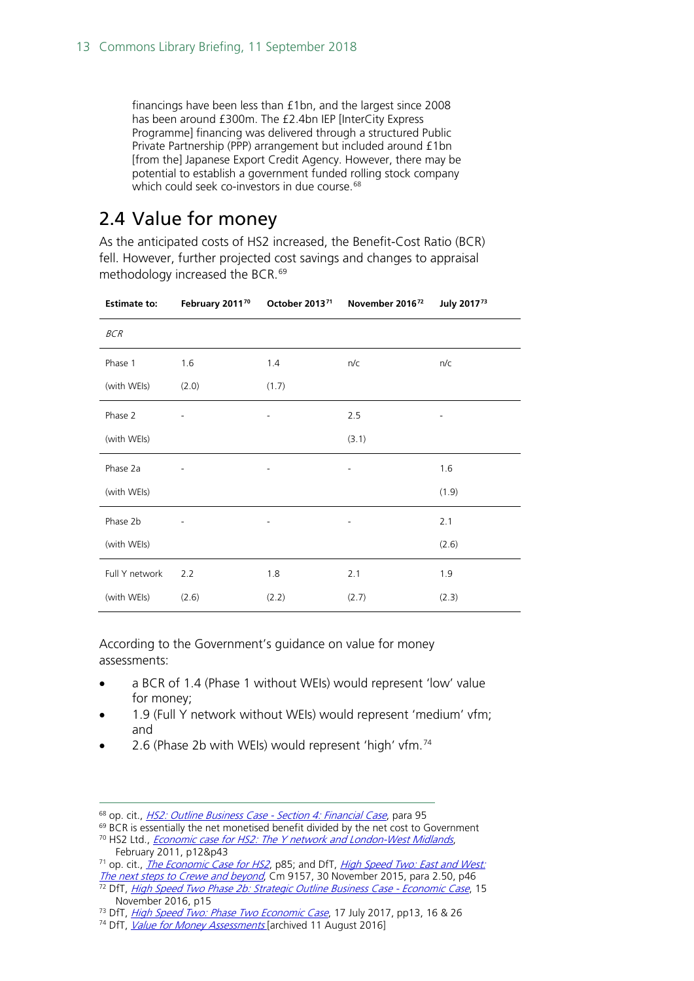financings have been less than £1bn, and the largest since 2008 has been around £300m. The £2.4bn IEP [InterCity Express Programme] financing was delivered through a structured Public Private Partnership (PPP) arrangement but included around £1bn [from the] Japanese Export Credit Agency. However, there may be potential to establish a government funded rolling stock company which could seek co-investors in due course.<sup>[68](#page-12-1)</sup>

### <span id="page-12-0"></span>2.4 Value for money

As the anticipated costs of HS2 increased, the Benefit-Cost Ratio (BCR) fell. However, further projected cost savings and changes to appraisal methodology increased the BCR.<sup>[69](#page-12-2)</sup>

| <b>Estimate to:</b> | February 2011 <sup>70</sup> | October 2013 <sup>71</sup>   | November 201672          | July 201773              |
|---------------------|-----------------------------|------------------------------|--------------------------|--------------------------|
| <b>BCR</b>          |                             |                              |                          |                          |
| Phase 1             | 1.6                         | 1.4                          | n/c                      | n/c                      |
| (with WEIs)         | (2.0)                       | (1.7)                        |                          |                          |
| Phase 2             | -                           | $\overline{\phantom{a}}$     | 2.5                      | $\overline{\phantom{a}}$ |
| (with WEIs)         |                             |                              | (3.1)                    |                          |
| Phase 2a            |                             |                              | $\overline{\phantom{0}}$ | 1.6                      |
| (with WEIs)         |                             |                              |                          | (1.9)                    |
| Phase 2b            |                             | $\qquad \qquad \blacksquare$ | $\overline{\phantom{a}}$ | 2.1                      |
| (with WEIs)         |                             |                              |                          | (2.6)                    |
| Full Y network      | 2.2                         | 1.8                          | 2.1                      | 1.9                      |
| (with WEIs)         | (2.6)                       | (2.2)                        | (2.7)                    | (2.3)                    |

According to the Government's guidance on value for money assessments:

- a BCR of 1.4 (Phase 1 without WEIs) would represent 'low' value for money;
- 1.9 (Full Y network without WEIs) would represent 'medium' vfm; and
- 2.6 (Phase 2b with WEIs) would represent 'high' vfm.[74](#page-12-7)

<span id="page-12-2"></span><span id="page-12-1"></span><sup>68</sup> op. cit., *[HS2: Outline Business Case -](http://webarchive.nationalarchives.gov.uk/20150207135346/https:/www.gov.uk/government/uploads/system/uploads/attachment_data/file/286797/financial-case-hs2.pdf) Section 4: Financial Case*, para 95

 $69$  BCR is essentially the net monetised benefit divided by the net cost to Government <sup>70</sup> HS2 Ltd., *[Economic case for HS2: The Y network and London-West Midlands](http://webarchive.nationalarchives.gov.uk/20110720163056/http:/highspeedrail.dft.gov.uk/sites/highspeedrail.dft.gov.uk/files/hs2-economic-case.pdf)*,

<span id="page-12-3"></span>February 2011, p12&p43 <sup>71</sup> op. cit., *[The Economic Case for HS2](http://web.archive.org/web/20140430014418/http:/assets.hs2.org.uk/sites/default/files/inserts/S%26A%201_Economic%20case_0.pdf)*, p85; and DfT, *[High Speed Two: East and West:](http://webarchive.nationalarchives.gov.uk/20160811030455/https:/www.gov.uk/government/uploads/system/uploads/attachment_data/file/480712/hs2-east-and-west.pdf)* 

<span id="page-12-4"></span>[The next steps to Crewe and beyond](http://webarchive.nationalarchives.gov.uk/20160811030455/https:/www.gov.uk/government/uploads/system/uploads/attachment_data/file/480712/hs2-east-and-west.pdf), Cm 9157, 30 November 2015, para 2.50, p46

<span id="page-12-5"></span><sup>&</sup>lt;sup>72</sup> DfT, *[High Speed Two Phase 2b: Strategic Outline Business Case -](https://www.gov.uk/government/uploads/system/uploads/attachment_data/file/568369/hs2-phase-2b-sobc-economic-case.pdf) Economic Case*, 15 November 2016, p15

<span id="page-12-6"></span><sup>&</sup>lt;sup>73</sup> DfT, *[High Speed Two: Phase Two Economic Case](https://www.gov.uk/government/uploads/system/uploads/attachment_data/file/634196/high-speed-two-phase-two-economic-case.pdf)*, 17 July 2017, pp13, 16 & 26

<span id="page-12-7"></span><sup>&</sup>lt;sup>74</sup> DfT, *[Value for Money Assessments](http://webarchive.nationalarchives.gov.uk/20160811030455/https:/www.gov.uk/government/uploads/system/uploads/attachment_data/file/255126/value-for-money-external.pdf)* [archived 11 August 2016]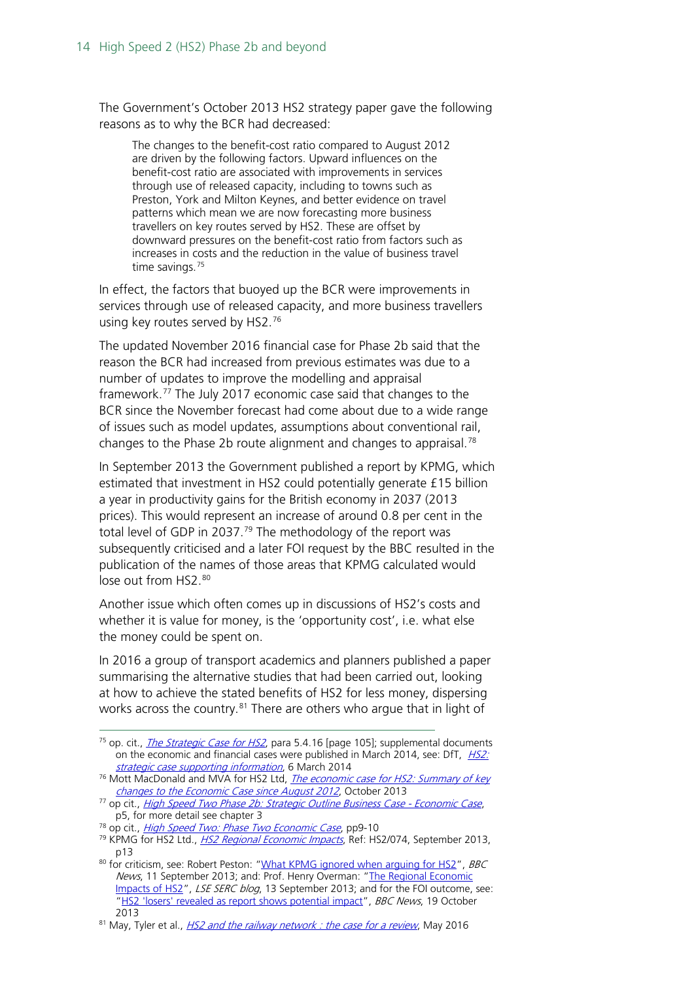The Government's October 2013 HS2 strategy paper gave the following reasons as to why the BCR had decreased:

The changes to the benefit-cost ratio compared to August 2012 are driven by the following factors. Upward influences on the benefit-cost ratio are associated with improvements in services through use of released capacity, including to towns such as Preston, York and Milton Keynes, and better evidence on travel patterns which mean we are now forecasting more business travellers on key routes served by HS2. These are offset by downward pressures on the benefit-cost ratio from factors such as increases in costs and the reduction in the value of business travel time savings.<sup>[75](#page-13-0)</sup>

In effect, the factors that buoyed up the BCR were improvements in services through use of released capacity, and more business travellers using key routes served by HS2.<sup>[76](#page-13-1)</sup>

The updated November 2016 financial case for Phase 2b said that the reason the BCR had increased from previous estimates was due to a number of updates to improve the modelling and appraisal framework.[77](#page-13-2) The July 2017 economic case said that changes to the BCR since the November forecast had come about due to a wide range of issues such as model updates, assumptions about conventional rail, changes to the Phase 2b route alignment and changes to appraisal.<sup>[78](#page-13-3)</sup>

In September 2013 the Government published a report by KPMG, which estimated that investment in HS2 could potentially generate £15 billion a year in productivity gains for the British economy in 2037 (2013 prices). This would represent an increase of around 0.8 per cent in the total level of GDP in 2037.<sup>[79](#page-13-4)</sup> The methodology of the report was subsequently criticised and a later FOI request by the BBC resulted in the publication of the names of those areas that KPMG calculated would lose out from HS2.<sup>[80](#page-13-5)</sup>

Another issue which often comes up in discussions of HS2's costs and whether it is value for money, is the 'opportunity cost', i.e. what else the money could be spent on.

In 2016 a group of transport academics and planners published a paper summarising the alternative studies that had been carried out, looking at how to achieve the stated benefits of HS2 for less money, dispersing works across the country.<sup>[81](#page-13-6)</sup> There are others who argue that in light of

<span id="page-13-0"></span> $75$  op. cit., *[The Strategic Case for HS2](http://webarchive.nationalarchives.gov.uk/20150201012457/https:/www.gov.uk/government/publications/hs2-strategic-case)*, para 5.4.16 [page 105]; supplemental documents on the economic and financial cases were published in March 2014, see: DfT,  $H_2$ [strategic case supporting information](http://webarchive.nationalarchives.gov.uk/20150131193152/https:/www.gov.uk/government/publications/hs2-strategic-case-supporting-information), 6 March 2014

<span id="page-13-1"></span><sup>&</sup>lt;sup>76</sup> Mott MacDonald and MVA for HS2 Ltd, *The economic case for HS2: Summary of key* [changes to the Economic Case since August 2012](http://web.archive.org/web/20150225170320/http:/assets.hs2.org.uk/sites/default/files/inserts/S%26A%207_Summary%20of%20key%20changes%20since%20August%202012.pdf), October 2013

<span id="page-13-2"></span><sup>&</sup>lt;sup>77</sup> op cit., *[High Speed Two Phase 2b: Strategic Outline Business Case -](https://www.gov.uk/government/uploads/system/uploads/attachment_data/file/568369/hs2-phase-2b-sobc-economic-case.pdf) Economic Case*, p5, for more detail see chapter 3

<span id="page-13-3"></span><sup>&</sup>lt;sup>78</sup> op cit., *[High Speed Two: Phase Two Economic Case](https://www.gov.uk/government/uploads/system/uploads/attachment_data/file/634196/high-speed-two-phase-two-economic-case.pdf)*, pp9-10

<span id="page-13-4"></span><sup>&</sup>lt;sup>79</sup> KPMG for HS2 Ltd., *[HS2 Regional Economic Impacts](http://web.archive.org/web/20140429192250/http:/assets.hs2.org.uk/sites/default/files/inserts/HS2%20Regional%20Economic%20Impacts.pdf)*, Ref: HS2/074, September 2013, p13

<span id="page-13-5"></span><sup>80</sup> for criticism, see: Robert Peston: ["What KPMG ignored when arguing for HS2"](http://www.bbc.co.uk/news/business-24047047), BBC News, 11 September 2013; and: Prof. Henry Overman: ["The Regional Economic](http://spatial-economics.blogspot.co.uk/2013/09/the-regional-economic-impacts-of-hs2.html)  [Impacts of HS2"](http://spatial-economics.blogspot.co.uk/2013/09/the-regional-economic-impacts-of-hs2.html), LSE SERC blog, 13 September 2013; and for the FOI outcome, see: ["HS2 'losers' revealed as report shows potential impact"](http://www.bbc.co.uk/news/uk-24589652), BBC News, 19 October 2013

<span id="page-13-6"></span> $81$  May, Tyler et al., *[HS2 and the railway network : the case for a review](https://www.its.leeds.ac.uk/fileadmin/documents/HS2_-_the_case_for_a_review.pdf)*, May 2016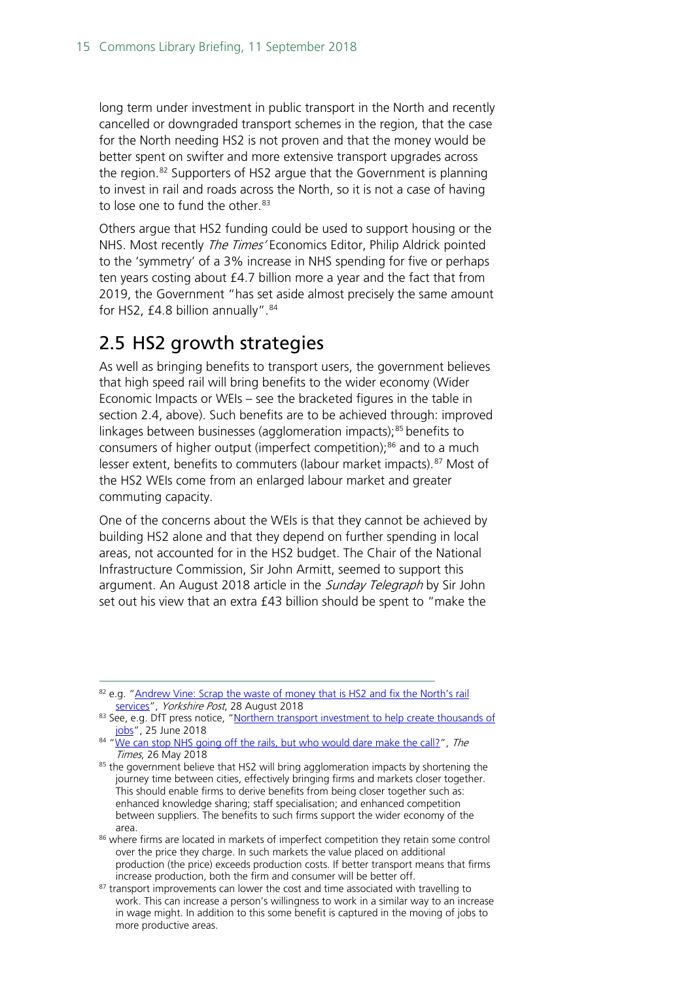long term under investment in public transport in the North and recently cancelled or downgraded transport schemes in the region, that the case for the North needing HS2 is not proven and that the money would be better spent on swifter and more extensive transport upgrades across the region.<sup>[82](#page-14-1)</sup> Supporters of HS2 argue that the Government is planning to invest in rail and roads across the North, so it is not a case of having to lose one to fund the other.<sup>[83](#page-14-2)</sup>

Others argue that HS2 funding could be used to support housing or the NHS. Most recently *The Times'* Economics Editor, Philip Aldrick pointed to the 'symmetry' of a 3% increase in NHS spending for five or perhaps ten years costing about £4.7 billion more a year and the fact that from 2019, the Government "has set aside almost precisely the same amount for HS2,  $£4.8$  billion annually".  $84$ 

### <span id="page-14-0"></span>2.5 HS2 growth strategies

As well as bringing benefits to transport users, the government believes that high speed rail will bring benefits to the wider economy (Wider Economic Impacts or WEIs – see the bracketed figures in the table in section 2.4, above). Such benefits are to be achieved through: improved linkages between businesses (agglomeration impacts);<sup>[85](#page-14-4)</sup> benefits to consumers of higher output (imperfect competition);<sup>[86](#page-14-5)</sup> and to a much lesser extent, benefits to commuters (labour market impacts).<sup>[87](#page-14-6)</sup> Most of the HS2 WEIs come from an enlarged labour market and greater commuting capacity.

One of the concerns about the WEIs is that they cannot be achieved by building HS2 alone and that they depend on further spending in local areas, not accounted for in the HS2 budget. The Chair of the National Infrastructure Commission, Sir John Armitt, seemed to support this argument. An August 2018 article in the Sunday Telegraph by Sir John set out his view that an extra £43 billion should be spent to "make the

<span id="page-14-1"></span> <sup>82</sup> e.g. ["Andrew Vine: Scrap the waste of money that is HS2 and fix the North's rail](https://www.yorkshirepost.co.uk/news/opinion/andrew-vine-scrap-the-waste-of-money-that-is-hs2-and-fix-the-north-s-rail-services-1-9321566)  [services"](https://www.yorkshirepost.co.uk/news/opinion/andrew-vine-scrap-the-waste-of-money-that-is-hs2-and-fix-the-north-s-rail-services-1-9321566), Yorkshire Post, 28 August 2018

<span id="page-14-2"></span><sup>83</sup> See, e.g. DfT press notice, "Northern transport investment to help create thousands of [jobs"](https://www.gov.uk/government/news/northern-transport-investment-to-help-create-thousands-of-jobs), 25 June 2018

<span id="page-14-3"></span> $84$  ["We can stop NHS going off the rails, but who would dare make the call?"](https://www.thetimes.co.uk/article/we-can-stop-nhs-going-off-the-rails-but-who-would-dare-make-the-call-050f393v5), The Times, 26 May 2018

<span id="page-14-4"></span><sup>&</sup>lt;sup>85</sup> the government believe that HS2 will bring agglomeration impacts by shortening the journey time between cities, effectively bringing firms and markets closer together. This should enable firms to derive benefits from being closer together such as: enhanced knowledge sharing; staff specialisation; and enhanced competition between suppliers. The benefits to such firms support the wider economy of the area.

<span id="page-14-5"></span><sup>86</sup> where firms are located in markets of imperfect competition they retain some control over the price they charge. In such markets the value placed on additional production (the price) exceeds production costs. If better transport means that firms increase production, both the firm and consumer will be better off.

<span id="page-14-6"></span><sup>&</sup>lt;sup>87</sup> transport improvements can lower the cost and time associated with travelling to work. This can increase a person's willingness to work in a similar way to an increase in wage might. In addition to this some benefit is captured in the moving of jobs to more productive areas.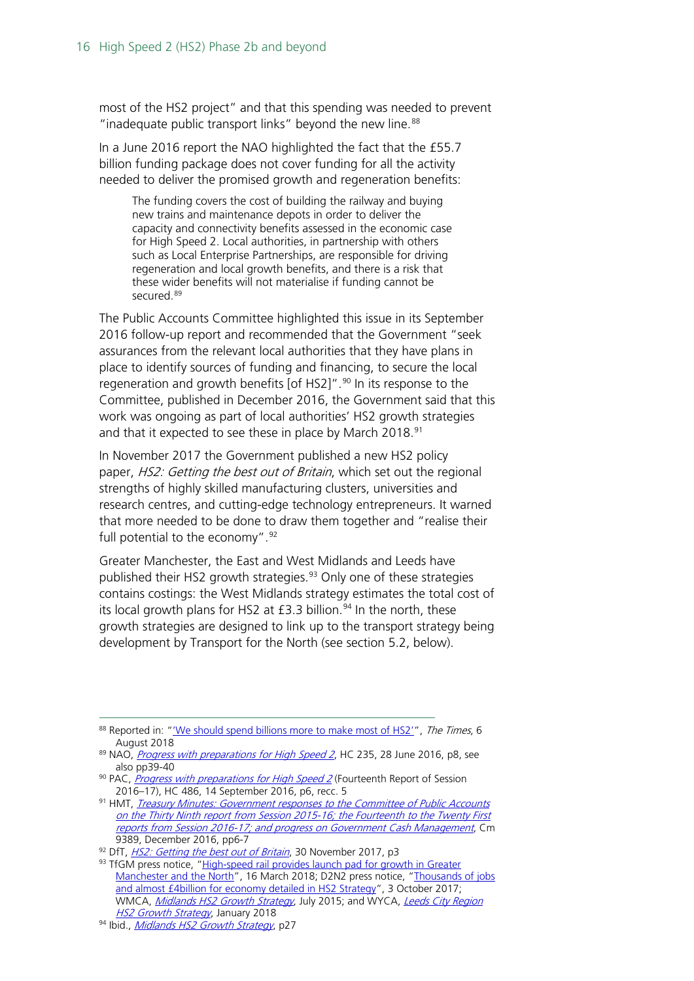most of the HS2 project" and that this spending was needed to prevent "inadequate public transport links" beyond the new line. $88$ 

In a June 2016 report the NAO highlighted the fact that the £55.7 billion funding package does not cover funding for all the activity needed to deliver the promised growth and regeneration benefits:

The funding covers the cost of building the railway and buying new trains and maintenance depots in order to deliver the capacity and connectivity benefits assessed in the economic case for High Speed 2. Local authorities, in partnership with others such as Local Enterprise Partnerships, are responsible for driving regeneration and local growth benefits, and there is a risk that these wider benefits will not materialise if funding cannot be secured.[89](#page-15-1)

The Public Accounts Committee highlighted this issue in its September 2016 follow-up report and recommended that the Government "seek assurances from the relevant local authorities that they have plans in place to identify sources of funding and financing, to secure the local regeneration and growth benefits [of HS2]". $90$  In its response to the Committee, published in December 2016, the Government said that this work was ongoing as part of local authorities' HS2 growth strategies and that it expected to see these in place by March 2018. $91$ 

In November 2017 the Government published a new HS2 policy paper, HS2: Getting the best out of Britain, which set out the regional strengths of highly skilled manufacturing clusters, universities and research centres, and cutting-edge technology entrepreneurs. It warned that more needed to be done to draw them together and "realise their full potential to the economy".  $92$ 

Greater Manchester, the East and West Midlands and Leeds have published their HS2 growth strategies.<sup>[93](#page-15-5)</sup> Only one of these strategies contains costings: the West Midlands strategy estimates the total cost of its local growth plans for HS2 at  $£3.3$  billion.<sup>[94](#page-15-6)</sup> In the north, these growth strategies are designed to link up to the transport strategy being development by Transport for the North (see section 5.2, below).

<span id="page-15-0"></span><sup>&</sup>lt;sup>88</sup> Reported in: "We should spend billions more to make most of HS2'", The Times, 6 August 2018

<span id="page-15-1"></span><sup>&</sup>lt;sup>89</sup> NAO, [Progress with preparations for High Speed 2](https://www.nao.org.uk/wp-content/uploads/2016/06/Progress-with-preparations-for-High-Speed-2.pdf), HC 235, 28 June 2016, p8, see also pp39-40

<span id="page-15-2"></span><sup>90</sup> PAC, *[Progress with preparations for High Speed 2](https://www.publications.parliament.uk/pa/cm201617/cmselect/cmpubacc/486/486.pdf)* (Fourteenth Report of Session 2016–17), HC 486, 14 September 2016, p6, recc. 5

<span id="page-15-3"></span><sup>91</sup> HMT, *Treasury Minutes: Government responses to the Committee of Public Accounts* on the Thirty Ninth report from Session 2015-16; the Fourteenth to the Twenty First [reports from Session 2016-17; and progress on Government Cash Management](https://assets.publishing.service.gov.uk/government/uploads/system/uploads/attachment_data/file/577907/57980_Cm_9389_Treasury_Minute_Accessible.pdf#page=7), Cm 9389, December 2016, pp6-7

<span id="page-15-4"></span><sup>92</sup> DfT, [HS2: Getting the best out of Britain](https://assets.publishing.service.gov.uk/government/uploads/system/uploads/attachment_data/file/664904/hs2_getting_the_best_out_of_britain_2017.pdf), 30 November 2017, p3

<span id="page-15-5"></span><sup>93</sup> TfGM press notice, "High-speed rail provides launch pad for growth in Greater [Manchester and the North"](https://www.tfgm.com/press-release/hs2-npr-growth-strategy), 16 March 2018; D2N2 press notice, "Thousands of jobs [and almost £4billion for economy detailed in HS2 Strategy"](http://www.d2n2lep.org/news/thousands-of-jobs-and-almost-4billion-for-economy-detailed-in-hs2-strategy), 3 October 2017; WMCA, [Midlands HS2 Growth](https://gbslep.co.uk/resources/reports/midlands-hs2-growth-strategy) Strategy, July 2015; and WYCA, Leeds City Region **[HS2 Growth Strategy](https://www.westyorks-ca.gov.uk/transport/leeds-city-region-hs2-growth-strategy/), January 2018** 

<span id="page-15-6"></span><sup>94</sup> Ibid., [Midlands HS2 Growth Strategy](https://gbslep.co.uk/wp-content/uploads/2017/06/HS2-GS-FINAL.pdf#page=27), p27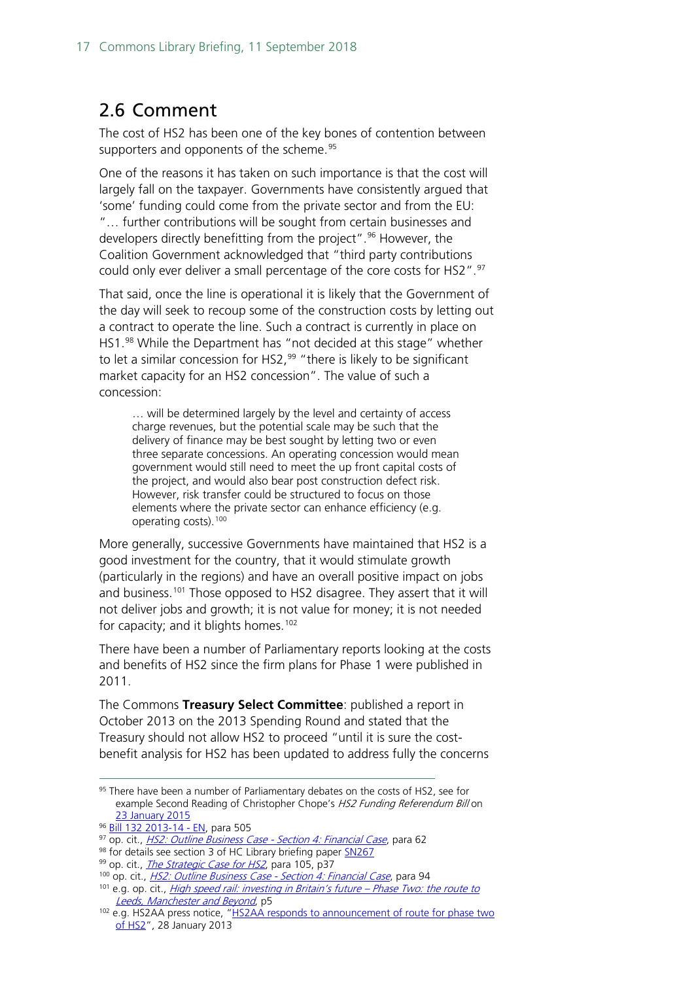### <span id="page-16-0"></span>2.6 Comment

The cost of HS2 has been one of the key bones of contention between supporters and opponents of the scheme.<sup>[95](#page-16-1)</sup>

One of the reasons it has taken on such importance is that the cost will largely fall on the taxpayer. Governments have consistently argued that 'some' funding could come from the private sector and from the EU: "… further contributions will be sought from certain businesses and developers directly benefitting from the project".<sup>[96](#page-16-2)</sup> However, the Coalition Government acknowledged that "third party contributions could only ever deliver a small percentage of the core costs for HS2".<sup>[97](#page-16-3)</sup>

That said, once the line is operational it is likely that the Government of the day will seek to recoup some of the construction costs by letting out a contract to operate the line. Such a contract is currently in place on HS1.[98](#page-16-4) While the Department has "not decided at this stage" whether to let a similar concession for HS2,<sup>[99](#page-16-5)</sup> "there is likely to be significant market capacity for an HS2 concession". The value of such a concession:

… will be determined largely by the level and certainty of access charge revenues, but the potential scale may be such that the delivery of finance may be best sought by letting two or even three separate concessions. An operating concession would mean government would still need to meet the up front capital costs of the project, and would also bear post construction defect risk. However, risk transfer could be structured to focus on those elements where the private sector can enhance efficiency (e.g. operating costs).[100](#page-16-6)

More generally, successive Governments have maintained that HS2 is a good investment for the country, that it would stimulate growth (particularly in the regions) and have an overall positive impact on jobs and business.[101](#page-16-7) Those opposed to HS2 disagree. They assert that it will not deliver jobs and growth; it is not value for money; it is not needed for capacity; and it blights homes.<sup>[102](#page-16-8)</sup>

There have been a number of Parliamentary reports looking at the costs and benefits of HS2 since the firm plans for Phase 1 were published in 2011.

The Commons **Treasury Select Committee**: published a report in October 2013 on the 2013 Spending Round and stated that the Treasury should not allow HS2 to proceed "until it is sure the costbenefit analysis for HS2 has been updated to address fully the concerns

<span id="page-16-1"></span><sup>&</sup>lt;sup>95</sup> There have been a number of Parliamentary debates on the costs of HS2, see for example Second Reading of Christopher Chope's HS2 Funding Referendum Bill on [23 January 2015](http://www.publications.parliament.uk/pa/cm201415/cmhansrd/cm150123/debtext/150123-0002.htm)

<span id="page-16-2"></span><sup>96</sup> [Bill 132 2013-14 -](http://www.publications.parliament.uk/pa/bills/cbill/2013-2014/0132/en/14132en.pdf) EN, para 505

<span id="page-16-3"></span><sup>97</sup> op. cit., *[HS2: Outline Business Case -](http://webarchive.nationalarchives.gov.uk/20150207135346/https:/www.gov.uk/government/uploads/system/uploads/attachment_data/file/286797/financial-case-hs2.pdf) Section 4: Financial Case*, para 62

<span id="page-16-5"></span><span id="page-16-4"></span><sup>98</sup> for details see section 3 of HC Library briefing pape[r SN267](http://www.parliament.uk/briefing-papers/SN00267/railways-channel-tunnel-rail-link-hs1)

<sup>99</sup> op. cit., *[The Strategic Case for HS2](http://webarchive.nationalarchives.gov.uk/20150201012457/https:/www.gov.uk/government/publications/hs2-strategic-case)*, para 105, p37

<span id="page-16-6"></span><sup>&</sup>lt;sup>100</sup> op. cit., *[HS2: Outline Business Case -](http://webarchive.nationalarchives.gov.uk/20150207135346/https:/www.gov.uk/government/uploads/system/uploads/attachment_data/file/286797/financial-case-hs2.pdf) Section 4: Financial Case*, para 94

<span id="page-16-7"></span><sup>&</sup>lt;sup>101</sup> e.g. op. cit., *[High speed rail: investing in Britain's future –](http://webarchive.nationalarchives.gov.uk/20140324045638/https:/www.gov.uk/government/uploads/system/uploads/attachment_data/file/69738/hs2-phase-two-command-paper.pdf) Phase Two: the route to* [Leeds, Manchester and Beyond](http://webarchive.nationalarchives.gov.uk/20140324045638/https:/www.gov.uk/government/uploads/system/uploads/attachment_data/file/69738/hs2-phase-two-command-paper.pdf), p5

<span id="page-16-8"></span><sup>102</sup> e.g. HS2AA press notice, ["HS2AA responds to announcement of route for phase two](http://www.hs2actionalliance.org/press-release/hs2aa-responds-to-announcement-of-route-for-phase-two-of-hs2/)  [of HS2"](http://www.hs2actionalliance.org/press-release/hs2aa-responds-to-announcement-of-route-for-phase-two-of-hs2/), 28 January 2013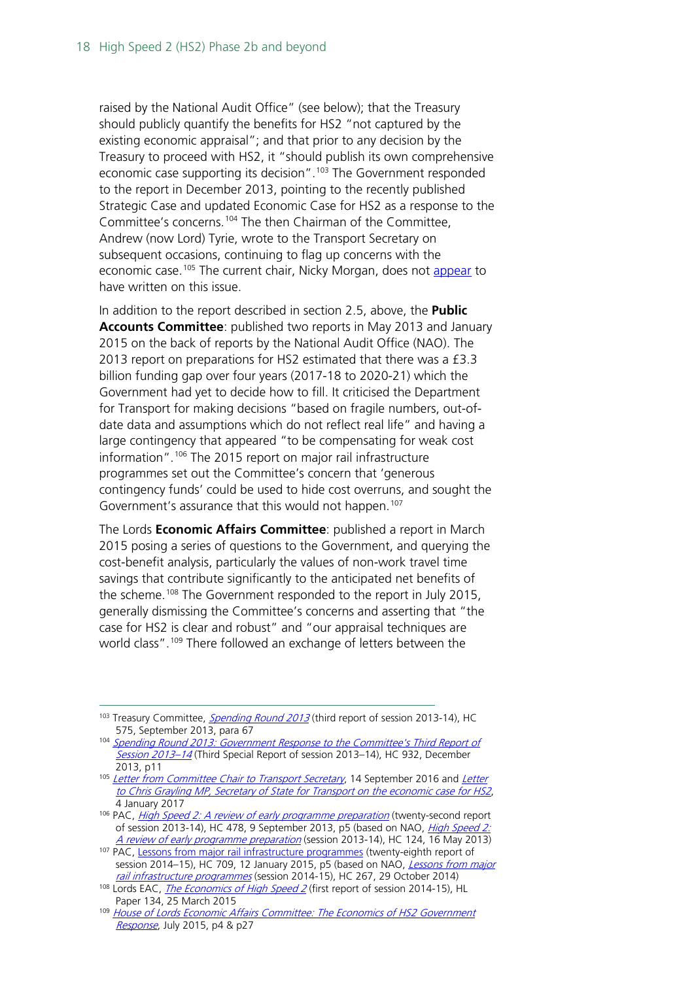raised by the National Audit Office" (see below); that the Treasury should publicly quantify the benefits for HS2 "not captured by the existing economic appraisal"; and that prior to any decision by the Treasury to proceed with HS2, it "should publish its own comprehensive economic case supporting its decision".<sup>[103](#page-17-0)</sup> The Government responded to the report in December 2013, pointing to the recently published Strategic Case and updated Economic Case for HS2 as a response to the Committee's concerns.[104](#page-17-1) The then Chairman of the Committee, Andrew (now Lord) Tyrie, wrote to the Transport Secretary on subsequent occasions, continuing to flag up concerns with the economic case.<sup>[105](#page-17-2)</sup> The current chair, Nicky Morgan, does not [appear](https://www.parliament.uk/business/committees/committees-a-z/commons-select/treasury-committee/publications/?type=37&session=29&sort=false&inquiry=all) to have written on this issue.

In addition to the report described in section 2.5, above, the **Public Accounts Committee**: published two reports in May 2013 and January 2015 on the back of reports by the National Audit Office (NAO). The 2013 report on preparations for HS2 estimated that there was a £3.3 billion funding gap over four years (2017-18 to 2020-21) which the Government had yet to decide how to fill. It criticised the Department for Transport for making decisions "based on fragile numbers, out-ofdate data and assumptions which do not reflect real life" and having a large contingency that appeared "to be compensating for weak cost information".[106](#page-17-3) The 2015 report on major rail infrastructure programmes set out the Committee's concern that 'generous contingency funds' could be used to hide cost overruns, and sought the Government's assurance that this would not happen.<sup>[107](#page-17-4)</sup>

The Lords **Economic Affairs Committee**: published a report in March 2015 posing a series of questions to the Government, and querying the cost-benefit analysis, particularly the values of non-work travel time savings that contribute significantly to the anticipated net benefits of the scheme.<sup>[108](#page-17-5)</sup> The Government responded to the report in July 2015, generally dismissing the Committee's concerns and asserting that "the case for HS2 is clear and robust" and "our appraisal techniques are world class".<sup>[109](#page-17-6)</sup> There followed an exchange of letters between the

<span id="page-17-0"></span><sup>&</sup>lt;sup>103</sup> Treasury Committee, *[Spending Round 2013](http://www.publications.parliament.uk/pa/cm201314/cmselect/cmtreasy/575/575.pdf)* (third report of session 2013-14), HC 575, September 2013, para 67

<span id="page-17-1"></span><sup>104</sup> [Spending Round 2013: Government Response to the Committee's Third Report of](http://www.publications.parliament.uk/pa/cm201314/cmselect/cmtreasy/932/932.pdf)  [Session 2013–14](http://www.publications.parliament.uk/pa/cm201314/cmselect/cmtreasy/932/932.pdf) (Third Special Report of session 2013–14), HC 932, December 2013, p11

<span id="page-17-2"></span><sup>&</sup>lt;sup>105</sup> [Letter from Committee Chair to Transport Secretary](http://www.parliament.uk/documents/commons-committees/treasury/Correspondence/Chairman-to-Transport-Secretary-Airport-Expansion-and-HS2-15092016.pdf), 14 September 2016 and Letter [to Chris Grayling MP, Secretary of State for Transport on the economic case for HS2](http://www.parliament.uk/documents/commons-committees/treasury/Correspondence/Treasury-Committee-Chair-to-Transport-Secretary-04-01-17.pdf), 4 January 2017

<span id="page-17-3"></span><sup>&</sup>lt;sup>106</sup> PAC, *[High Speed 2: A review of early programme preparation](http://www.publications.parliament.uk/pa/cm201314/cmselect/cmpubacc/478/478.pdf)* (twenty-second report of session 2013-14), HC 478, 9 September 2013, p5 (based on NAO, *High Speed 2:* [A review of early programme preparation](http://www.nao.org.uk/wp-content/uploads/2013/05/Full-Report.pdf) (session 2013-14), HC 124, 16 May 2013)

<span id="page-17-4"></span><sup>&</sup>lt;sup>107</sup> PAC, [Lessons from major rail infrastructure programmes](http://www.publications.parliament.uk/pa/cm201415/cmselect/cmpubacc/709/709.pdf) (twenty-eighth report of session 2014–15), HC 709, 12 January 2015, p5 (based on NAO, *Lessons from major* [rail infrastructure programmes](http://www.nao.org.uk/wp-content/uploads/2014/10/Lessons-from-major-rail-infrastructure-programmes.pdf) (session 2014-15), HC 267, 29 October 2014)

<span id="page-17-5"></span><sup>&</sup>lt;sup>108</sup> Lords EAC, *[The Economics of High Speed 2](http://www.publications.parliament.uk/pa/ld201415/ldselect/ldeconaf/134/134.pdf)* (first report of session 2014-15), HL Paper 134, 25 March 2015

<span id="page-17-6"></span><sup>&</sup>lt;sup>109</sup> House of Lords Economic Affairs Committee: The Economics of HS2 Government [Response](http://www.parliament.uk/documents/lords-committees/economic-affairs/Economic-case-for-HS2/House%20of%20Lords%20Econimic%20Affairs%20Committee%20The%20Economics%20of%20HS2%20-Government%20Response.pdf), July 2015, p4 & p27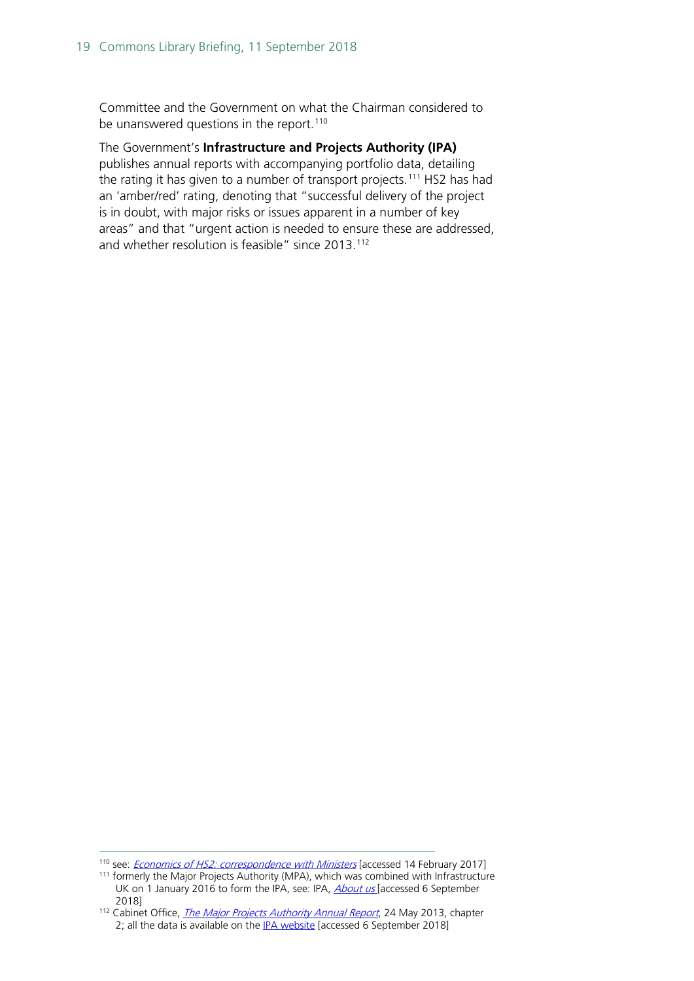Committee and the Government on what the Chairman considered to be unanswered questions in the report.<sup>[110](#page-18-0)</sup>

The Government's **Infrastructure and Projects Authority (IPA)**  publishes annual reports with accompanying portfolio data, detailing the rating it has given to a number of transport projects.<sup>[111](#page-18-1)</sup> HS2 has had an 'amber/red' rating, denoting that "successful delivery of the project is in doubt, with major risks or issues apparent in a number of key areas" and that "urgent action is needed to ensure these are addressed, and whether resolution is feasible" since 2013.<sup>[112](#page-18-2)</sup>

<span id="page-18-0"></span><sup>&</sup>lt;sup>110</sup> see: *[Economics of HS2: correspondence with Ministers](http://www.parliament.uk/business/committees/committees-a-z/lords-select/economic-affairs-committee/inquiries/parliament-2010/economic-case-for-hs2/?type=41#pnlPublicationFilter)* [accessed 14 February 2017]

<span id="page-18-1"></span><sup>&</sup>lt;sup>111</sup> formerly the Major Projects Authority (MPA), which was combined with Infrastructure UK on 1 January 2016 to form the IPA, see: IPA, *About us* [accessed 6 September 2018]

<span id="page-18-2"></span><sup>&</sup>lt;sup>112</sup> Cabinet Office, *[The Major Projects Authority Annual Report](http://webarchive.nationalarchives.gov.uk/20150319085249/https:/engage.cabinetoffice.gov.uk/major-projects-authority/chapter-2-the-major-projects-authority-remit/)*, 24 May 2013, chapter 2; all the data is available on the [IPA website](https://www.gov.uk/government/collections/major-projects-data) [accessed 6 September 2018]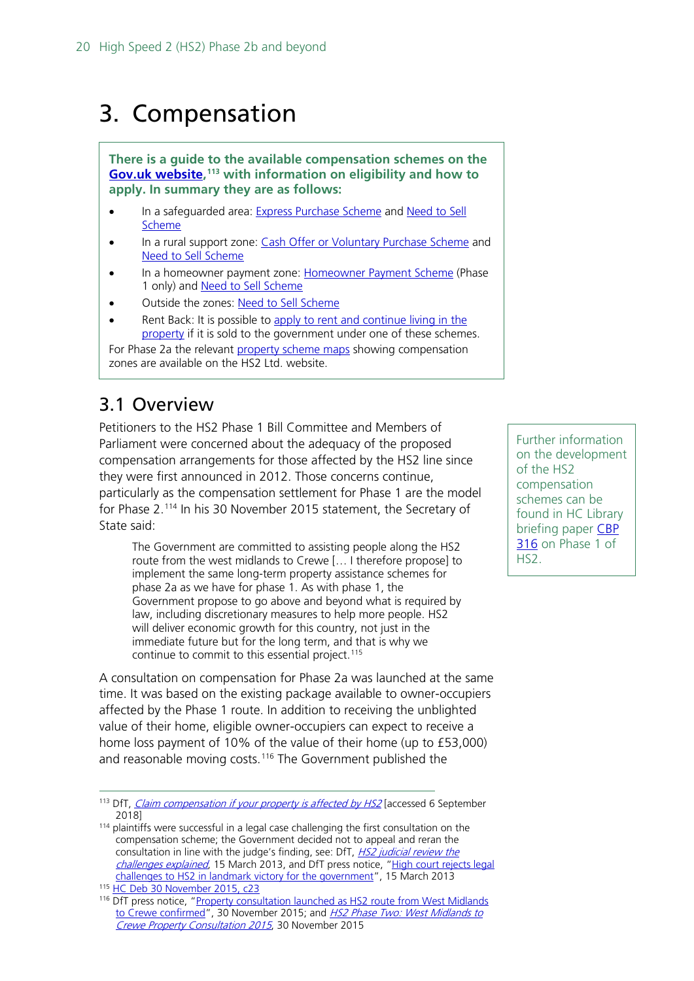## <span id="page-19-0"></span>3. Compensation

**There is a guide to the available compensation schemes on the [Gov.uk website,](https://www.gov.uk/claim-compensation-if-affected-by-hs2/overview) [113](#page-19-2) with information on eligibility and how to apply. In summary they are as follows:**

- In a safeguarded area: [Express Purchase Scheme](https://www.gov.uk/claim-compensation-if-affected-by-hs2/express-purchase-scheme) and [Need to Sell](https://www.gov.uk/claim-compensation-if-affected-by-hs2/need-to-sell-scheme)  [Scheme](https://www.gov.uk/claim-compensation-if-affected-by-hs2/need-to-sell-scheme)
- In a rural support zone: [Cash Offer or Voluntary Purchase Scheme](https://www.gov.uk/claim-compensation-if-affected-by-hs2/cash-offer-or-voluntary-purchase-scheme) and [Need to Sell Scheme](https://www.gov.uk/claim-compensation-if-affected-by-hs2/need-to-sell-scheme)
- In a homeowner payment zone: [Homeowner Payment Scheme](https://www.gov.uk/claim-compensation-if-affected-by-hs2/homeowner-payment-scheme) (Phase 1 only) and [Need to Sell Scheme](https://www.gov.uk/claim-compensation-if-affected-by-hs2/need-to-sell-scheme)
- Outside the zones: [Need to Sell Scheme](https://www.gov.uk/claim-compensation-if-affected-by-hs2/need-to-sell-scheme)
- Rent Back: It is possible to apply to rent and continue living in the [property](https://www.gov.uk/claim-compensation-if-affected-by-hs2/rent-back-scheme) if it is sold to the government under one of these schemes.

For Phase 2a the relevant [property scheme maps](https://www.gov.uk/government/publications/hs2-phase-2a-property-scheme-maps-west-midlands-to-crewe) showing compensation zones are available on the HS2 Ltd. website.

### <span id="page-19-1"></span>3.1 Overview

Petitioners to the HS2 Phase 1 Bill Committee and Members of Parliament were concerned about the adequacy of the proposed compensation arrangements for those affected by the HS2 line since they were first announced in 2012. Those concerns continue, particularly as the compensation settlement for Phase 1 are the model for Phase 2.[114](#page-19-3) In his 30 November 2015 statement, the Secretary of State said:

The Government are committed to assisting people along the HS2 route from the west midlands to Crewe [… I therefore propose] to implement the same long-term property assistance schemes for phase 2a as we have for phase 1. As with phase 1, the Government propose to go above and beyond what is required by law, including discretionary measures to help more people. HS2 will deliver economic growth for this country, not just in the immediate future but for the long term, and that is why we continue to commit to this essential project.<sup>[115](#page-19-4)</sup>

A consultation on compensation for Phase 2a was launched at the same time. It was based on the existing package available to owner-occupiers affected by the Phase 1 route. In addition to receiving the unblighted value of their home, eligible owner-occupiers can expect to receive a home loss payment of 10% of the value of their home (up to £53,000) and reasonable moving costs.<sup>[116](#page-19-5)</sup> The Government published the

Further information on the development of the HS2 compensation schemes can be found in HC Library briefing paper [CBP](http://researchbriefings.parliament.uk/ResearchBriefing/Summary/SN00316)  [316](http://researchbriefings.parliament.uk/ResearchBriefing/Summary/SN00316) on Phase 1 of HS2.

<span id="page-19-2"></span><sup>&</sup>lt;sup>113</sup> DfT, *[Claim compensation if your property is affected by HS2](https://www.gov.uk/claim-compensation-if-affected-by-hs2/overview)* [accessed 6 September 2018]

<span id="page-19-3"></span><sup>&</sup>lt;sup>114</sup> plaintiffs were successful in a legal case challenging the first consultation on the compensation scheme; the Government decided not to appeal and reran the consultation in line with the judge's finding, see: DfT, *HS2 judicial review the* [challenges explained](http://webarchive.nationalarchives.gov.uk/20150201095859/https:/www.gov.uk/government/publications/hs2-judicial-review-the-challenges-explained), 15 March 2013, and DfT press notice, "High court rejects legal [challenges to HS2 in landmark victory for the government"](http://webarchive.nationalarchives.gov.uk/20140321094456/https:/www.gov.uk/government/news/high-court-rejects-legal-challenges-to-hs2-in-landmark-victory-for-the-government), 15 March 2013

<span id="page-19-4"></span><sup>115</sup> [HC Deb 30 November 2015, c23](http://www.publications.parliament.uk/pa/cm201516/cmhansrd/cm151130/debtext/151130-0001.htm#1511303000003)

<span id="page-19-5"></span><sup>&</sup>lt;sup>116</sup> DfT press notice, "Property consultation launched as HS2 route from West Midlands [to Crewe confirmed"](http://webarchive.nationalarchives.gov.uk/20151217135247/https:/www.gov.uk/government/news/property-consultation-launched-as-hs2-route-from-west-midlands-to-crewe-confirmed), 30 November 2015; and HS2 Phase Two: West Midlands to [Crewe Property Consultation 2015](http://webarchive.nationalarchives.gov.uk/20151217135247/https:/www.gov.uk/government/consultations/hs2-phase-two-west-midlands-to-crewe-property-consultation-2015), 30 November 2015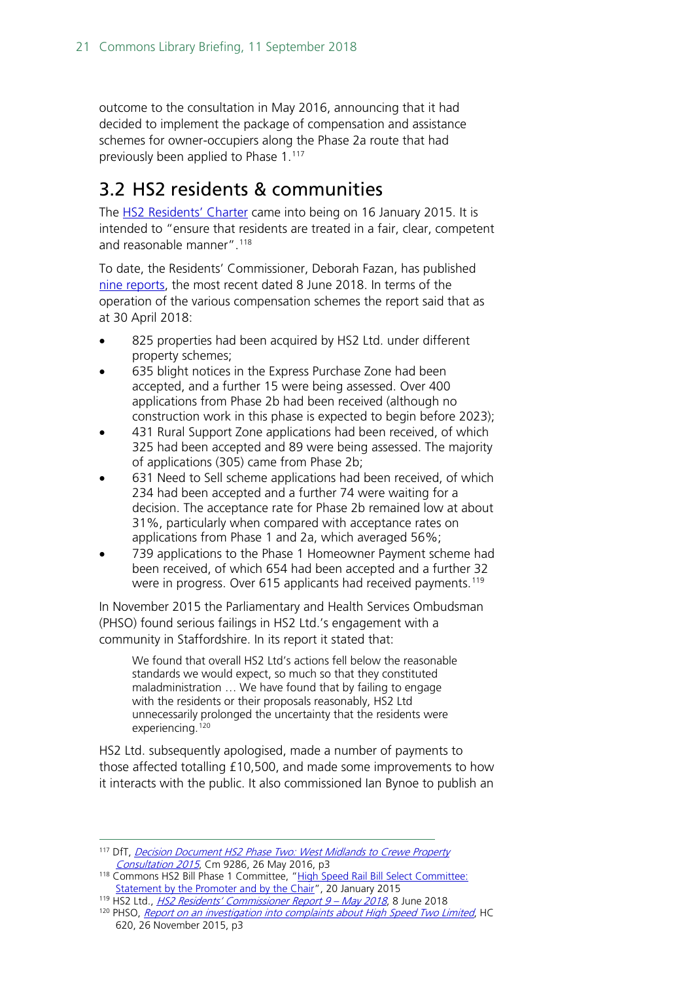outcome to the consultation in May 2016, announcing that it had decided to implement the package of compensation and assistance schemes for owner-occupiers along the Phase 2a route that had previously been applied to Phase 1.<sup>[117](#page-20-1)</sup>

### <span id="page-20-0"></span>3.2 HS2 residents & communities

The [HS2 Residents' Charter](https://www.gov.uk/government/publications/hs2-residents-charter) came into being on 16 January 2015. It is intended to "ensure that residents are treated in a fair, clear, competent and reasonable manner".<sup>[118](#page-20-2)</sup>

To date, the Residents' Commissioner, Deborah Fazan, has published [nine reports,](https://www.gov.uk/government/collections/hs2-ltd-residents-commissioner) the most recent dated 8 June 2018. In terms of the operation of the various compensation schemes the report said that as at 30 April 2018:

- 825 properties had been acquired by HS2 Ltd. under different property schemes;
- 635 blight notices in the Express Purchase Zone had been accepted, and a further 15 were being assessed. Over 400 applications from Phase 2b had been received (although no construction work in this phase is expected to begin before 2023);
- 431 Rural Support Zone applications had been received, of which 325 had been accepted and 89 were being assessed. The majority of applications (305) came from Phase 2b;
- 631 Need to Sell scheme applications had been received, of which 234 had been accepted and a further 74 were waiting for a decision. The acceptance rate for Phase 2b remained low at about 31%, particularly when compared with acceptance rates on applications from Phase 1 and 2a, which averaged 56%;
- 739 applications to the Phase 1 Homeowner Payment scheme had been received, of which 654 had been accepted and a further 32 were in progress. Over 615 applicants had received payments.<sup>[119](#page-20-3)</sup>

In November 2015 the Parliamentary and Health Services Ombudsman (PHSO) found serious failings in HS2 Ltd.'s engagement with a community in Staffordshire. In its report it stated that:

We found that overall HS2 Ltd's actions fell below the reasonable standards we would expect, so much so that they constituted maladministration … We have found that by failing to engage with the residents or their proposals reasonably, HS2 Ltd unnecessarily prolonged the uncertainty that the residents were experiencing.<sup>[120](#page-20-4)</sup>

HS2 Ltd. subsequently apologised, made a number of payments to those affected totalling £10,500, and made some improvements to how it interacts with the public. It also commissioned Ian Bynoe to publish an

<span id="page-20-1"></span> <sup>117</sup> DfT, [Decision Document HS2 Phase Two: West Midlands to Crewe Property](http://webarchive.nationalarchives.gov.uk/20160806222957/https:/www.gov.uk/government/publications/hs2-phase-two-west-midlands-to-crewe-property-consultation-2015-government-decision)  [Consultation 2015](http://webarchive.nationalarchives.gov.uk/20160806222957/https:/www.gov.uk/government/publications/hs2-phase-two-west-midlands-to-crewe-property-consultation-2015-government-decision), Cm 9286, 26 May 2016, p3

<span id="page-20-2"></span><sup>118</sup> Commons HS2 Bill Phase 1 Committee, "High Speed Rail Bill Select Committee: [Statement by the Promoter and by the Chair"](http://www.parliament.uk/business/committees/committees-a-z/commons-select/high-speed-rail-london-west-midlands-bill-select-committee-commons/news/chairs-statement-19-jan/), 20 January 2015

<span id="page-20-3"></span><sup>119</sup> HS2 Ltd., [HS2 Residents' Commissioner Report 9 –](https://assets.publishing.service.gov.uk/government/uploads/system/uploads/attachment_data/file/714810/CS977_Residents__Commissioner_report_9.pdf) May 2018, 8 June 2018

<span id="page-20-4"></span><sup>&</sup>lt;sup>120</sup> PHSO, [Report on an investigation into complaints about High Speed Two Limited](https://www.ombudsman.org.uk/sites/default/files/Report_on_an_investigation_into_complaints_about_High_Speed_Two_Limited_report.pdf), HC 620, 26 November 2015, p3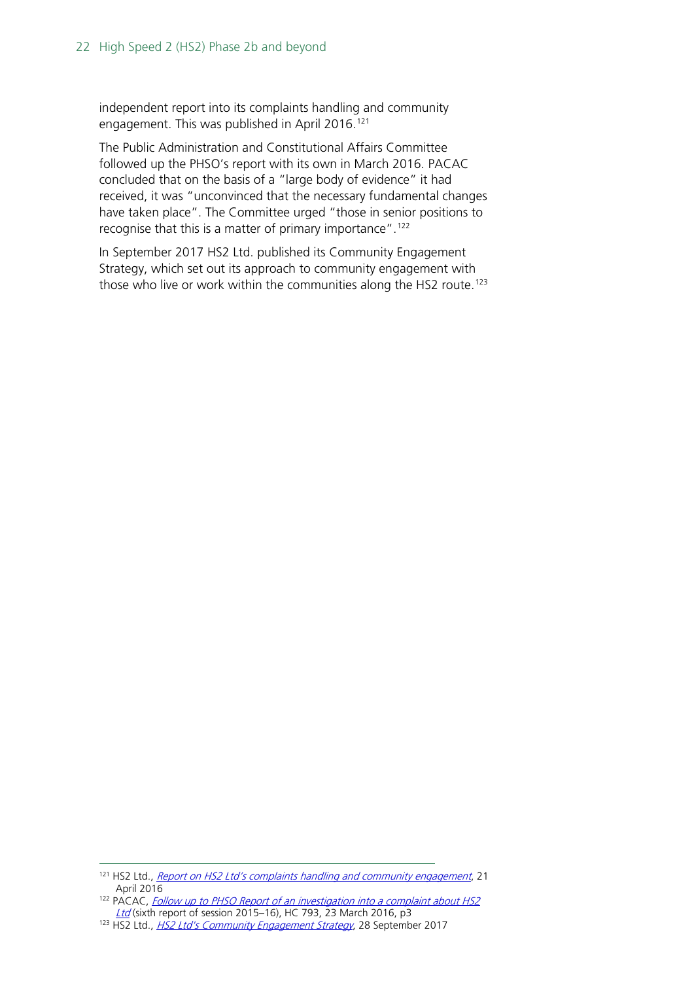independent report into its complaints handling and community engagement. This was published in April 2016.<sup>[121](#page-21-0)</sup>

The Public Administration and Constitutional Affairs Committee followed up the PHSO's report with its own in March 2016. PACAC concluded that on the basis of a "large body of evidence" it had received, it was "unconvinced that the necessary fundamental changes have taken place". The Committee urged "those in senior positions to recognise that this is a matter of primary importance".[122](#page-21-1)

In September 2017 HS2 Ltd. published its Community Engagement Strategy, which set out its approach to community engagement with those who live or work within the communities along the HS2 route.<sup>[123](#page-21-2)</sup>

<span id="page-21-0"></span><sup>&</sup>lt;sup>121</sup> HS2 Ltd., *[Report on HS2 Ltd's complaints handling and community engagement](http://webarchive.nationalarchives.gov.uk/20170513231624/https:/www.gov.uk/government/publications/ian-bynoe-report-on-hs2-ltds-complaints-handling-and-community-engagement)*, 21 April 2016

<span id="page-21-1"></span><sup>&</sup>lt;sup>122</sup> PACAC, *Follow up to PHSO Report of an investigation into a complaint about HS2* [Ltd](http://www.publications.parliament.uk/pa/cm201516/cmselect/cmpubadm/793/793.pdf) (sixth report of session 2015–16), HC 793, 23 March 2016, p3

<span id="page-21-2"></span><sup>&</sup>lt;sup>123</sup> HS2 Ltd., *[HS2 Ltd's Community](https://www.gov.uk/government/publications/hs2-ltds-community-engagement-strategy) Engagement Strategy*, 28 September 2017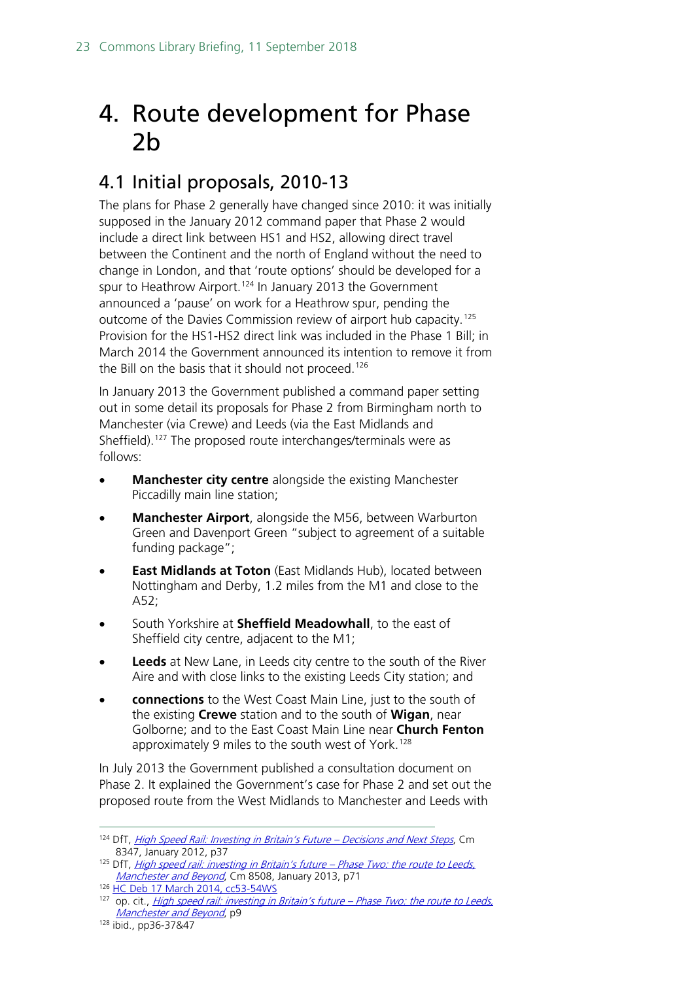## <span id="page-22-0"></span>4. Route development for Phase 2b

### <span id="page-22-1"></span>4.1 Initial proposals, 2010-13

The plans for Phase 2 generally have changed since 2010: it was initially supposed in the January 2012 command paper that Phase 2 would include a direct link between HS1 and HS2, allowing direct travel between the Continent and the north of England without the need to change in London, and that 'route options' should be developed for a spur to Heathrow Airport.<sup>[124](#page-22-2)</sup> In January 2013 the Government announced a 'pause' on work for a Heathrow spur, pending the outcome of the Davies Commission review of airport hub capacity.[125](#page-22-3) Provision for the HS1-HS2 direct link was included in the Phase 1 Bill; in March 2014 the Government announced its intention to remove it from the Bill on the basis that it should not proceed.<sup>[126](#page-22-4)</sup>

In January 2013 the Government published a command paper setting out in some detail its proposals for Phase 2 from Birmingham north to Manchester (via Crewe) and Leeds (via the East Midlands and Sheffield).<sup>[127](#page-22-5)</sup> The proposed route interchanges/terminals were as follows:

- **Manchester city centre** alongside the existing Manchester Piccadilly main line station;
- **Manchester Airport**, alongside the M56, between Warburton Green and Davenport Green "subject to agreement of a suitable funding package";
- **East Midlands at Toton** (East Midlands Hub), located between Nottingham and Derby, 1.2 miles from the M1 and close to the A52;
- South Yorkshire at **Sheffield Meadowhall**, to the east of Sheffield city centre, adjacent to the M1;
- **Leeds** at New Lane, in Leeds city centre to the south of the River Aire and with close links to the existing Leeds City station; and
- **connections** to the West Coast Main Line, just to the south of the existing **Crewe** station and to the south of **Wigan**, near Golborne; and to the East Coast Main Line near **Church Fenton** approximately 9 miles to the south west of York.<sup>[128](#page-22-6)</sup>

In July 2013 the Government published a consultation document on Phase 2. It explained the Government's case for Phase 2 and set out the proposed route from the West Midlands to Manchester and Leeds with

<span id="page-22-2"></span><sup>124</sup> DfT, High Speed Rail: Investing in Britain's Future - Decisions and Next Steps, Cm 8347, January 2012, p37

<span id="page-22-3"></span><sup>&</sup>lt;sup>125</sup> DfT, *[High speed rail: investing in Britain's future –](http://webarchive.nationalarchives.gov.uk/20140207122226/https:/www.gov.uk/government/uploads/system/uploads/attachment_data/file/69738/hs2-phase-two-command-paper.pdf) Phase Two: the route to Leeds*, [Manchester and Beyond](http://webarchive.nationalarchives.gov.uk/20140207122226/https:/www.gov.uk/government/uploads/system/uploads/attachment_data/file/69738/hs2-phase-two-command-paper.pdf), Cm 8508, January 2013, p71

<span id="page-22-4"></span><sup>126</sup> HC Deb 17 [March 2014, cc53-54WS](http://www.publications.parliament.uk/pa/cm201314/cmhansrd/cm140317/wmstext/140317m0001.htm#1403171000005)

<span id="page-22-5"></span> $127$  op. cit., [High speed rail: investing in Britain's future –](http://webarchive.nationalarchives.gov.uk/20140207122226/https:/www.gov.uk/government/uploads/system/uploads/attachment_data/file/69738/hs2-phase-two-command-paper.pdf) Phase Two: the route to Leeds, [Manchester and Beyond](http://webarchive.nationalarchives.gov.uk/20140207122226/https:/www.gov.uk/government/uploads/system/uploads/attachment_data/file/69738/hs2-phase-two-command-paper.pdf), p9

<span id="page-22-6"></span><sup>128</sup> ibid., pp36-37&47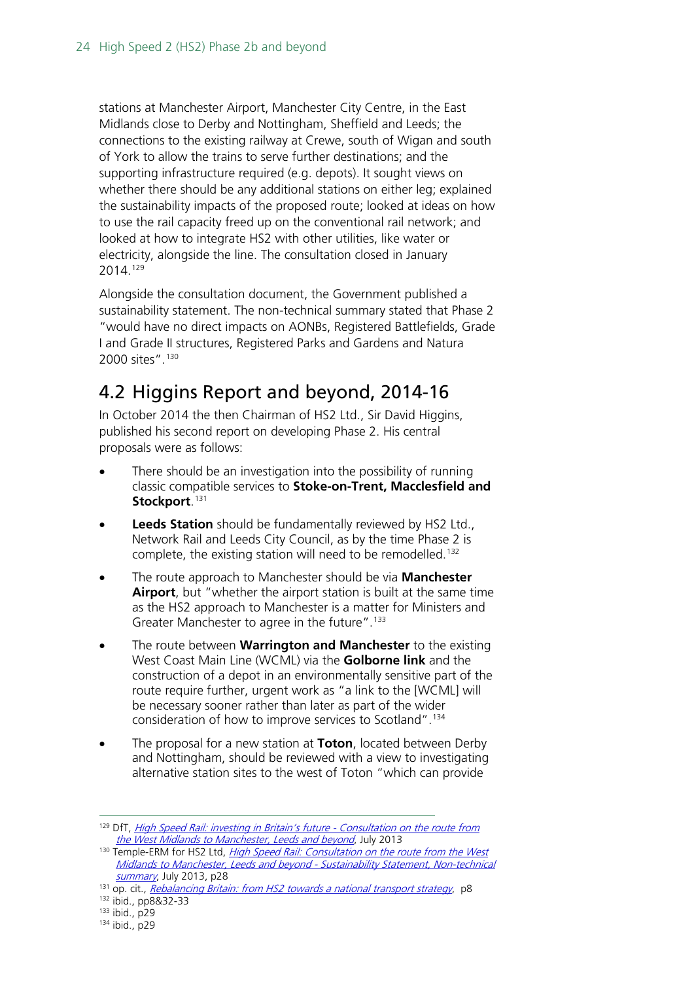stations at Manchester Airport, Manchester City Centre, in the East Midlands close to Derby and Nottingham, Sheffield and Leeds; the connections to the existing railway at Crewe, south of Wigan and south of York to allow the trains to serve further destinations; and the supporting infrastructure required (e.g. depots). It sought views on whether there should be any additional stations on either leg; explained the sustainability impacts of the proposed route; looked at ideas on how to use the rail capacity freed up on the conventional rail network; and looked at how to integrate HS2 with other utilities, like water or electricity, alongside the line. The consultation closed in January 2014.[129](#page-23-1)

Alongside the consultation document, the Government published a sustainability statement. The non-technical summary stated that Phase 2 "would have no direct impacts on AONBs, Registered Battlefields, Grade I and Grade II structures, Registered Parks and Gardens and Natura 2000 sites".[130](#page-23-2)

### <span id="page-23-0"></span>4.2 Higgins Report and beyond, 2014-16

In October 2014 the then Chairman of HS2 Ltd., Sir David Higgins, published his second report on developing Phase 2. His central proposals were as follows:

- There should be an investigation into the possibility of running classic compatible services to **Stoke-on-Trent, Macclesfield and Stockport**. [131](#page-23-3)
- **Leeds Station** should be fundamentally reviewed by HS2 Ltd., Network Rail and Leeds City Council, as by the time Phase 2 is complete, the existing station will need to be remodelled.<sup>132</sup>
- The route approach to Manchester should be via **Manchester Airport**, but "whether the airport station is built at the same time as the HS2 approach to Manchester is a matter for Ministers and Greater Manchester to agree in the future".<sup>[133](#page-23-5)</sup>
- The route between **Warrington and Manchester** to the existing West Coast Main Line (WCML) via the **Golborne link** and the construction of a depot in an environmentally sensitive part of the route require further, urgent work as "a link to the [WCML] will be necessary sooner rather than later as part of the wider consideration of how to improve services to Scotland".[134](#page-23-6)
- The proposal for a new station at **Toton**, located between Derby and Nottingham, should be reviewed with a view to investigating alternative station sites to the west of Toton "which can provide

<span id="page-23-1"></span><sup>&</sup>lt;sup>129</sup> DfT, [High Speed Rail: investing in Britain's future -](http://webarchive.nationalarchives.gov.uk/20140323065239/https:/www.gov.uk/government/publications/high-speed-rail-investing-in-britains-future-phase-two-the-route-to-leeds-manchester-and-beyond-summary) Consultation on the route from [the West Midlands to Manchester, Leeds and beyond](http://webarchive.nationalarchives.gov.uk/20140323065239/https:/www.gov.uk/government/publications/high-speed-rail-investing-in-britains-future-phase-two-the-route-to-leeds-manchester-and-beyond-summary), July 2013

<span id="page-23-2"></span><sup>130</sup> Temple-ERM for HS2 Ltd, *High Speed Rail: Consultation on the route from the West* [Midlands to Manchester, Leeds and beyond -](http://webarchive.nationalarchives.gov.uk/20140323065239/https:/www.gov.uk/government/publications/hs2-phase-two-initial-preferred-scheme-sustainability-summary) Sustainability Statement, Non-technical [summary](http://webarchive.nationalarchives.gov.uk/20140323065239/https:/www.gov.uk/government/publications/hs2-phase-two-initial-preferred-scheme-sustainability-summary), July 2013, p28

<span id="page-23-3"></span> $131$  op. cit., [Rebalancing Britain: from HS2 towards a national transport strategy](http://web.archive.org/web/20150123103844/http:/assets.hs2.org.uk/sites/default/files/Rebalancing%20Britain.pdf), p8

<span id="page-23-4"></span><sup>132</sup> ibid., pp8&32-33

<span id="page-23-5"></span><sup>133</sup> ibid., p29

<span id="page-23-6"></span><sup>134</sup> ibid., p29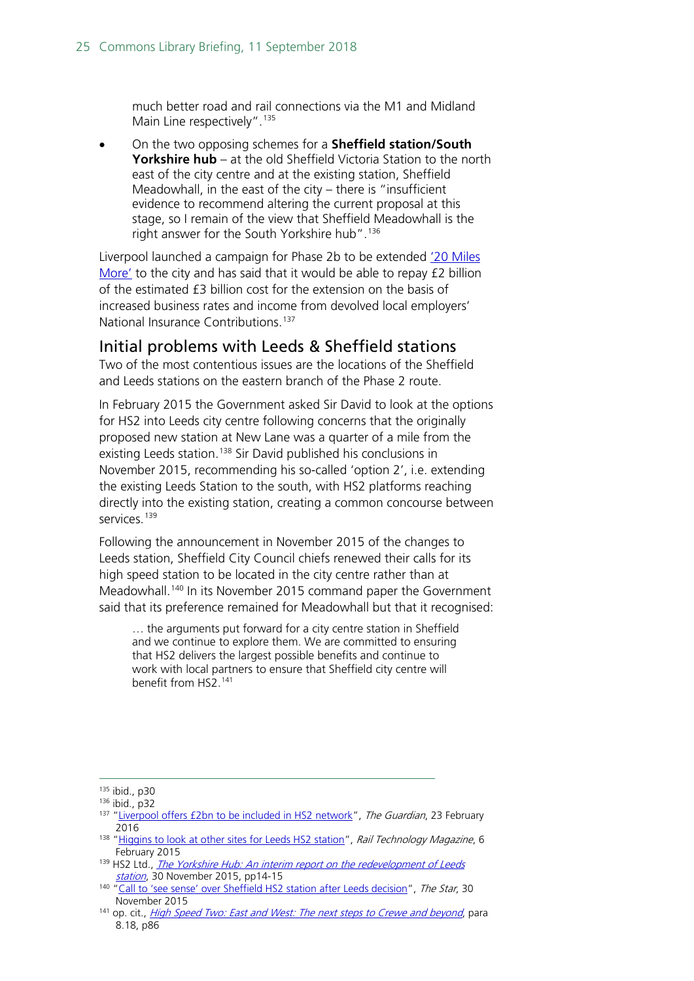much better road and rail connections via the M1 and Midland Main Line respectively".<sup>[135](#page-24-1)</sup>

• On the two opposing schemes for a **Sheffield station/South Yorkshire hub** – at the old Sheffield Victoria Station to the north east of the city centre and at the existing station, Sheffield Meadowhall, in the east of the city – there is "insufficient evidence to recommend altering the current proposal at this stage, so I remain of the view that Sheffield Meadowhall is the right answer for the South Yorkshire hub".<sup>[136](#page-24-2)</sup>

Liverpool launched a campaign for Phase 2b to be extended ['20 Miles](http://www.20milesmore.com/)  [More'](http://www.20milesmore.com/) to the city and has said that it would be able to repay £2 billion of the estimated £3 billion cost for the extension on the basis of increased business rates and income from devolved local employers' National Insurance Contributions.<sup>[137](#page-24-3)</sup>

#### <span id="page-24-0"></span>Initial problems with Leeds & Sheffield stations

Two of the most contentious issues are the locations of the Sheffield and Leeds stations on the eastern branch of the Phase 2 route.

In February 2015 the Government asked Sir David to look at the options for HS2 into Leeds city centre following concerns that the originally proposed new station at New Lane was a quarter of a mile from the existing Leeds station.<sup>[138](#page-24-4)</sup> Sir David published his conclusions in November 2015, recommending his so-called 'option 2', i.e. extending the existing Leeds Station to the south, with HS2 platforms reaching directly into the existing station, creating a common concourse between services<sup>[139](#page-24-5)</sup>

Following the announcement in November 2015 of the changes to Leeds station, Sheffield City Council chiefs renewed their calls for its high speed station to be located in the city centre rather than at Meadowhall.<sup>[140](#page-24-6)</sup> In its November 2015 command paper the Government said that its preference remained for Meadowhall but that it recognised:

… the arguments put forward for a city centre station in Sheffield and we continue to explore them. We are committed to ensuring that HS2 delivers the largest possible benefits and continue to work with local partners to ensure that Sheffield city centre will benefit from HS2. [141](#page-24-7)

<span id="page-24-1"></span> <sup>135</sup> ibid., p30

<span id="page-24-3"></span><span id="page-24-2"></span><sup>136</sup> ibid., p32

<sup>&</sup>lt;sup>137</sup> ["Liverpool offers £2bn to be included in HS2 network"](http://www.theguardian.com/uk-news/2016/feb/23/liverpool-offers-2bn-hs2-network), The Guardian, 23 February 2016

<span id="page-24-4"></span><sup>&</sup>lt;sup>138</sup> ["Higgins to look at other sites for Leeds HS2 station"](http://www.railtechnologymagazine.com/Rail-News/david-higgins-to-look-at-redevelopment-options-for-leeds-station), Rail Technology Magazine, 6 February 2015

<span id="page-24-5"></span><sup>139</sup> HS2 Ltd., The Yorkshire Hub: An interim report on the redevelopment of Leeds [station](http://webarchive.nationalarchives.gov.uk/20170521000956/https:/www.gov.uk/government/uploads/system/uploads/attachment_data/file/480396/Higgins_-_The_Yorkshire_Hub.pdf), 30 November 2015, pp14-15

<span id="page-24-6"></span><sup>&</sup>lt;sup>140</sup> ["Call to 'see sense' over Sheffield HS2 station after Leeds decision"](http://www.thestar.co.uk/news/call-to-see-sense-over-sheffield-hs2-station-after-leeds-decision-1-7599123?), The Star, 30 November 2015

<span id="page-24-7"></span><sup>&</sup>lt;sup>141</sup> op. cit., *High Speed Two: East and West: The next steps to Crewe and bevond*, para 8.18, p86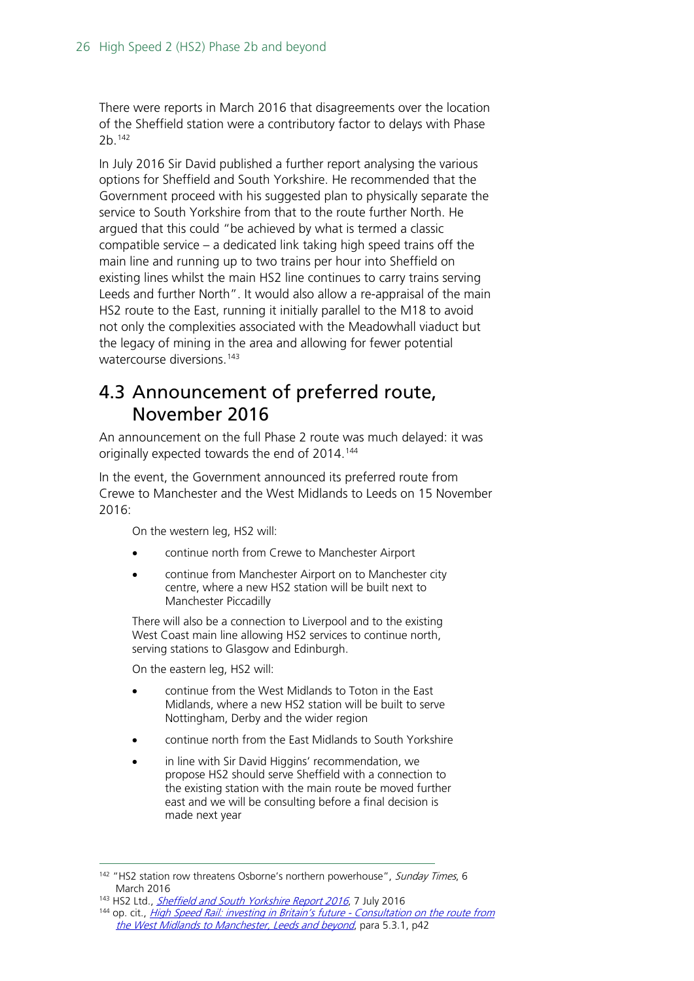There were reports in March 2016 that disagreements over the location of the Sheffield station were a contributory factor to delays with Phase 2b. [142](#page-25-1)

In July 2016 Sir David published a further report analysing the various options for Sheffield and South Yorkshire. He recommended that the Government proceed with his suggested plan to physically separate the service to South Yorkshire from that to the route further North. He argued that this could "be achieved by what is termed a classic compatible service – a dedicated link taking high speed trains off the main line and running up to two trains per hour into Sheffield on existing lines whilst the main HS2 line continues to carry trains serving Leeds and further North". It would also allow a re-appraisal of the main HS2 route to the East, running it initially parallel to the M18 to avoid not only the complexities associated with the Meadowhall viaduct but the legacy of mining in the area and allowing for fewer potential watercourse diversions.<sup>[143](#page-25-2)</sup>

### <span id="page-25-0"></span>4.3 Announcement of preferred route, November 2016

An announcement on the full Phase 2 route was much delayed: it was originally expected towards the end of 2014.<sup>[144](#page-25-3)</sup>

In the event, the Government announced its preferred route from Crewe to Manchester and the West Midlands to Leeds on 15 November 2016:

On the western leg, HS2 will:

- continue north from Crewe to Manchester Airport
- continue from Manchester Airport on to Manchester city centre, where a new HS2 station will be built next to Manchester Piccadilly

There will also be a connection to Liverpool and to the existing West Coast main line allowing HS2 services to continue north, serving stations to Glasgow and Edinburgh.

On the eastern leg, HS2 will:

- continue from the West Midlands to Toton in the East Midlands, where a new HS2 station will be built to serve Nottingham, Derby and the wider region
- continue north from the East Midlands to South Yorkshire
- in line with Sir David Higgins' recommendation, we propose HS2 should serve Sheffield with a connection to the existing station with the main route be moved further east and we will be consulting before a final decision is made next year

<span id="page-25-1"></span><sup>&</sup>lt;sup>142</sup> "HS2 station row threatens Osborne's northern powerhouse", Sunday Times, 6 March 2016

<span id="page-25-2"></span><sup>&</sup>lt;sup>143</sup> HS2 Ltd., *[Sheffield and South Yorkshire Report 2016](http://webarchive.nationalarchives.gov.uk/20160806221938/https:/www.gov.uk/government/publications/hs2-sheffield-and-south-yorkshire-report-2016)*, 7 July 2016

<span id="page-25-3"></span><sup>&</sup>lt;sup>144</sup> op. cit., *[High Speed Rail: investing in Britain's future -](http://web.archive.org/web/20150303122256/http:/assets.hs2.org.uk/sites/default/files/consulation_library/pdf/130716%20Consultation%20Document.pdf) Consultation on the route from* [the West Midlands to Manchester, Leeds and beyond](http://web.archive.org/web/20150303122256/http:/assets.hs2.org.uk/sites/default/files/consulation_library/pdf/130716%20Consultation%20Document.pdf), para 5.3.1, p42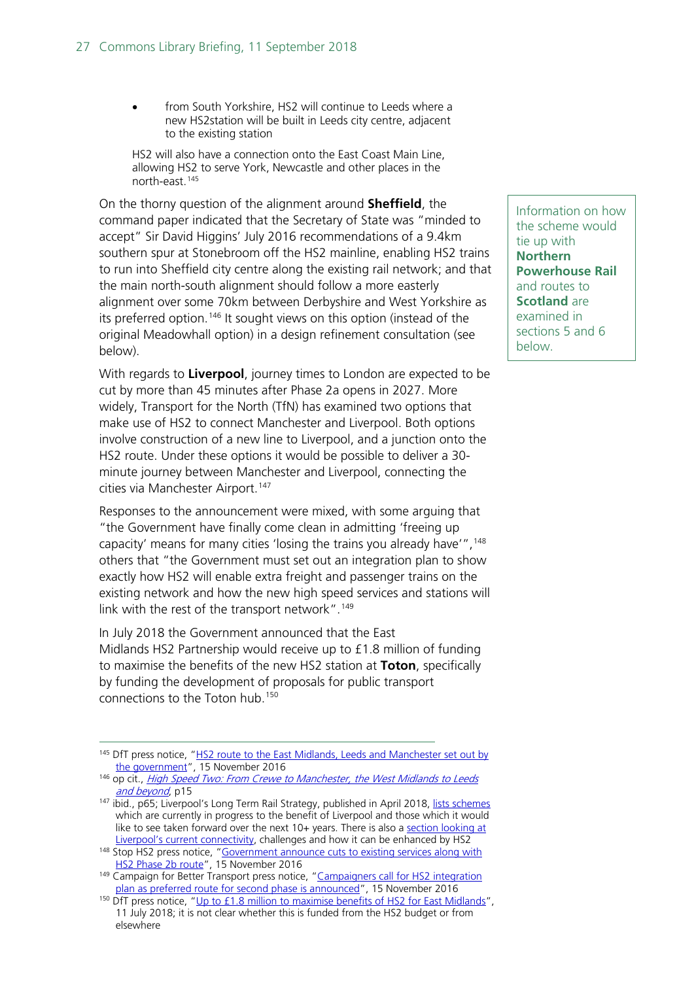from South Yorkshire, HS2 will continue to Leeds where a new HS2station will be built in Leeds city centre, adjacent to the existing station

HS2 will also have a connection onto the East Coast Main Line, allowing HS2 to serve York, Newcastle and other places in the north-east. [145](#page-26-0)

On the thorny question of the alignment around **Sheffield**, the command paper indicated that the Secretary of State was "minded to accept" Sir David Higgins' July 2016 recommendations of a 9.4km southern spur at Stonebroom off the HS2 mainline, enabling HS2 trains to run into Sheffield city centre along the existing rail network; and that the main north-south alignment should follow a more easterly alignment over some 70km between Derbyshire and West Yorkshire as its preferred option.<sup>[146](#page-26-1)</sup> It sought views on this option (instead of the original Meadowhall option) in a design refinement consultation (see below).

With regards to **Liverpool**, journey times to London are expected to be cut by more than 45 minutes after Phase 2a opens in 2027. More widely, Transport for the North (TfN) has examined two options that make use of HS2 to connect Manchester and Liverpool. Both options involve construction of a new line to Liverpool, and a junction onto the HS2 route. Under these options it would be possible to deliver a 30 minute journey between Manchester and Liverpool, connecting the cities via Manchester Airport.<sup>[147](#page-26-2)</sup>

Responses to the announcement were mixed, with some arguing that "the Government have finally come clean in admitting 'freeing up capacity' means for many cities 'losing the trains you already have'",<sup>[148](#page-26-3)</sup> others that "the Government must set out an integration plan to show exactly how HS2 will enable extra freight and passenger trains on the existing network and how the new high speed services and stations will link with the rest of the transport network".<sup>[149](#page-26-4)</sup>

In July 2018 the Government announced that the East Midlands HS2 Partnership would receive up to £1.8 million of funding to maximise the benefits of the new HS2 station at **Toton**, specifically by funding the development of proposals for public transport connections to the Toton hub. [150](#page-26-5)

Information on how the scheme would tie up with **Northern Powerhouse Rail** and routes to **Scotland** are examined in sections 5 and 6 below.

<span id="page-26-0"></span><sup>&</sup>lt;sup>145</sup> DfT press notice, "HS2 route to the East Midlands, Leeds and Manchester set out by [the government"](http://webarchive.nationalarchives.gov.uk/20170608105719/https:/www.gov.uk/government/news/hs2-route-to-the-east-midlands-leeds-and-manchester-set-out-by-the-government), 15 November 2016

<span id="page-26-1"></span><sup>146</sup> op cit., *High Speed Two: From Crewe to Manchester, the West Midlands to Leeds* [and beyond](http://webarchive.nationalarchives.gov.uk/20170521023815/https:/www.gov.uk/government/uploads/system/uploads/attachment_data/file/568208/high-speed-two-crewe-manchester-west-midlands-leeds-web-version.pdf), p15

<span id="page-26-2"></span><sup>147</sup> ibid., p65; Liverpool's Long Term Rail Strategy, published in April 2018, [lists schemes](http://liverpoolcityregion-ca.gov.uk/uploadedfiles/documents/LCRCA_RAIL_STRATEGY_MAY18.pdf#page=21) which are currently in progress to the benefit of Liverpool and those which it would like to see taken forward over the next 10+ years. There is also a section looking at [Liverpool's current connectivity,](http://liverpoolcityregion-ca.gov.uk/uploadedfiles/documents/LCRCA_RAIL_STRATEGY_MAY18.pdf#page=12) challenges and how it can be enhanced by HS2

<span id="page-26-3"></span><sup>&</sup>lt;sup>148</sup> Stop HS2 press notice, "**Government announce cuts to existing services along with** [HS2 Phase 2b route"](http://stophs2.org/news/16353-phase-2b-announced), 15 November 2016

<span id="page-26-4"></span><sup>149</sup> Campaign for Better Transport press notice, "Campaigners call for HS2 integration [plan as preferred route for second phase is announced"](http://www.bettertransport.org.uk/media/15-november-2016-HS2-preferred-route-announcement), 15 November 2016

<span id="page-26-5"></span><sup>&</sup>lt;sup>150</sup> DfT press notice, "Up to £1.8 million to maximise [benefits of HS2 for East Midlands"](https://www.gov.uk/government/news/up-to-18-million-to-maximise-benefits-of-hs2-for-east-midlands), 11 July 2018; it is not clear whether this is funded from the HS2 budget or from elsewhere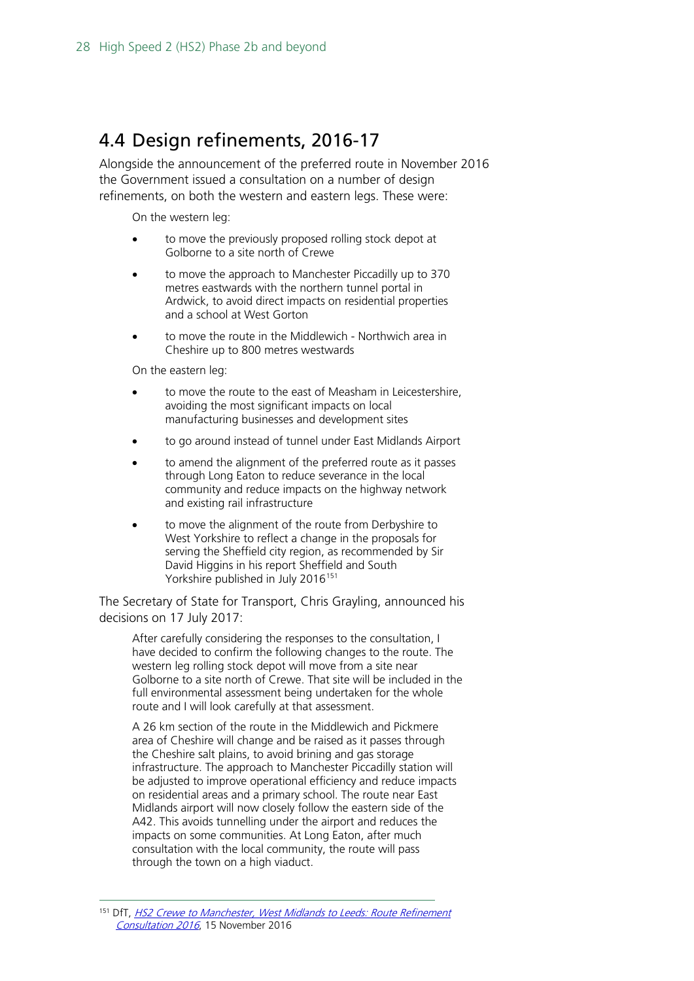### <span id="page-27-0"></span>4.4 Design refinements, 2016-17

Alongside the announcement of the preferred route in November 2016 the Government issued a consultation on a number of design refinements, on both the western and eastern legs. These were:

On the western leg:

- to move the previously proposed rolling stock depot at Golborne to a site north of Crewe
- to move the approach to Manchester Piccadilly up to 370 metres eastwards with the northern tunnel portal in Ardwick, to avoid direct impacts on residential properties and a school at West Gorton
- to move the route in the Middlewich Northwich area in Cheshire up to 800 metres westwards

On the eastern leg:

- to move the route to the east of Measham in Leicestershire. avoiding the most significant impacts on local manufacturing businesses and development sites
- to go around instead of tunnel under East Midlands Airport
- to amend the alignment of the preferred route as it passes through Long Eaton to reduce severance in the local community and reduce impacts on the highway network and existing rail infrastructure
- to move the alignment of the route from Derbyshire to West Yorkshire to reflect a change in the proposals for serving the Sheffield city region, as recommended by Sir David Higgins in his report Sheffield and South Yorkshire published in July 2016<sup>[151](#page-27-1)</sup>

The Secretary of State for Transport, Chris Grayling, announced his decisions on 17 July 2017:

After carefully considering the responses to the consultation, I have decided to confirm the following changes to the route. The western leg rolling stock depot will move from a site near Golborne to a site north of Crewe. That site will be included in the full environmental assessment being undertaken for the whole route and I will look carefully at that assessment.

A 26 km section of the route in the Middlewich and Pickmere area of Cheshire will change and be raised as it passes through the Cheshire salt plains, to avoid brining and gas storage infrastructure. The approach to Manchester Piccadilly station will be adjusted to improve operational efficiency and reduce impacts on residential areas and a primary school. The route near East Midlands airport will now closely follow the eastern side of the A42. This avoids tunnelling under the airport and reduces the impacts on some communities. At Long Eaton, after much consultation with the local community, the route will pass through the town on a high viaduct.

<span id="page-27-1"></span><sup>&</sup>lt;sup>151</sup> DfT, HS2 Crewe to Manchester, West Midlands to Leeds: Route Refinement [Consultation 2016](http://webarchive.nationalarchives.gov.uk/20170608104444/https:/www.gov.uk/government/consultations/hs2-crewe-to-manchester-west-midlands-to-leeds-route-refinement-consultation-2016), 15 November 2016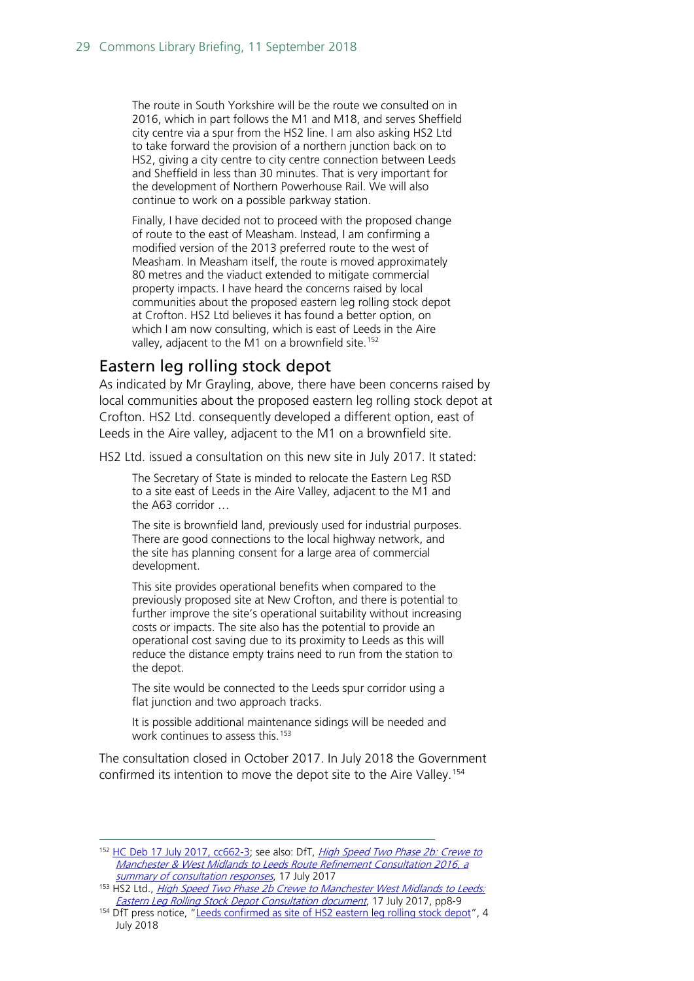The route in South Yorkshire will be the route we consulted on in 2016, which in part follows the M1 and M18, and serves Sheffield city centre via a spur from the HS2 line. I am also asking HS2 Ltd to take forward the provision of a northern junction back on to HS2, giving a city centre to city centre connection between Leeds and Sheffield in less than 30 minutes. That is very important for the development of Northern Powerhouse Rail. We will also continue to work on a possible parkway station.

Finally, I have decided not to proceed with the proposed change of route to the east of Measham. Instead, I am confirming a modified version of the 2013 preferred route to the west of Measham. In Measham itself, the route is moved approximately 80 metres and the viaduct extended to mitigate commercial property impacts. I have heard the concerns raised by local communities about the proposed eastern leg rolling stock depot at Crofton. HS2 Ltd believes it has found a better option, on which I am now consulting, which is east of Leeds in the Aire valley, adjacent to the M1 on a brownfield site.<sup>[152](#page-28-1)</sup>

#### <span id="page-28-0"></span>Eastern leg rolling stock depot

As indicated by Mr Grayling, above, there have been concerns raised by local communities about the proposed eastern leg rolling stock depot at Crofton. HS2 Ltd. consequently developed a different option, east of Leeds in the Aire valley, adjacent to the M1 on a brownfield site.

HS2 Ltd. issued a consultation on this new site in July 2017. It stated:

The Secretary of State is minded to relocate the Eastern Leg RSD to a site east of Leeds in the Aire Valley, adjacent to the M1 and the A63 corridor …

The site is brownfield land, previously used for industrial purposes. There are good connections to the local highway network, and the site has planning consent for a large area of commercial development.

This site provides operational benefits when compared to the previously proposed site at New Crofton, and there is potential to further improve the site's operational suitability without increasing costs or impacts. The site also has the potential to provide an operational cost saving due to its proximity to Leeds as this will reduce the distance empty trains need to run from the station to the depot.

The site would be connected to the Leeds spur corridor using a flat junction and two approach tracks.

It is possible additional maintenance sidings will be needed and work continues to assess this.<sup>[153](#page-28-2)</sup>

The consultation closed in October 2017. In July 2018 the Government confirmed its intention to move the depot site to the Aire Valley. [154](#page-28-3)

<span id="page-28-1"></span><sup>&</sup>lt;sup>152</sup> [HC Deb 17 July 2017, cc662-3;](https://hansard.parliament.uk/commons/2017-07-17/debates/CEC91F1D-27F4-4B85-B17B-8F7C3429DABC/HS2Update) see also: DfT, *High Speed Two Phase 2b: Crewe to* [Manchester & West Midlands to Leeds Route Refinement Consultation 2016, a](https://www.gov.uk/government/uploads/system/uploads/attachment_data/file/629018/HST10_RR2016_SummaryReport_140717.pdf)  [summary of consultation responses](https://www.gov.uk/government/uploads/system/uploads/attachment_data/file/629018/HST10_RR2016_SummaryReport_140717.pdf), 17 July 2017

<span id="page-28-2"></span><sup>153</sup> HS2 Ltd., High Speed Two Phase 2b Crewe to Manchester West Midlands to Leeds: [Eastern Leg Rolling Stock Depot Consultation document](https://www.gov.uk/government/consultations/hs2-phase-2b-eastern-leg-rolling-stock-depot), 17 July 2017, pp8-9

<span id="page-28-3"></span><sup>&</sup>lt;sup>154</sup> DfT press notice, ["Leeds confirmed as site of HS2 eastern leg rolling stock depot"](https://www.gov.uk/government/news/leeds-confirmed-as-site-of-hs2-eastern-leg-rolling-stock-depot), 4 July 2018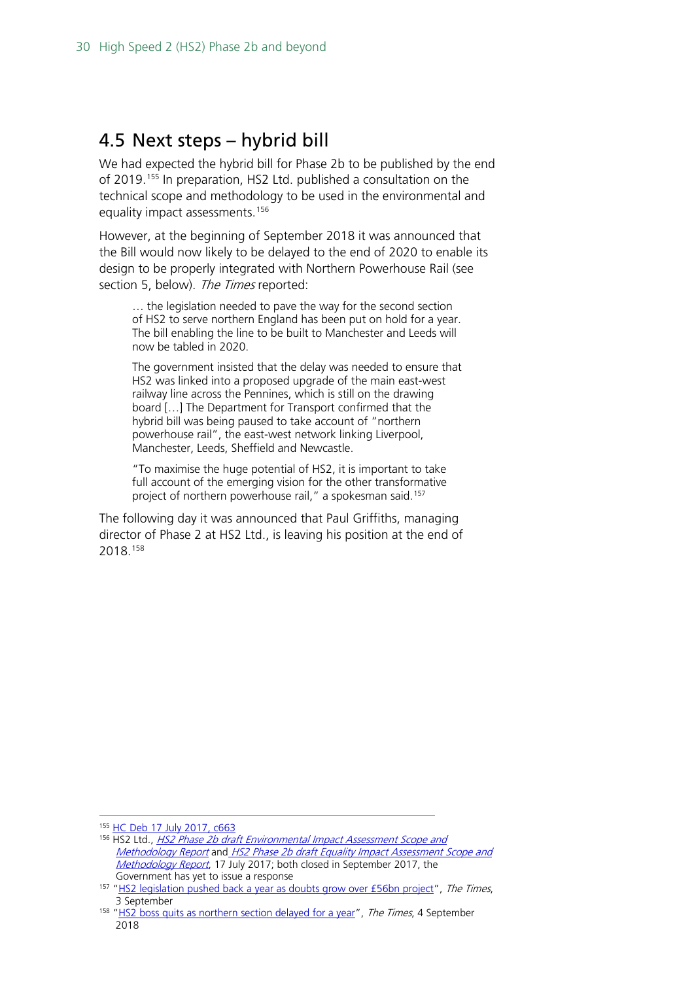### <span id="page-29-0"></span>4.5 Next steps – hybrid bill

We had expected the hybrid bill for Phase 2b to be published by the end of 2019.[155](#page-29-1) In preparation, HS2 Ltd. published a consultation on the technical scope and methodology to be used in the environmental and equality impact assessments.<sup>[156](#page-29-2)</sup>

However, at the beginning of September 2018 it was announced that the Bill would now likely to be delayed to the end of 2020 to enable its design to be properly integrated with Northern Powerhouse Rail (see section 5, below). The Times reported:

… the legislation needed to pave the way for the second section of HS2 to serve northern England has been put on hold for a year. The bill enabling the line to be built to Manchester and Leeds will now be tabled in 2020.

The government insisted that the delay was needed to ensure that HS2 was linked into a proposed upgrade of the main east-west railway line across the Pennines, which is still on the drawing board […] The Department for Transport confirmed that the hybrid bill was being paused to take account of "northern powerhouse rail", the east-west network linking Liverpool, Manchester, Leeds, Sheffield and Newcastle.

"To maximise the huge potential of HS2, it is important to take full account of the emerging vision for the other transformative project of northern powerhouse rail," a spokesman said.<sup>[157](#page-29-3)</sup>

The following day it was announced that Paul Griffiths, managing director of Phase 2 at HS2 Ltd., is leaving his position at the end of 2018.[158](#page-29-4)

<span id="page-29-2"></span><span id="page-29-1"></span> <sup>155</sup> [HC Deb 17 July 2017, c663](https://hansard.parliament.uk/commons/2017-07-17/debates/CEC91F1D-27F4-4B85-B17B-8F7C3429DABC/HS2Update)

<sup>&</sup>lt;sup>156</sup> HS2 Ltd., HS2 Phase 2b draft Environmental Impact Assessment Scope and [Methodology Report](https://www.gov.uk/government/consultations/hs2-phase-2b-draft-environmental-impact-assessment-scope-and-methodology-report) and [HS2 Phase 2b draft Equality Impact Assessment Scope and](https://www.gov.uk/government/consultations/hs2-phase-2b-draft-equality-impact-assessment-scope-and-methodology-report)  [Methodology Report](https://www.gov.uk/government/consultations/hs2-phase-2b-draft-equality-impact-assessment-scope-and-methodology-report), 17 July 2017; both closed in September 2017, the Government has yet to issue a response

<span id="page-29-3"></span><sup>&</sup>lt;sup>157</sup> ["HS2 legislation pushed back a year as](https://www.thetimes.co.uk/article/hs2-pushed-back-a-year-as-doubts-grow-gfcm0wb2d) doubts grow over £56bn project", The Times, 3 September

<span id="page-29-4"></span><sup>&</sup>lt;sup>158</sup> "HS2 boss quits as northern section delayed for a *year", The Times*, 4 September 2018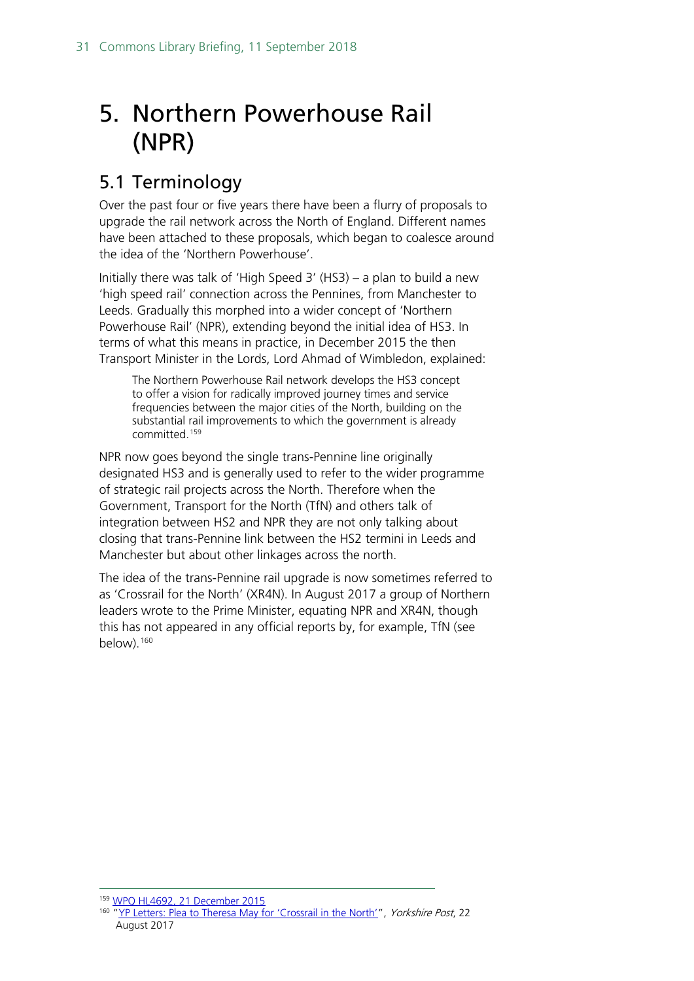## <span id="page-30-0"></span>5. Northern Powerhouse Rail (NPR)

### <span id="page-30-1"></span>5.1 Terminology

Over the past four or five years there have been a flurry of proposals to upgrade the rail network across the North of England. Different names have been attached to these proposals, which began to coalesce around the idea of the 'Northern Powerhouse'.

Initially there was talk of 'High Speed 3' (HS3) – a plan to build a new 'high speed rail' connection across the Pennines, from Manchester to Leeds. Gradually this morphed into a wider concept of 'Northern Powerhouse Rail' (NPR), extending beyond the initial idea of HS3. In terms of what this means in practice, in December 2015 the then Transport Minister in the Lords, Lord Ahmad of Wimbledon, explained:

The Northern Powerhouse Rail network develops the HS3 concept to offer a vision for radically improved journey times and service frequencies between the major cities of the North, building on the substantial rail improvements to which the government is already committed.[159](#page-30-2)

NPR now goes beyond the single trans-Pennine line originally designated HS3 and is generally used to refer to the wider programme of strategic rail projects across the North. Therefore when the Government, Transport for the North (TfN) and others talk of integration between HS2 and NPR they are not only talking about closing that trans-Pennine link between the HS2 termini in Leeds and Manchester but about other linkages across the north.

The idea of the trans-Pennine rail upgrade is now sometimes referred to as 'Crossrail for the North' (XR4N). In August 2017 a group of Northern leaders wrote to the Prime Minister, equating NPR and XR4N, though this has not appeared in any official reports by, for example, TfN (see below).<sup>[160](#page-30-3)</sup>

<span id="page-30-3"></span><span id="page-30-2"></span> <sup>159</sup> [WPQ HL4692, 21 December 2015](http://www.parliament.uk/written-questions-answers-statements/written-question/lords/2015-12-17/HL4692)

<sup>&</sup>lt;sup>160</sup> ["YP Letters: Plea to Theresa May for 'Crossrail in the North'"](https://www.yorkshirepost.co.uk/news/opinion/yp-letters-plea-to-theresa-may-for-crossrail-in-the-north-1-8714369), Yorkshire Post, 22 August 2017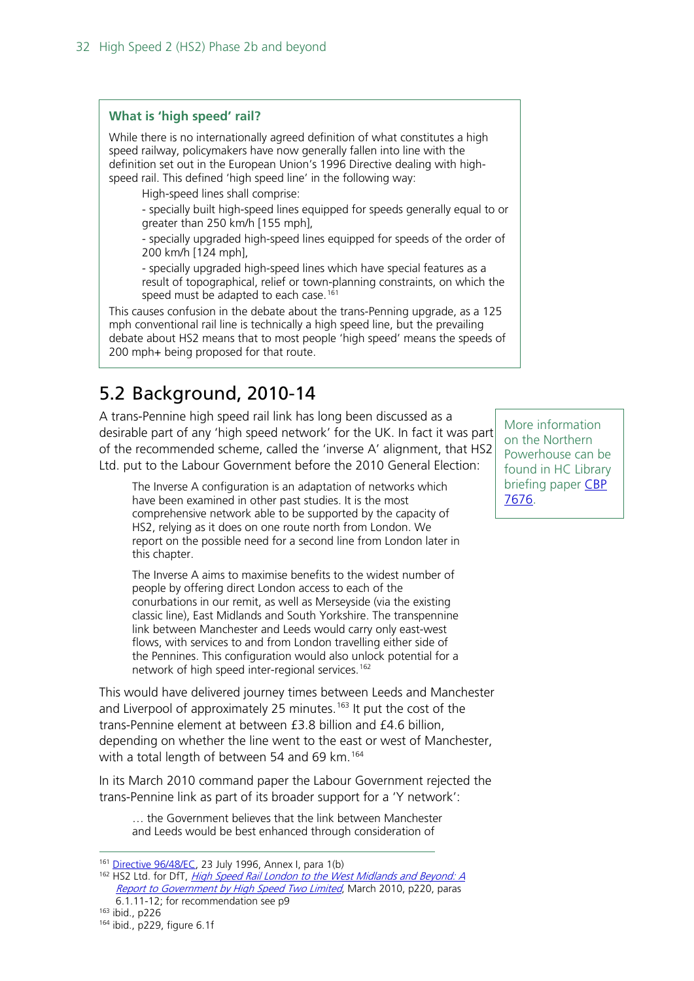#### **What is 'high speed' rail?**

While there is no internationally agreed definition of what constitutes a high speed railway, policymakers have now generally fallen into line with the definition set out in the European Union's 1996 Directive dealing with highspeed rail. This defined 'high speed line' in the following way:

High-speed lines shall comprise:

- specially built high-speed lines equipped for speeds generally equal to or greater than 250 km/h [155 mph],

- specially upgraded high-speed lines equipped for speeds of the order of 200 km/h [124 mph],

- specially upgraded high-speed lines which have special features as a result of topographical, relief or town-planning constraints, on which the speed must be adapted to each case.<sup>[161](#page-31-1)</sup>

This causes confusion in the debate about the trans-Penning upgrade, as a 125 mph conventional rail line is technically a high speed line, but the prevailing debate about HS2 means that to most people 'high speed' means the speeds of 200 mph+ being proposed for that route.

### <span id="page-31-0"></span>5.2 Background, 2010-14

A trans-Pennine high speed rail link has long been discussed as a desirable part of any 'high speed network' for the UK. In fact it was part of the recommended scheme, called the 'inverse A' alignment, that HS2 Ltd. put to the Labour Government before the 2010 General Election:

The Inverse A configuration is an adaptation of networks which have been examined in other past studies. It is the most comprehensive network able to be supported by the capacity of HS2, relying as it does on one route north from London. We report on the possible need for a second line from London later in this chapter.

The Inverse A aims to maximise benefits to the widest number of people by offering direct London access to each of the conurbations in our remit, as well as Merseyside (via the existing classic line), East Midlands and South Yorkshire. The transpennine link between Manchester and Leeds would carry only east-west flows, with services to and from London travelling either side of the Pennines. This configuration would also unlock potential for a network of high speed inter-regional services.<sup>[162](#page-31-2)</sup>

This would have delivered journey times between Leeds and Manchester and Liverpool of approximately 25 minutes.<sup>[163](#page-31-3)</sup> It put the cost of the trans-Pennine element at between £3.8 billion and £4.6 billion, depending on whether the line went to the east or west of Manchester, with a total length of between 54 and 69 km.<sup>[164](#page-31-4)</sup>

In its March 2010 command paper the Labour Government rejected the trans-Pennine link as part of its broader support for a 'Y network':

… the Government believes that the link between Manchester and Leeds would be best enhanced through consideration of

<span id="page-31-3"></span><sup>163</sup> ibid., p226

More information on the Northern Powerhouse can be found in HC Library briefing paper [CBP](http://researchbriefings.parliament.uk/ResearchBriefing/Summary/CBP-7676)  [7676.](http://researchbriefings.parliament.uk/ResearchBriefing/Summary/CBP-7676)

<span id="page-31-2"></span><span id="page-31-1"></span><sup>161</sup> [Directive 96/48/EC,](http://eur-lex.europa.eu/LexUriServ/LexUriServ.do?uri=OJ:L:1996:235:0006:0024:EN:PDF) 23 July 1996, Annex I, para 1(b)

<sup>162</sup> HS2 Ltd. for DfT, *[High Speed Rail London to the West Midlands and Beyond:](http://webarchive.nationalarchives.gov.uk/20100505161152/http:/www.dft.gov.uk/pgr/rail/pi/highspeedrail/hs2ltd/hs2report/) A* [Report to Government by High Speed Two Limited](http://webarchive.nationalarchives.gov.uk/20100505161152/http:/www.dft.gov.uk/pgr/rail/pi/highspeedrail/hs2ltd/hs2report/), March 2010, p220, paras 6.1.11-12; for recommendation see p9

<span id="page-31-4"></span><sup>164</sup> ibid., p229, figure 6.1f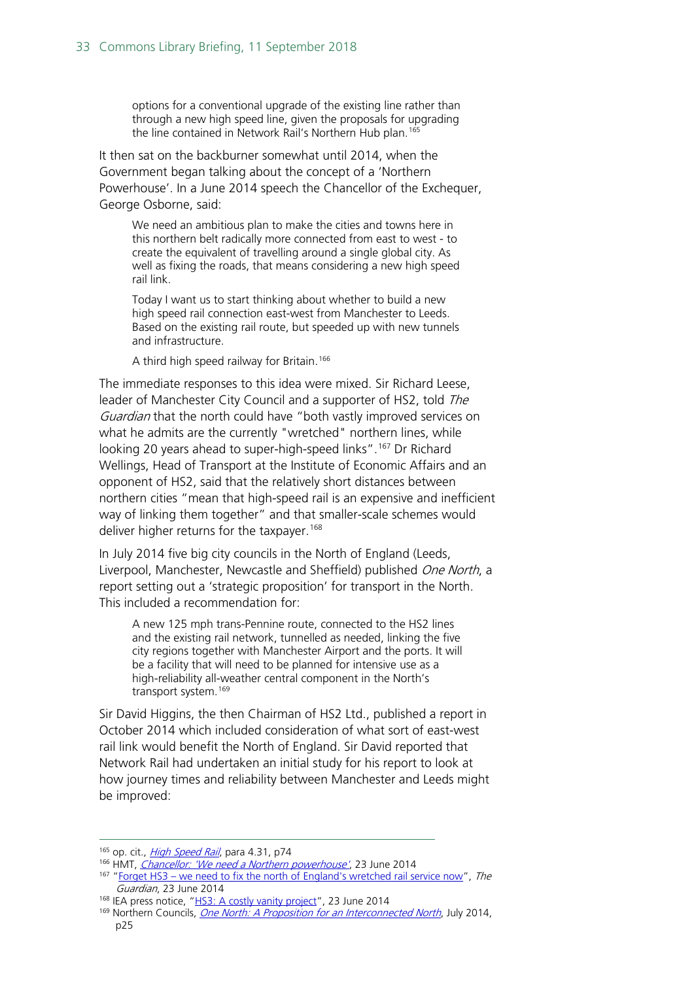options for a conventional upgrade of the existing line rather than through a new high speed line, given the proposals for upgrading the line contained in Network Rail's Northern Hub plan.<sup>[165](#page-32-0)</sup>

It then sat on the backburner somewhat until 2014, when the Government began talking about the concept of a 'Northern Powerhouse'. In a June 2014 speech the Chancellor of the Exchequer, George Osborne, said:

We need an ambitious plan to make the cities and towns here in this northern belt radically more connected from east to west - to create the equivalent of travelling around a single global city. As well as fixing the roads, that means considering a new high speed rail link.

Today I want us to start thinking about whether to build a new high speed rail connection east-west from Manchester to Leeds. Based on the existing rail route, but speeded up with new tunnels and infrastructure.

A third high speed railway for Britain.<sup>[166](#page-32-1)</sup>

The immediate responses to this idea were mixed. Sir Richard Leese, leader of Manchester City Council and a supporter of HS2, told The Guardian that the north could have "both vastly improved services on what he admits are the currently "wretched" northern lines, while looking 20 years ahead to super-high-speed links".<sup>[167](#page-32-2)</sup> Dr Richard Wellings, Head of Transport at the Institute of Economic Affairs and an opponent of HS2, said that the relatively short distances between northern cities "mean that high-speed rail is an expensive and inefficient way of linking them together" and that smaller-scale schemes would deliver higher returns for the taxpayer.<sup>[168](#page-32-3)</sup>

In July 2014 five big city councils in the North of England (Leeds, Liverpool, Manchester, Newcastle and Sheffield) published One North, a report setting out a 'strategic proposition' for transport in the North. This included a recommendation for:

A new 125 mph trans-Pennine route, connected to the HS2 lines and the existing rail network, tunnelled as needed, linking the five city regions together with Manchester Airport and the ports. It will be a facility that will need to be planned for intensive use as a high-reliability all-weather central component in the North's transport system.<sup>[169](#page-32-4)</sup>

Sir David Higgins, the then Chairman of HS2 Ltd., published a report in October 2014 which included consideration of what sort of east-west rail link would benefit the North of England. Sir David reported that Network Rail had undertaken an initial study for his report to look at how journey times and reliability between Manchester and Leeds might be improved:

<span id="page-32-1"></span><span id="page-32-0"></span><sup>&</sup>lt;sup>165</sup> op. cit., *[High Speed Rail](http://webarchive.nationalarchives.gov.uk/20100407011027/http:/www.dft.gov.uk/pgr/rail/pi/highspeedrail/commandpaper/pdf/cmdpaper.pdf)*, para 4.31, p74

<sup>166</sup> HMT, *[Chancellor: 'We need a Northern powerhouse'](http://webarchive.nationalarchives.gov.uk/20150202222943/https:/www.gov.uk/government/speeches/chancellor-we-need-a-northern-powerhouse)*, 23 June 2014

<span id="page-32-2"></span><sup>&</sup>lt;sup>167</sup> "Forget HS3 – [we need to fix the north of England's wretched rail service now"](http://www.theguardian.com/commentisfree/2014/jun/23/hs3-north-england-rail-service-george-osborne), The Guardian, 23 June 2014

<span id="page-32-3"></span><sup>&</sup>lt;sup>168</sup> IEA press notice, ["HS3: A costly vanity project"](http://www.iea.org.uk/in-the-media/press-release/hs3-a-costly-vanity-project), 23 June 2014

<span id="page-32-4"></span><sup>&</sup>lt;sup>169</sup> Northern Councils, *[One North: A Proposition for an Interconnected North](http://web.archive.org/web/20150317200133/http:/www.westyorks-ca.gov.uk/uploadedFiles/Content/News/Articles/One%20North.pdf)*, July 2014, p25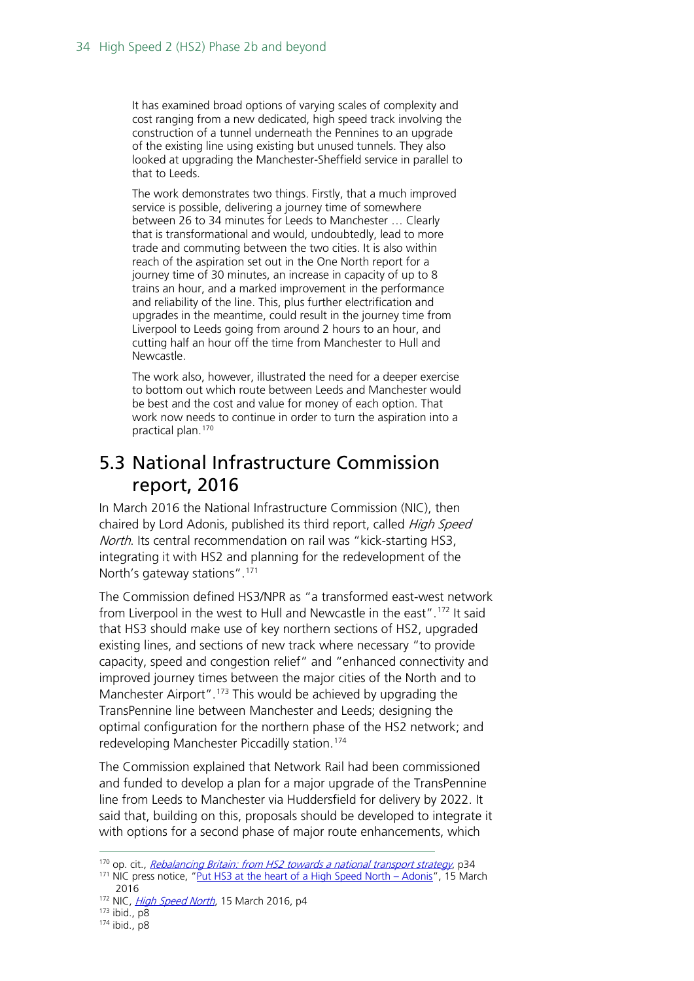It has examined broad options of varying scales of complexity and cost ranging from a new dedicated, high speed track involving the construction of a tunnel underneath the Pennines to an upgrade of the existing line using existing but unused tunnels. They also looked at upgrading the Manchester-Sheffield service in parallel to that to Leeds.

The work demonstrates two things. Firstly, that a much improved service is possible, delivering a journey time of somewhere between 26 to 34 minutes for Leeds to Manchester … Clearly that is transformational and would, undoubtedly, lead to more trade and commuting between the two cities. It is also within reach of the aspiration set out in the One North report for a journey time of 30 minutes, an increase in capacity of up to 8 trains an hour, and a marked improvement in the performance and reliability of the line. This, plus further electrification and upgrades in the meantime, could result in the journey time from Liverpool to Leeds going from around 2 hours to an hour, and cutting half an hour off the time from Manchester to Hull and Newcastle.

The work also, however, illustrated the need for a deeper exercise to bottom out which route between Leeds and Manchester would be best and the cost and value for money of each option. That work now needs to continue in order to turn the aspiration into a practical plan.[170](#page-33-1)

### <span id="page-33-0"></span>5.3 National Infrastructure Commission report, 2016

In March 2016 the National Infrastructure Commission (NIC), then chaired by Lord Adonis, published its third report, called *High Speed* North. Its central recommendation on rail was "kick-starting HS3, integrating it with HS2 and planning for the redevelopment of the North's gateway stations".<sup>[171](#page-33-2)</sup>

The Commission defined HS3/NPR as "a transformed east-west network from Liverpool in the west to Hull and Newcastle in the east".[172](#page-33-3) It said that HS3 should make use of key northern sections of HS2, upgraded existing lines, and sections of new track where necessary "to provide capacity, speed and congestion relief" and "enhanced connectivity and improved journey times between the major cities of the North and to Manchester Airport".<sup>[173](#page-33-4)</sup> This would be achieved by upgrading the TransPennine line between Manchester and Leeds; designing the optimal configuration for the northern phase of the HS2 network; and redeveloping Manchester Piccadilly station.[174](#page-33-5)

The Commission explained that Network Rail had been commissioned and funded to develop a plan for a major upgrade of the TransPennine line from Leeds to Manchester via Huddersfield for delivery by 2022. It said that, building on this, proposals should be developed to integrate it with options for a second phase of major route enhancements, which

<span id="page-33-2"></span><span id="page-33-1"></span><sup>&</sup>lt;sup>170</sup> op. cit.[,](http://web.archive.org/web/20150123103844/http:/assets.hs2.org.uk/sites/default/files/Rebalancing%20Britain.pdf) *Rebalancing Britain: from HS2 towards a national transport strategy*, p34<br><sup>171</sup> NIC press notice, ["Put HS3 at the heart of a High Speed North –](http://webarchive.nationalarchives.gov.uk/20160806010643/https:/www.gov.uk/government/news/put-hs3-at-the-heart-of-a-high-speed-north-adonis) Adonis", 15 March

<sup>2016</sup> <sup>172</sup> NIC, *[High Speed North](http://webarchive.nationalarchives.gov.uk/20160806010643/https:/www.gov.uk/government/uploads/system/uploads/attachment_data/file/507791/High_Speed_North.pdf)*, 15 March 2016, p4

<span id="page-33-4"></span><span id="page-33-3"></span> $173$  ibid.,  $p\overline{8}$ 

<span id="page-33-5"></span><sup>174</sup> ibid., p8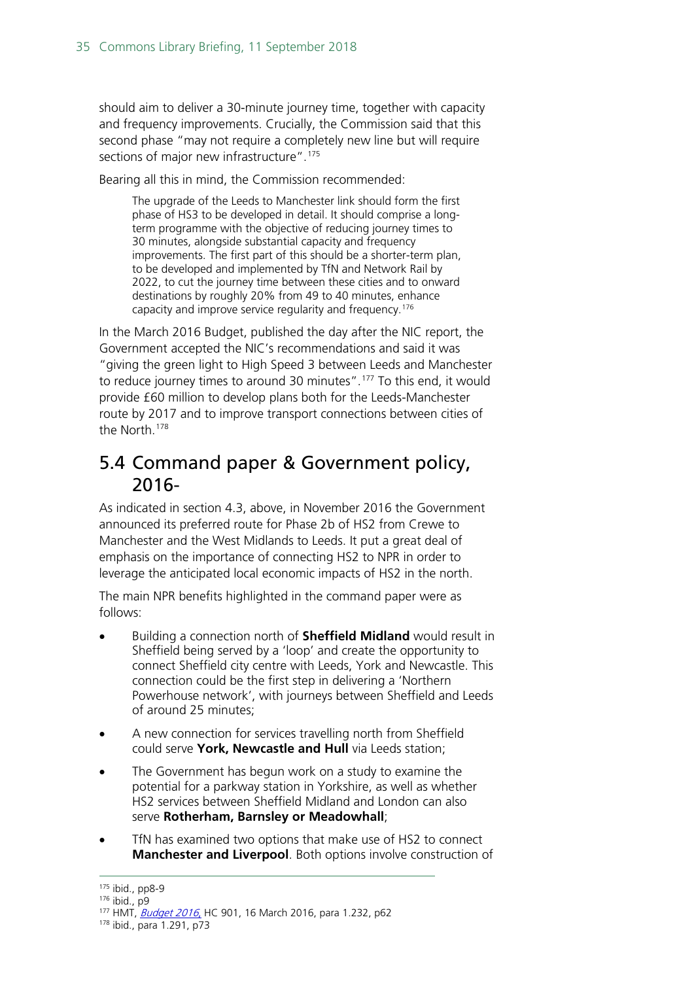should aim to deliver a 30-minute journey time, together with capacity and frequency improvements. Crucially, the Commission said that this second phase "may not require a completely new line but will require sections of major new infrastructure".<sup>[175](#page-34-1)</sup>

Bearing all this in mind, the Commission recommended:

The upgrade of the Leeds to Manchester link should form the first phase of HS3 to be developed in detail. It should comprise a longterm programme with the objective of reducing journey times to 30 minutes, alongside substantial capacity and frequency improvements. The first part of this should be a shorter-term plan, to be developed and implemented by TfN and Network Rail by 2022, to cut the journey time between these cities and to onward destinations by roughly 20% from 49 to 40 minutes, enhance capacity and improve service regularity and frequency.[176](#page-34-2)

In the March 2016 Budget, published the day after the NIC report, the Government accepted the NIC's recommendations and said it was "giving the green light to High Speed 3 between Leeds and Manchester to reduce journey times to around 30 minutes".[177](#page-34-3) To this end, it would provide £60 million to develop plans both for the Leeds-Manchester route by 2017 and to improve transport connections between cities of the North.<sup>[178](#page-34-4)</sup>

### <span id="page-34-0"></span>5.4 Command paper & Government policy, 2016-

As indicated in section 4.3, above, in November 2016 the Government announced its preferred route for Phase 2b of HS2 from Crewe to Manchester and the West Midlands to Leeds. It put a great deal of emphasis on the importance of connecting HS2 to NPR in order to leverage the anticipated local economic impacts of HS2 in the north.

The main NPR benefits highlighted in the command paper were as follows:

- Building a connection north of **Sheffield Midland** would result in Sheffield being served by a 'loop' and create the opportunity to connect Sheffield city centre with Leeds, York and Newcastle. This connection could be the first step in delivering a 'Northern Powerhouse network', with journeys between Sheffield and Leeds of around 25 minutes;
- A new connection for services travelling north from Sheffield could serve **York, Newcastle and Hull** via Leeds station;
- The Government has begun work on a study to examine the potential for a parkway station in Yorkshire, as well as whether HS2 services between Sheffield Midland and London can also serve **Rotherham, Barnsley or Meadowhall**;
- TfN has examined two options that make use of HS2 to connect **Manchester and Liverpool**. Both options involve construction of

<span id="page-34-1"></span> <sup>175</sup> ibid., pp8-9

<span id="page-34-2"></span><sup>176</sup> ibid., p9

<span id="page-34-3"></span><sup>&</sup>lt;sup>177</sup> HMT, *[Budget 2016](http://webarchive.nationalarchives.gov.uk/20160806010643/https:/www.gov.uk/government/uploads/system/uploads/attachment_data/file/508193/HMT_Budget_2016_Web_Accessible.pdf)*, HC 901, 16 March 2016, para 1.232, p62

<span id="page-34-4"></span><sup>178</sup> ibid., para 1.291, p73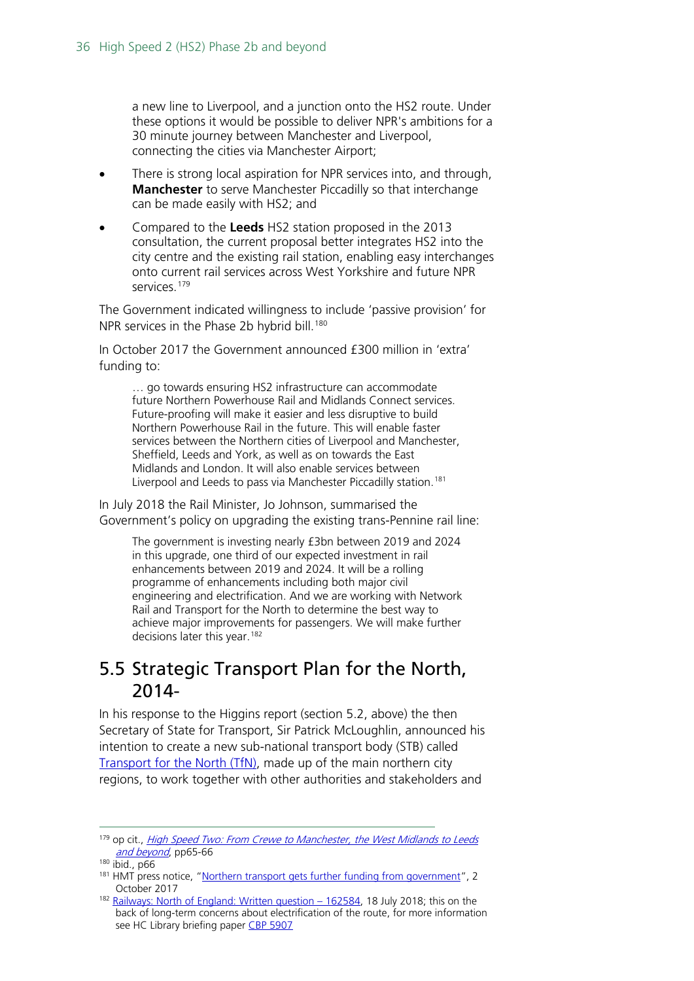a new line to Liverpool, and a junction onto the HS2 route. Under these options it would be possible to deliver NPR's ambitions for a 30 minute journey between Manchester and Liverpool, connecting the cities via Manchester Airport;

- There is strong local aspiration for NPR services into, and through, **Manchester** to serve Manchester Piccadilly so that interchange can be made easily with HS2; and
- Compared to the **Leeds** HS2 station proposed in the 2013 consultation, the current proposal better integrates HS2 into the city centre and the existing rail station, enabling easy interchanges onto current rail services across West Yorkshire and future NPR services. [179](#page-35-1)

The Government indicated willingness to include 'passive provision' for NPR services in the Phase 2b hybrid bill.<sup>[180](#page-35-2)</sup>

In October 2017 the Government announced £300 million in 'extra' funding to:

… go towards ensuring HS2 infrastructure can accommodate future Northern Powerhouse Rail and Midlands Connect services. Future-proofing will make it easier and less disruptive to build Northern Powerhouse Rail in the future. This will enable faster services between the Northern cities of Liverpool and Manchester, Sheffield, Leeds and York, as well as on towards the East Midlands and London. It will also enable services between Liverpool and Leeds to pass via Manchester Piccadilly station.<sup>[181](#page-35-3)</sup>

In July 2018 the Rail Minister, Jo Johnson, summarised the Government's policy on upgrading the existing trans-Pennine rail line:

The government is investing nearly £3bn between 2019 and 2024 in this upgrade, one third of our expected investment in rail enhancements between 2019 and 2024. It will be a rolling programme of enhancements including both major civil engineering and electrification. And we are working with Network Rail and Transport for the North to determine the best way to achieve major improvements for passengers. We will make further decisions later this year.<sup>[182](#page-35-4)</sup>

### <span id="page-35-0"></span>5.5 Strategic Transport Plan for the North, 2014-

In his response to the Higgins report (section 5.2, above) the then Secretary of State for Transport, Sir Patrick McLoughlin, announced his intention to create a new sub-national transport body (STB) called [Transport for the North \(TfN\),](https://transportforthenorth.com/) made up of the main northern city regions, to work together with other authorities and stakeholders and

<span id="page-35-1"></span><sup>&</sup>lt;sup>179</sup> op cit., High Speed Two: From Crewe to Manchester, the West Midlands to Leeds [and beyond](https://www.gov.uk/government/uploads/system/uploads/attachment_data/file/568208/high-speed-two-crewe-manchester-west-midlands-leeds-web-version.pdf), pp65-66

<span id="page-35-2"></span> $180$  ibid., p66

<span id="page-35-3"></span><sup>&</sup>lt;sup>181</sup> HMT press notice, ["Northern transport gets further funding from government"](https://www.gov.uk/government/news/northern-transport-gets-further-funding-from-government), 2 October 2017

<span id="page-35-4"></span><sup>&</sup>lt;sup>182</sup> [Railways: North of England: Written question –](https://www.parliament.uk/written-questions-answers-statements/written-question/commons/2018-07-10/162584) 162584, 18 July 2018; this on the back of long-term concerns about electrification of the route, for more information see HC Library briefing paper [CBP 5907](https://researchbriefings.parliament.uk/ResearchBriefing/Summary/SN05907)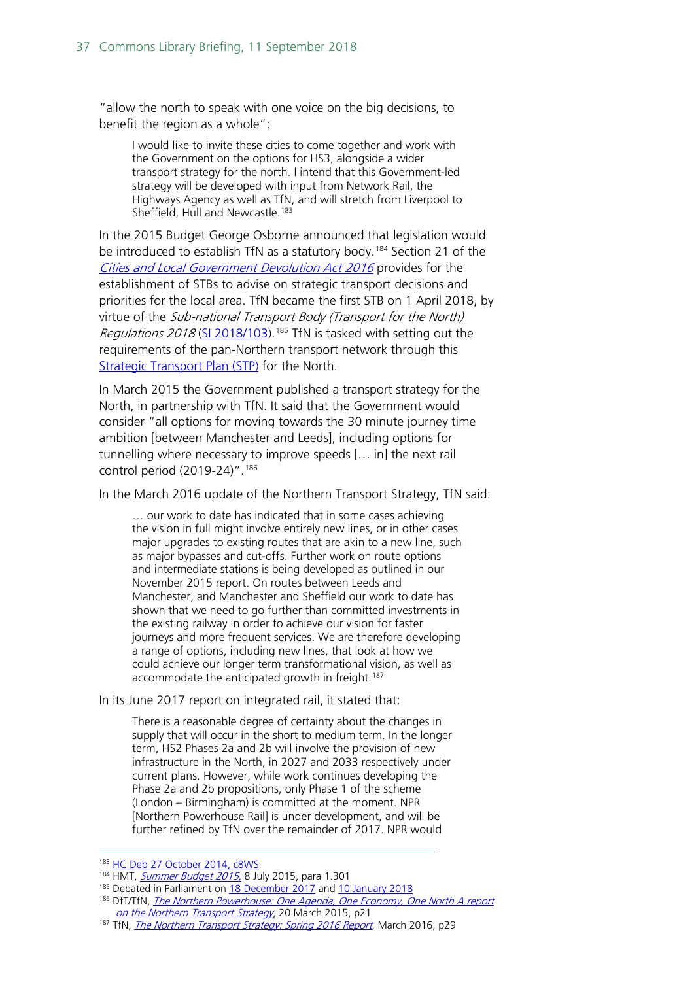"allow the north to speak with one voice on the big decisions, to benefit the region as a whole":

I would like to invite these cities to come together and work with the Government on the options for HS3, alongside a wider transport strategy for the north. I intend that this Government-led strategy will be developed with input from Network Rail, the Highways Agency as well as TfN, and will stretch from Liverpool to Sheffield, Hull and Newcastle.<sup>[183](#page-36-0)</sup>

In the 2015 Budget George Osborne announced that legislation would be introduced to establish TfN as a statutory body.<sup>[184](#page-36-1)</sup> Section 21 of the [Cities and Local Government Devolution Act 2016](http://www.legislation.gov.uk/ukpga/2016/1/enacted) provides for the establishment of STBs to advise on strategic transport decisions and priorities for the local area. TfN became the first STB on 1 April 2018, by virtue of the Sub-national Transport Body (Transport for the North) Regulations 2018 [\(SI 2018/103\)](http://www.legislation.gov.uk/uksi/2018/103/contents/made).<sup>[185](#page-36-2)</sup> TfN is tasked with setting out the requirements of the pan-Northern transport network through this [Strategic Transport Plan](http://www.transportforthenorth.com/wp-content/uploads/TfN-Position-Statement22617.pdf) (STP) for the North.

In March 2015 the Government published a transport strategy for the North, in partnership with TfN. It said that the Government would consider "all options for moving towards the 30 minute journey time ambition [between Manchester and Leeds], including options for tunnelling where necessary to improve speeds [… in] the next rail control period (2019-24)".<sup>[186](#page-36-3)</sup>

In the March 2016 update of the Northern Transport Strategy, TfN said:

… our work to date has indicated that in some cases achieving the vision in full might involve entirely new lines, or in other cases major upgrades to existing routes that are akin to a new line, such as major bypasses and cut-offs. Further work on route options and intermediate stations is being developed as outlined in our November 2015 report. On routes between Leeds and Manchester, and Manchester and Sheffield our work to date has shown that we need to go further than committed investments in the existing railway in order to achieve our vision for faster journeys and more frequent services. We are therefore developing a range of options, including new lines, that look at how we could achieve our longer term transformational vision, as well as accommodate the anticipated growth in freight.<sup>[187](#page-36-4)</sup>

In its June 2017 report on integrated rail, it stated that:

There is a reasonable degree of certainty about the changes in supply that will occur in the short to medium term. In the longer term, HS2 Phases 2a and 2b will involve the provision of new infrastructure in the North, in 2027 and 2033 respectively under current plans. However, while work continues developing the Phase 2a and 2b propositions, only Phase 1 of the scheme (London – Birmingham) is committed at the moment. NPR [Northern Powerhouse Rail] is under development, and will be further refined by TfN over the remainder of 2017. NPR would

<span id="page-36-0"></span><sup>183</sup> [HC Deb 27 October 2014, c8WS](http://www.publications.parliament.uk/pa/cm201415/cmhansrd/cm141027/wmstext/141027m0001.htm#1410273000005)

<span id="page-36-1"></span><sup>184</sup> HMT, [Summer Budget 2015,](https://www.gov.uk/government/uploads/system/uploads/attachment_data/file/443232/50325_Summer_Budget_15_Web_Accessible.pdf) 8 July 2015, para 1.301

<span id="page-36-2"></span><sup>&</sup>lt;sup>185</sup> Debated in Parliament o[n 18 December 2017](https://hansard.parliament.uk/Lords/2017-12-18/debates/585C0387-08F2-49E7-9890-EC13C7C3A049/Sub-NationalTransportBody(TransportForTheNorth)Regulations2017#contribution-2F3AD25F-ABF7-4A0F-9CDD-D38B802688C4) and [10 January 2018](https://hansard.parliament.uk/Commons/2018-01-10/debates/83522b6c-5666-498c-a676-51e214901893/DraftSub-NationalTransportBody(TransportForTheNorth)Regulations2017)

<span id="page-36-3"></span><sup>&</sup>lt;sup>186</sup> DfT/TfN, *The Northern Powerhouse: One Agenda*, One Economy, One North A report [on the Northern Transport Strategy](http://webarchive.nationalarchives.gov.uk/20150517021941/https:/www.gov.uk/government/uploads/system/uploads/attachment_data/file/427339/the-northern-powerhouse-tagged.pdf), 20 March 2015, p21

<span id="page-36-4"></span><sup>&</sup>lt;sup>187</sup> TfN, *[The Northern Transport Strategy: Spring 2016 Report](http://www.transportforthenorth.com/pdfs/The-Northern-Transport-Strategy-Spring-2016-Report.PDF)*, March 2016, p29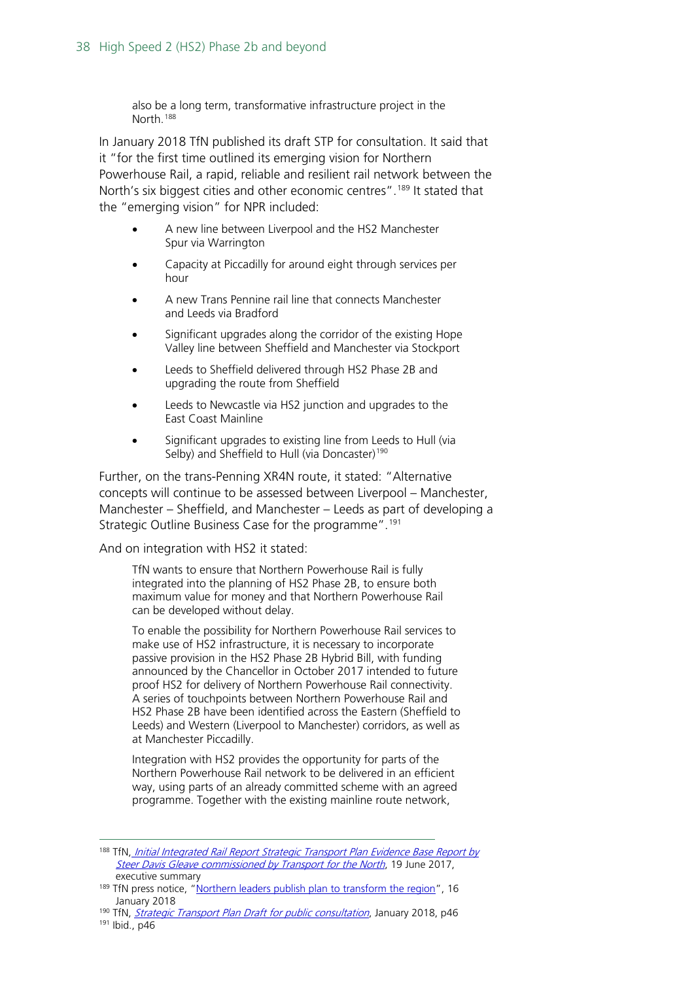also be a long term, transformative infrastructure project in the North.[188](#page-37-0)

In January 2018 TfN published its draft STP for consultation. It said that it "for the first time outlined its emerging vision for Northern Powerhouse Rail, a rapid, reliable and resilient rail network between the North's six biggest cities and other economic centres". <sup>[189](#page-37-1)</sup> It stated that the "emerging vision" for NPR included:

- A new line between Liverpool and the HS2 Manchester Spur via Warrington
- Capacity at Piccadilly for around eight through services per hour
- A new Trans Pennine rail line that connects Manchester and Leeds via Bradford
- Significant upgrades along the corridor of the existing Hope Valley line between Sheffield and Manchester via Stockport
- Leeds to Sheffield delivered through HS2 Phase 2B and upgrading the route from Sheffield
- Leeds to Newcastle via HS2 junction and upgrades to the East Coast Mainline
- Significant upgrades to existing line from Leeds to Hull (via Selby) and Sheffield to Hull (via Doncaster)<sup>[190](#page-37-2)</sup>

Further, on the trans-Penning XR4N route, it stated: "Alternative concepts will continue to be assessed between Liverpool – Manchester, Manchester – Sheffield, and Manchester – Leeds as part of developing a Strategic Outline Business Case for the programme".[191](#page-37-3)

And on integration with HS2 it stated:

TfN wants to ensure that Northern Powerhouse Rail is fully integrated into the planning of HS2 Phase 2B, to ensure both maximum value for money and that Northern Powerhouse Rail can be developed without delay.

To enable the possibility for Northern Powerhouse Rail services to make use of HS2 infrastructure, it is necessary to incorporate passive provision in the HS2 Phase 2B Hybrid Bill, with funding announced by the Chancellor in October 2017 intended to future proof HS2 for delivery of Northern Powerhouse Rail connectivity. A series of touchpoints between Northern Powerhouse Rail and HS2 Phase 2B have been identified across the Eastern (Sheffield to Leeds) and Western (Liverpool to Manchester) corridors, as well as at Manchester Piccadilly.

Integration with HS2 provides the opportunity for parts of the Northern Powerhouse Rail network to be delivered in an efficient way, using parts of an already committed scheme with an agreed programme. Together with the existing mainline route network,

<span id="page-37-0"></span><sup>188</sup> TfN, Initial Integrated Rail Report Strategic Transport Plan Evidence Base Report by [Steer Davis Gleave commissioned by Transport for the North](http://www.transportforthenorth.com/wp-content/uploads/TfN-Initial-Integrated-Rail-Report.pdf), 19 June 2017, executive summary

<span id="page-37-1"></span><sup>&</sup>lt;sup>189</sup> TfN press notice, ["Northern leaders publish plan to transform the region"](https://transportforthenorth.com/northern-leaders-publish-plan-transform-region/), 16 January 2018

<span id="page-37-3"></span><span id="page-37-2"></span><sup>&</sup>lt;sup>190</sup> TfN, *[Strategic Transport Plan Draft for public consultation](https://transportforthenorth.com/wp-content/uploads/TfN-Strategic-Plan_draft_lr.pdf)*, January 2018, p46 <sup>191</sup> Ibid., p46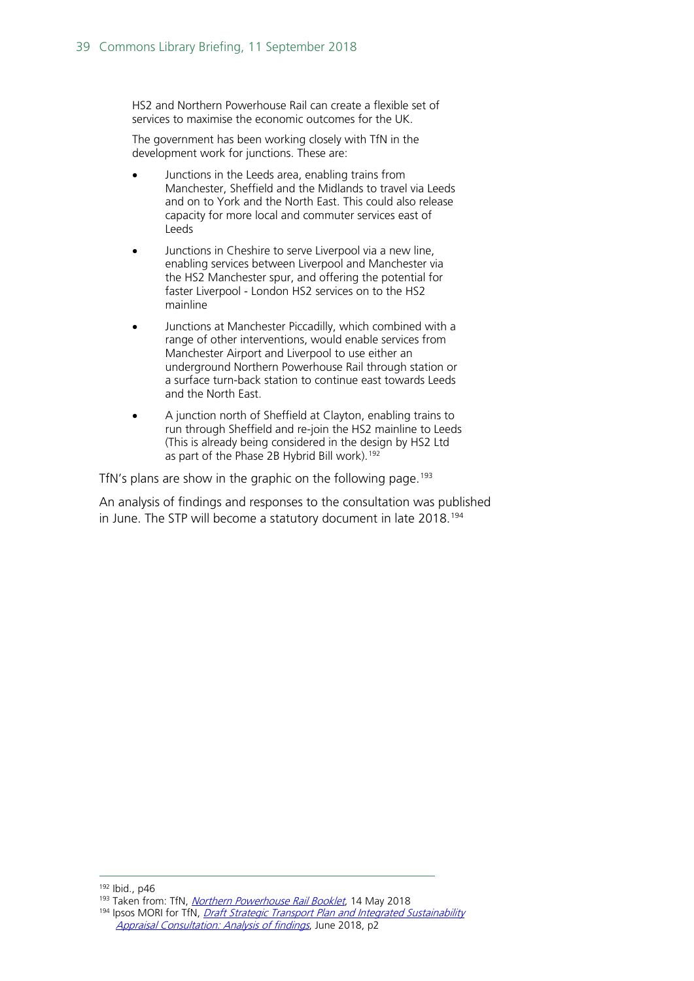HS2 and Northern Powerhouse Rail can create a flexible set of services to maximise the economic outcomes for the UK.

The government has been working closely with TfN in the development work for junctions. These are:

- Junctions in the Leeds area, enabling trains from Manchester, Sheffield and the Midlands to travel via Leeds and on to York and the North East. This could also release capacity for more local and commuter services east of Leeds
- Junctions in Cheshire to serve Liverpool via a new line, enabling services between Liverpool and Manchester via the HS2 Manchester spur, and offering the potential for faster Liverpool - London HS2 services on to the HS2 mainline
- Junctions at Manchester Piccadilly, which combined with a range of other interventions, would enable services from Manchester Airport and Liverpool to use either an underground Northern Powerhouse Rail through station or a surface turn-back station to continue east towards Leeds and the North East.
- A junction north of Sheffield at Clayton, enabling trains to run through Sheffield and re-join the HS2 mainline to Leeds (This is already being considered in the design by HS2 Ltd as part of the Phase 2B Hybrid Bill work).<sup>[192](#page-38-0)</sup>

TfN's plans are show in the graphic on the following page.<sup>[193](#page-38-1)</sup>

An analysis of findings and responses to the consultation was published in June. The STP will become a statutory document in late 2018.<sup>[194](#page-38-2)</sup>

<span id="page-38-0"></span>192 Ibid., p46

<span id="page-38-1"></span><sup>193</sup> Taken from: TfN, [Northern Powerhouse Rail Booklet](https://transportforthenorth.com/wp-content/uploads/Northern-Powerhouse-Rail-booklet-edit.pdf), 14 May 2018

<span id="page-38-2"></span><sup>194</sup> Ipsos MORI for TfN, *Draft Strategic Transport Plan and Integrated Sustainability* [Appraisal Consultation: Analysis of findings](https://transportforthenorth.com/wp-content/uploads/Item-4.1-STP-Appendix.pdf), June 2018, p2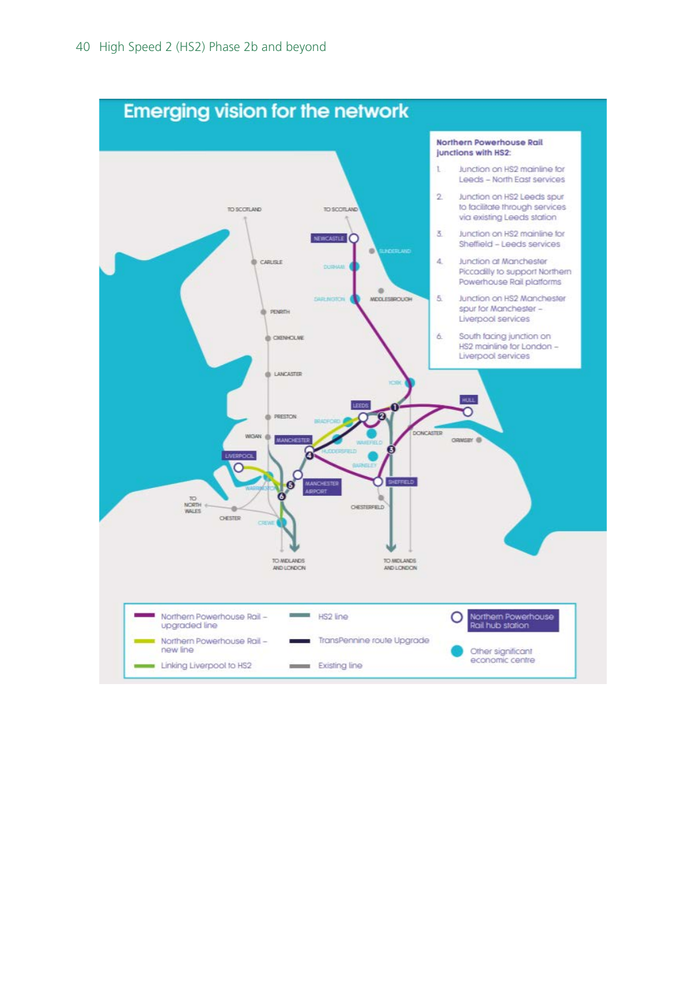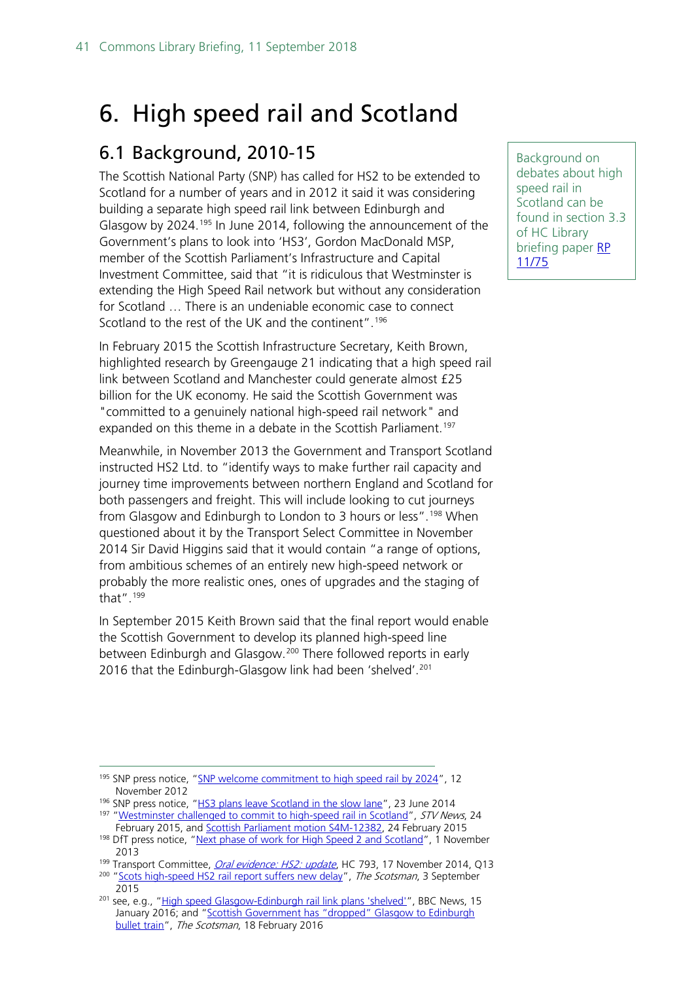## <span id="page-40-0"></span>6. High speed rail and Scotland

### <span id="page-40-1"></span>6.1 Background, 2010-15

The Scottish National Party (SNP) has called for HS2 to be extended to Scotland for a number of years and in 2012 it said it was considering building a separate high speed rail link between Edinburgh and Glasgow by 2024.<sup>[195](#page-40-2)</sup> In June 2014, following the announcement of the Government's plans to look into 'HS3', Gordon MacDonald MSP, member of the Scottish Parliament's Infrastructure and Capital Investment Committee, said that "it is ridiculous that Westminster is extending the High Speed Rail network but without any consideration for Scotland … There is an undeniable economic case to connect Scotland to the rest of the UK and the continent".<sup>[196](#page-40-3)</sup>

In February 2015 the Scottish Infrastructure Secretary, Keith Brown, highlighted research by Greengauge 21 indicating that a high speed rail link between Scotland and Manchester could generate almost £25 billion for the UK economy. He said the Scottish Government was "committed to a genuinely national high-speed rail network" and expanded on this theme in a debate in the Scottish Parliament.<sup>[197](#page-40-4)</sup>

Meanwhile, in November 2013 the Government and Transport Scotland instructed HS2 Ltd. to "identify ways to make further rail capacity and journey time improvements between northern England and Scotland for both passengers and freight. This will include looking to cut journeys from Glasgow and Edinburgh to London to 3 hours or less".<sup>[198](#page-40-5)</sup> When questioned about it by the Transport Select Committee in November 2014 Sir David Higgins said that it would contain "a range of options, from ambitious schemes of an entirely new high-speed network or probably the more realistic ones, ones of upgrades and the staging of that".[199](#page-40-6)

In September 2015 Keith Brown said that the final report would enable the Scottish Government to develop its planned high-speed line between Edinburgh and Glasgow.<sup>[200](#page-40-7)</sup> There followed reports in early [201](#page-40-8)6 that the Edinburgh-Glasgow link had been 'shelved'.<sup>201</sup>

- <span id="page-40-3"></span>196 SNP press notice, ["HS3 plans leave Scotland in the slow lane"](http://web.archive.org/web/20140626033100/http:/www.snp.org/media-centre/news/2014/jun/hs3-plans-leave-scotland-slow-lane), 23 June 2014 <sup>197</sup> ["Westminster challenged to commit to high-speed rail in Scotland"](http://news.stv.tv/scotland/311440-scots-want-rail-services-to-be-as-fast-as-road-journeys-transform-scotland/), STV News, 24
- <span id="page-40-5"></span><span id="page-40-4"></span>February 2015, and [Scottish Parliament motion S4M-12382,](http://www.scottish.parliament.uk/parliamentarybusiness/28862.aspx?r=9794#.VPhxUXysWSo) 24 February 2015 198 DfT press notice, ["Next phase of work for High Speed 2 and Scotland"](http://webarchive.nationalarchives.gov.uk/20141214014318/https:/www.gov.uk/government/news/next-phase-of-work-for-high-speed-2-and-scotland), 1 November 2013

Background on debates about high speed rail in Scotland can be found in section 3.3 of HC Library briefing paper RP [11/75](http://researchbriefings.parliament.uk/ResearchBriefing/Summary/RP11-75)

<span id="page-40-2"></span><sup>&</sup>lt;sup>195</sup> SNP press notice, ["SNP welcome commitment to high speed rail by 2024"](http://web.archive.org/web/20150326105600/http:/snp.org/media-centre/news/2012/nov/snp-welcome-commitment-high-speed-rail-2024), 12 November 2012

<sup>&</sup>lt;sup>199</sup> Transport Committee, *[Oral evidence: HS2: update](http://data.parliament.uk/writtenevidence/committeeevidence.svc/evidencedocument/transport-committee/hs2-update/oral/15638.html)*, HC 793, 17 November 2014, Q13

<span id="page-40-7"></span><span id="page-40-6"></span><sup>&</sup>lt;sup>200</sup> ["Scots high-speed HS2 rail report suffers new delay"](http://www.scotsman.com/news/transport/scots-high-speed-hs2-rail-report-suffers-new-delay-1-3876549?dm_t=0,0,0,0,0), The Scotsman, 3 September 2015

<span id="page-40-8"></span><sup>&</sup>lt;sup>201</sup> see, e.g., ["High speed Glasgow-Edinburgh rail link plans 'shelved'"](http://www.bbc.co.uk/news/uk-scotland-scotland-politics-35323728?dm_t=0,0,0,0,0), BBC News, 15 January 2016; and ["Scottish Government has "dropped" Glasgow to Edinburgh](http://www.scotsman.com/news/transport/scottish-government-has-dropped-glasgow-to-edinburgh-bullet-train-1-4034148?dm_t=0,0,0,0,0#ixzz40bNp8QdT)  [bullet train"](http://www.scotsman.com/news/transport/scottish-government-has-dropped-glasgow-to-edinburgh-bullet-train-1-4034148?dm_t=0,0,0,0,0#ixzz40bNp8QdT), The Scotsman, 18 February 2016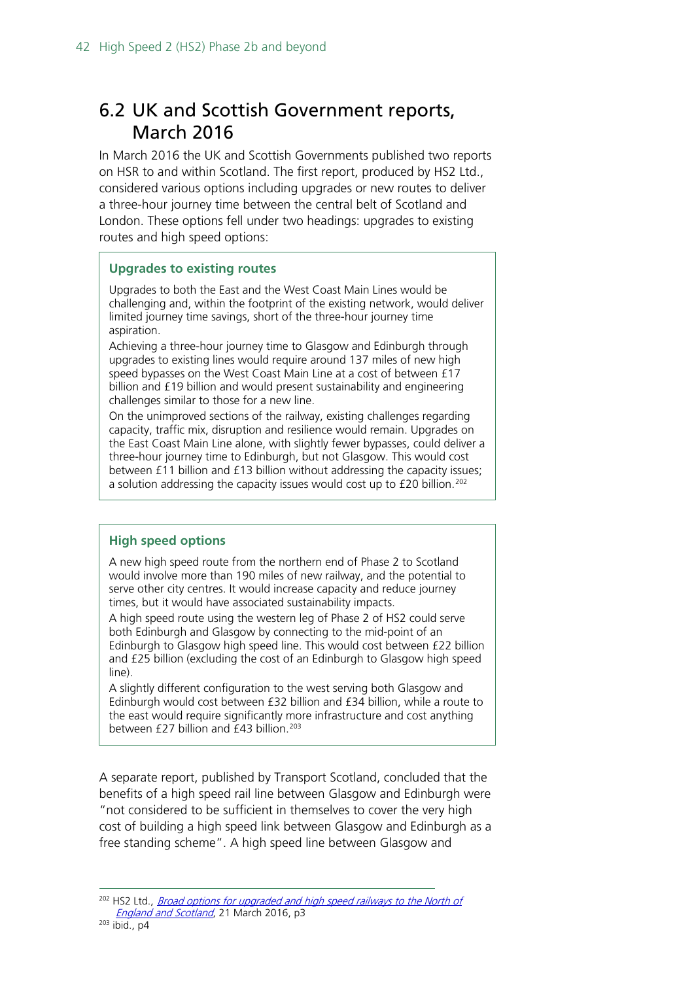### <span id="page-41-0"></span>6.2 UK and Scottish Government reports, March 2016

In March 2016 the UK and Scottish Governments published two reports on HSR to and within Scotland. The first report, produced by HS2 Ltd., considered various options including upgrades or new routes to deliver a three-hour journey time between the central belt of Scotland and London. These options fell under two headings: upgrades to existing routes and high speed options:

#### **Upgrades to existing routes**

Upgrades to both the East and the West Coast Main Lines would be challenging and, within the footprint of the existing network, would deliver limited journey time savings, short of the three-hour journey time aspiration.

Achieving a three-hour journey time to Glasgow and Edinburgh through upgrades to existing lines would require around 137 miles of new high speed bypasses on the West Coast Main Line at a cost of between £17 billion and £19 billion and would present sustainability and engineering challenges similar to those for a new line.

On the unimproved sections of the railway, existing challenges regarding capacity, traffic mix, disruption and resilience would remain. Upgrades on the East Coast Main Line alone, with slightly fewer bypasses, could deliver a three-hour journey time to Edinburgh, but not Glasgow. This would cost between £11 billion and £13 billion without addressing the capacity issues; a solution addressing the capacity issues would cost up to £20 billion.<sup>[202](#page-41-1)</sup>

#### **High speed options**

A new high speed route from the northern end of Phase 2 to Scotland would involve more than 190 miles of new railway, and the potential to serve other city centres. It would increase capacity and reduce journey times, but it would have associated sustainability impacts.

A high speed route using the western leg of Phase 2 of HS2 could serve both Edinburgh and Glasgow by connecting to the mid-point of an Edinburgh to Glasgow high speed line. This would cost between £22 billion and £25 billion (excluding the cost of an Edinburgh to Glasgow high speed line).

A slightly different configuration to the west serving both Glasgow and Edinburgh would cost between £32 billion and £34 billion, while a route to the east would require significantly more infrastructure and cost anything between £27 billion and £43 billion. [203](#page-41-2)

A separate report, published by Transport Scotland, concluded that the benefits of a high speed rail line between Glasgow and Edinburgh were "not considered to be sufficient in themselves to cover the very high cost of building a high speed link between Glasgow and Edinburgh as a free standing scheme". A high speed line between Glasgow and

<span id="page-41-2"></span><span id="page-41-1"></span><sup>&</sup>lt;sup>202</sup> HS2 Ltd., *Broad options for upgraded and high speed railways to the North of* [England and Scotland](http://webarchive.nationalarchives.gov.uk/20160811030116/https:/www.gov.uk/government/uploads/system/uploads/attachment_data/file/506022/NES_Report.pdf), 21 March 2016, p3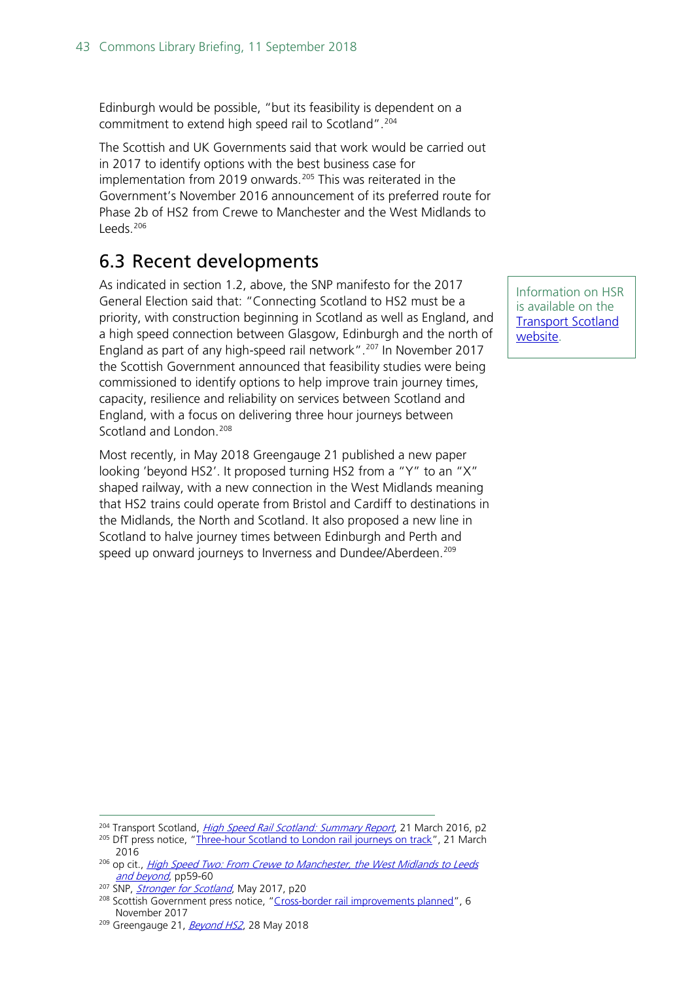Edinburgh would be possible, "but its feasibility is dependent on a commitment to extend high speed rail to Scotland".<sup>[204](#page-42-1)</sup>

The Scottish and UK Governments said that work would be carried out in 2017 to identify options with the best business case for implementation from 2019 onwards.<sup>[205](#page-42-2)</sup> This was reiterated in the Government's November 2016 announcement of its preferred route for Phase 2b of HS2 from Crewe to Manchester and the West Midlands to Leeds. [206](#page-42-3)

### <span id="page-42-0"></span>6.3 Recent developments

As indicated in section 1.2, above, the SNP manifesto for the 2017 General Election said that: "Connecting Scotland to HS2 must be a priority, with construction beginning in Scotland as well as England, and a high speed connection between Glasgow, Edinburgh and the north of England as part of any high-speed rail network".<sup>[207](#page-42-4)</sup> In November 2017 the Scottish Government announced that feasibility studies were being commissioned to identify options to help improve train journey times, capacity, resilience and reliability on services between Scotland and England, with a focus on delivering three hour journeys between Scotland and London.<sup>[208](#page-42-5)</sup>

Most recently, in May 2018 Greengauge 21 published a new paper looking 'beyond HS2'. It proposed turning HS2 from a "Y" to an "X" shaped railway, with a new connection in the West Midlands meaning that HS2 trains could operate from Bristol and Cardiff to destinations in the Midlands, the North and Scotland. It also proposed a new line in Scotland to halve journey times between Edinburgh and Perth and speed up onward journeys to Inverness and Dundee/Aberdeen.<sup>[209](#page-42-6)</sup>

Information on HSR is available on the [Transport Scotland](https://www.transport.gov.scot/projects/high-speed-rail/high-speed-rail/)  [website.](https://www.transport.gov.scot/projects/high-speed-rail/high-speed-rail/)

<span id="page-42-1"></span><sup>&</sup>lt;sup>204</sup> Transport Scotland, *[High Speed Rail Scotland: Summary Report](http://web.archive.org/web/20161115144425/http:/www.transport.gov.scot/system/files/RAIL%20-%20High%20Speed%20Rail%20Scotland%20-%20Summary%20Report%20-%20Web%20Version%20March%202016.pdf)*, 21 March 2016, p2

<span id="page-42-2"></span><sup>&</sup>lt;sup>205</sup> DfT press notice, ["Three-hour Scotland to London rail journeys on track"](http://webarchive.nationalarchives.gov.uk/20160805235840/https:/www.gov.uk/government/news/three-hour-scotland-to-london-rail-journeys-on-track), 21 March 2016

<span id="page-42-3"></span><sup>&</sup>lt;sup>206</sup> op cit., *High Speed Two: From Crewe to Manchester, the West Midlands to Leeds* [and beyond](http://webarchive.nationalarchives.gov.uk/20170521023815/https:/www.gov.uk/government/uploads/system/uploads/attachment_data/file/568208/high-speed-two-crewe-manchester-west-midlands-leeds-web-version.pdf), pp59-60

<span id="page-42-4"></span><sup>&</sup>lt;sup>207</sup> SNP, *[Stronger for Scotland](https://d3n8a8pro7vhmx.cloudfront.net/thesnp/pages/9544/attachments/original/1496320559/Manifesto_06_01_17.pdf?1496320559)*, May 2017, p20

<span id="page-42-5"></span><sup>&</sup>lt;sup>208</sup> Scottish Government press notice, ["Cross-border rail improvements planned"](https://news.gov.scot/news/cross-border-rail-improvements-planned), 6 November 2017

<span id="page-42-6"></span><sup>&</sup>lt;sup>209</sup> Greengauge 21, *[Beyond HS2](http://www.greengauge21.net/wp-content/uploads/Beyond_HS2WEB-1.pdf)*, 28 May 2018